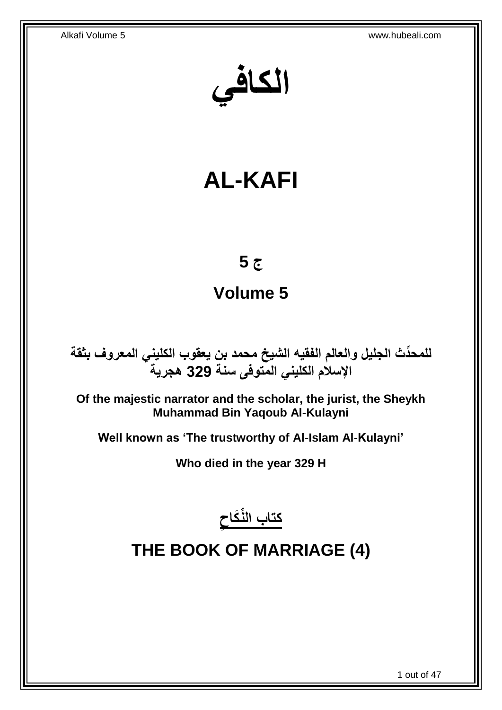**الكافي**

# **AL-KAFI**

# **ج 5**

# **Volume 5**

**دث الجليل والعالم الفقيه الشيخ محمد بن يعقوب الكليني المعروف بثقة للمح ِّ اإلسالم الكليني المتوفى سنة 329 هجرية**

**Of the majestic narrator and the scholar, the jurist, the Sheykh Muhammad Bin Yaqoub Al-Kulayni**

**Well known as 'The trustworthy of Al-Islam Al-Kulayni'**

**Who died in the year 329 H**



# <span id="page-0-0"></span>**THE BOOK OF MARRIAGE (4)**

1 out of 47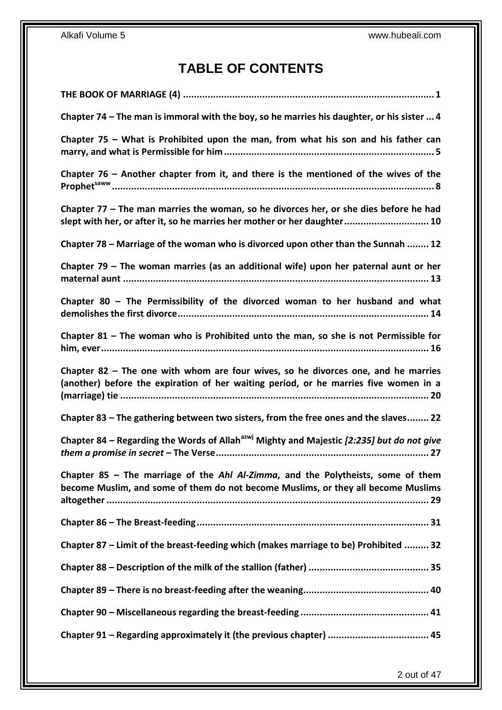## **TABLE OF CONTENTS**

| Chapter 74 - The man is immoral with the boy, so he marries his daughter, or his sister  4                                                                                |
|---------------------------------------------------------------------------------------------------------------------------------------------------------------------------|
| Chapter 75 – What is Prohibited upon the man, from what his son and his father can                                                                                        |
| Chapter $76$ – Another chapter from it, and there is the mentioned of the wives of the                                                                                    |
| Chapter 77 – The man marries the woman, so he divorces her, or she dies before he had<br>slept with her, or after it, so he marries her mother or her daughter 10         |
| Chapter 78 – Marriage of the woman who is divorced upon other than the Sunnah  12                                                                                         |
| Chapter 79 - The woman marries (as an additional wife) upon her paternal aunt or her                                                                                      |
| Chapter 80 - The Permissibility of the divorced woman to her husband and what                                                                                             |
| Chapter 81 - The woman who is Prohibited unto the man, so she is not Permissible for                                                                                      |
| Chapter 82 - The one with whom are four wives, so he divorces one, and he marries<br>(another) before the expiration of her waiting period, or he marries five women in a |
| Chapter 83 - The gathering between two sisters, from the free ones and the slaves 22                                                                                      |
| Chapter 84 – Regarding the Words of Allah <sup>azwj</sup> Mighty and Majestic [2:235] but do not give                                                                     |
| Chapter 85 - The marriage of the Ahl Al-Zimma, and the Polytheists, some of them<br>become Muslim, and some of them do not become Muslims, or they all become Muslims     |
|                                                                                                                                                                           |
| Chapter 87 - Limit of the breast-feeding which (makes marriage to be) Prohibited  32                                                                                      |
|                                                                                                                                                                           |
|                                                                                                                                                                           |
|                                                                                                                                                                           |
|                                                                                                                                                                           |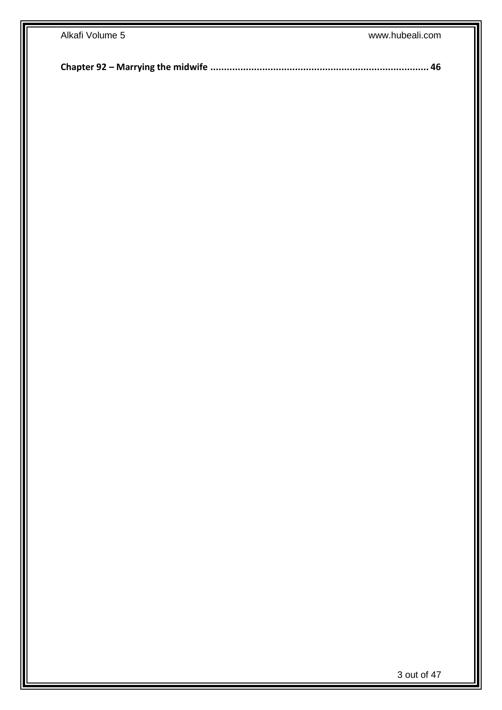| Alkafi Volume 5 | www.hubeali.com |
|-----------------|-----------------|
|                 |                 |
|                 |                 |
|                 |                 |
|                 |                 |
|                 |                 |
|                 |                 |
|                 |                 |
|                 |                 |
|                 |                 |
|                 |                 |
|                 |                 |
|                 |                 |
|                 |                 |
|                 |                 |
|                 |                 |
|                 |                 |
|                 |                 |
|                 |                 |
|                 |                 |
|                 |                 |
|                 |                 |
|                 |                 |
|                 |                 |
|                 |                 |
|                 |                 |
|                 |                 |
|                 |                 |
|                 |                 |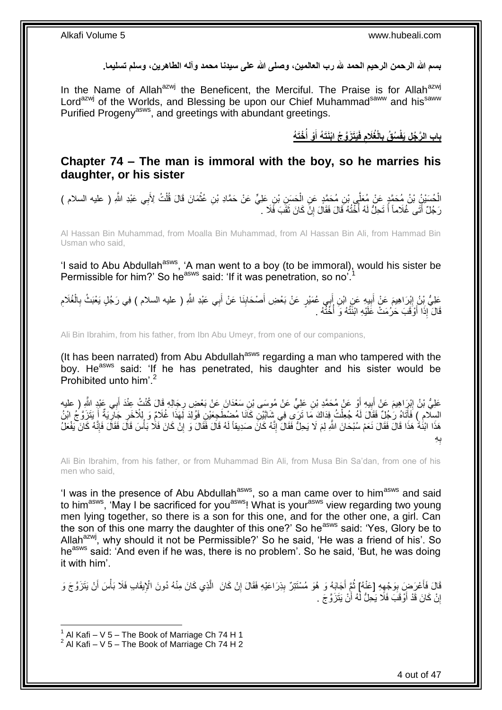**بسم هللا الرحمن الرحيم الحمد هلل رب العالمين، وصلى هللا على سيدنا محمد وآله الطاهرين، وسلم تسليما.**

In the Name of Allah<sup>azwj</sup> the Beneficent, the Merciful. The Praise is for Allah<sup>azwj</sup> Lord<sup>azwj</sup> of the Worlds, and Blessing be upon our Chief Muhammad<sup>saww</sup> and his<sup>saww</sup> Purified Progeny<sup>asws</sup>, and greetings with abundant greetings.

> باب الرَّجُلِ يَفْسُقُ بِالْغُلَامِ فَيَتَزَوَّجُ ابْنَتَهُ أَوْ أَخْتَهُ **ُ َ**

## <span id="page-3-0"></span>**Chapter 74 – The man is immoral with the boy, so he marries his daughter, or his sister**

الْحُسَيْنُ بْنُ مُحَمَّدٍ عَنْ مُعَلِّي بْنِ مُحَمَّدٍ عَنِ الْحَسَنِ بْنِ عَلِيٍّ عَنْ حَمَّادِ بْنِ عُثْمَانَ قَالَ قُلْتُ لِأَبِي عَبْدِ اللَّهِ ( عليه السلام )<br>الْحُسَيْنُ بْنُ مُحَمَّدٍ عَنْ مُعَلِّي بْنِ مُحَمَّدٍ ع **∶** ْ ْ ْ رَجُلٌ أَتَى غُلَاماً أَ تَحِلُّ لَهُ أَخْتُهُ قَالَ فَقَالَ إِنَّ كَانَ ثَقَبَ فَلَا ۚ . َ יֲ<br>י :<br>∶ َ َ

Al Hassan Bin Muhammad, from Moalla Bin Muhammad, from Al Hassan Bin Ali, from Hammad Bin Usman who said,

'I said to Abu Abdullah<sup>asws</sup>, 'A man went to a boy (to be immoral), would his sister be Permissible for him?' So he<sup>asws</sup> said: 'If it was penetration, so no<sup>'.1</sup>

عَلِيُّ بِنُ إِبْرَاهِيمَ عَنْ أَبِيهِ عَنِ ابْنِ أَبِي عُمَيْرٍ عَنْ بَعْضِ أَصْحَابِنَا عَنْ أَبِي عَبْدِ اللَّهِ ( عليه السلام ) فِي رَجُلٍ يَعْبَثُ بِالْغُلَامِ َ **!** َ **!** َ ِ ِ ْ ِ قَالَ إِذَا أَوْقَبَ حَرُمَتْ عَلَيْهِ ابْنَتُهُ وَ أُخُنُهُ . ا<br>أ َ

Ali Bin Ibrahim, from his father, from Ibn Abu Umeyr, from one of our companions,

(It has been narrated) from Abu Abdullah<sup>asws</sup> regarding a man who tampered with the boy. He<sup>asws</sup> said: 'If he has penetrated, his daughter and his sister would be Prohibited unto him'.<sup>2</sup>

َعْلِيُّ بْنُ إِبْرِاهِيمَ عَنْ أَبِيهِ أَوْ عَنْ مُحَمَّدِ بْنِ عَلِيٍّ عَنْ مُوسَى بْنِ سَعْدَانَ عَنْ بَعْضٍ رِجَالِهِ قَالَ كُنْتُ عِنْدَ أَبِي عَبْدٍ اللَّهِ ( عليه ِ ِ َ ِ َ ِ َ السِلَّامِ ) فَأَتَاهُ رَجُلٌ فَقَالَ لَهُ جُعِلْتُ فِذاكَ مَا تَرَى فِي شَاتَيْنِ كَانَا مُضِطْجِعَيْنِ فَوُلِدَ لِهَذَا غُلَامٍ وَ بِلْأَخَرِ جَارِيةٌ أَ يَتَزَوَّجُ النُّ ْ َ ِ ِ هَذَا ابْنُةٌ هَذَا قَالَ فَقَالَ نَعَمْ سُبْحَانَ اللَّهِ لِمَ لَا يَحِلُّ فَقَالَ ۚ إِنَّهُ كَانَ صَدِيقاً لَهُ قَالَ فَقَالَ وَ إِنْ كَانَ فَالًا تَقَالَ تَفْعَلُ لَ ِ ِ ْ ِ ِه ب ِ

Ali Bin Ibrahim, from his father, or from Muhammad Bin Ali, from Musa Bin Sa'dan, from one of his men who said,

'I was in the presence of Abu Abdullah<sup>asws</sup>, so a man came over to him<sup>asws</sup> and said to him<sup>asws</sup>, 'May I be sacrificed for you<sup>asws</sup>! What is your<sup>asws</sup> view regarding two young men lying together, so there is a son for this one, and for the other one, a girl. Can the son of this one marry the daughter of this one?' So he<sup>asws</sup> said: 'Yes, Glory be to Allah<sup>azwj</sup>, why should it not be Permissible?' So he said, 'He was a friend of his'. So he<sup>asws</sup> said: 'And even if he was, there is no problem'. So he said, 'But, he was doing it with him'.

قَالَ فَأَعْرَضٍ بِوَجْهِهِ [عَنْهُ] ثُمَّ أَجَابَهُ وَ هُوَ مُسْتَتِرٌ بِذِرَاعَيْهِ فَقَالَ إِنْ كَانَ ۚ الَّذِي كَانَ مِنْهُ دُونَ الْإِيقَابِ فَلَا بَأْسَ أَنْ يَتَزَوَّجَ وَ<br>وَيَنْ يَسْمَعُونَ مِنَّ الْمَرْضَافِي الْ َّ ِ ِ ا<br>ا ِ **!** َ َ ْ إِنْ كَانَ قَدْ أَوْقَبَ فَلَا يَحِلُّ لَّهُ أَنْ يَتَزَوَّجَ . اُر َ ا

 $1$  Al Kafi – V 5 – The Book of Marriage Ch 74 H 1

 $2$  Al Kafi – V 5 – The Book of Marriage Ch 74 H 2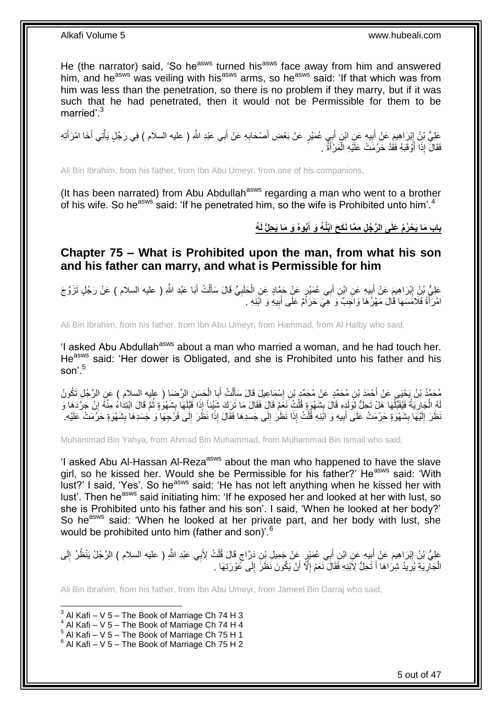He (the narrator) said, 'So he<sup>asws</sup> turned his<sup>asws</sup> face away from him and answered him, and he<sup>asws</sup> was veiling with his<sup>asws</sup> arms, so he<sup>asws</sup> said: 'If that which was from him was less than the penetration, so there is no problem if they marry, but if it was such that he had penetrated, then it would not be Permissible for them to be married'.<sup>3</sup>

عَلِيُّ بْنُ إِبْرَاهِيمَ عَنْ أَبِيهٍ عَنِ ابْنِ أَبِي عُمَيْرٍ عَنْ بَعْضِ أَصْحَابِهِ عَنْ أَبِي عَبْدِ اللَّهِ ( عليه السلام ) فِي رَجُلٍ يَأْتِي أَخَا امْرَأَتِهِ َ ِ َ َ ِ َ ِ َ َ ْ فَقَالَ إِذَا أَوْقَبَهُ فَقَٰذْ حَرُمَتْ عَلَيْهِ الْمَرْأَةُ . َ ْ ا<br>ا

Ali Bin Ibrahim, from his father, from Ibn Abu Umeyr, from one of his companions,

(It has been narrated) from Abu Abdullah<sup>asws</sup> regarding a man who went to a brother of his wife. So he<sup>asws</sup> said: 'If he penetrated him, so the wife is Prohibited unto him'.<sup>4</sup>

> باب مَا يَحْرُمُ عَلَى الرَّجُلِ مِمَّا نَكَحَ ابْنُهُ وَ أَبُوهُ وَ مَا يَحِلُّ لَهُ **َ**

<span id="page-4-0"></span>**Chapter 75 – What is Prohibited upon the man, from what his son and his father can marry, and what is Permissible for him**

عَلِيُّ بْنُِ إِبْرَاهِيمَ عَنْ أَبِيهِ عَنِ ابْنِ أَبِي عُمَيْرٍ عَنْ حَمَّادٍ عَنِ الْحَلَبِيِّ قَالَ سَأَلْتُ أَبَا عَبْدِ اللَّهِ ( عليه السلام ) عَنْ رَجُلٍ تَزَوَّجَ َ ِ َ َ ْ َ ِ ْ امْرَأَةً فَلَامَسَهَا قَالَ مَهْرُهَا وَاجِبٌ وَ هِيَ حَرَاَمٌ عَلَى أَبِيهِ وَ ابْنِهِ . **!** َ َ

Ali Bin Ibrahim, from his father, from Ibn Abu Umeyr, from Hammad, from Al Halby who said,

'I asked Abu Abdullah<sup>asws</sup> about a man who married a woman, and he had touch her. He<sup>asws</sup> said: 'Her dower is Obligated, and she is Prohibited unto his father and his son' $5$ 

مُحَمَّدُ بْنُ يَحْيَى عَنْ أَحْمَدَ بْنِ مُحَمَّدٍ عَنْ مُحَمَّدٍ بْنِ إِسْمَاعِيلَ قَالَ سَأَلْتُ أَبَا الْحَسِنِ الرِّحْسَا ( عليه السلام ) عَنِ الرَّجُلِ تَكُونُ<br>نَسْأَ أَرْسَعَ مَّنْ يَعْلَمُوا فَي أَرْضَا بِهِ مَنْ ْ َ ْ َ ِ لَهُ الْجَارِيَةُ فَيُقَبِّلُهَا هَلْ تَحِلُّ لِوَلَدٍهِ قَالَ بِشَهْوَةٍ قُلْتُ نَعَمْ قَالَ مَا تَرَكَ شَيْئاً إِذَا فَقَلَهَا بِشَهْوَةٍ ثُمَّ قَالَ ابْتِدَاعُ مِنْهُ إِنْ جَرَّدَهَا وَ ْ **∣** ا<br>ا ِ ْ **∶** اِ ا پایا<br>ا َظَنَ إِلَيْهَا بِشَهْوَةٍ حَرُمَتْ عَلَى أَبِيهِ وَ ابَّذِهِ قُلْتُ إِذَا نَظَنَ إِلَى جَسَدِهَا فَقَالَ إِذَا نَظَنَ إِلَى عَنْ خَلَى الله عَنْ جَسَدِهَا بِشَهْوَةٍ حَرُمَتْ عَلَيْهِ. ِ ِ ْ ِ َ **ِ** لَ ِ ِ

Muhammad Bin Yahya, from Ahmad Bin Muhammad, from Muhammad Bin Ismail who said,

'I asked Abu Al-Hassan Al-Reza<sup>asws</sup> about the man who happened to have the slave girl, so he kissed her. Would she be Permissible for his father?' He<sup>asws</sup> said: 'With lust?' I said. 'Yes'. So he<sup>asws</sup> said: 'He has not left anything when he kissed her with lust'. Then he<sup>asws</sup> said initiating him: 'If he exposed her and looked at her with lust, so she is Prohibited unto his father and his son'. I said, 'When he looked at her body?' So he<sup>asws</sup> said: 'When he looked at her private part, and her body with lust, she would be prohibited unto him (father and son)<sup>6</sup>

عَلِيُّ بْنُ إِبْرَاهِيمَ عَنْ أَبِيهِ عَنِ ابْنِ أَبِي عُمَيْرٍ عَنْ جَمِيلِ بِنِ دَرَّاجٍ قَالَ قُلْتُ لِأَبِي عَبْدِ اللَّهِ ( عليه السلام ) الرَّجُلُ يَنْظُرُ إِلَى ْ ٍ َ **∣**  ِ لَ ِ الْجَاْرِيَةِ يُرِيدُ شِرَاهَا أَ تَحِلُّ لِأَبْذِهِ فَقَالَ نَعَمْ إِلَّا أَنْ يَكُونَ نَظَرَ إِلَى كَوْرَتِهَا . ِ اُ ِ َ ِ ِ ْ

Ali Bin Ibrahim, from his father, from Ibn Abu Umeyr, from Jameel Bin Darraj who said,

- $4$  Al Kafi V 5 The Book of Marriage Ch 74 H 4
- $5$  Al Kafi V 5 The Book of Marriage Ch 75 H 1

 3 Al Kafi – V 5 – The Book of Marriage Ch 74 H 3

 $6$  Al Kafi – V 5 – The Book of Marriage Ch 75 H 2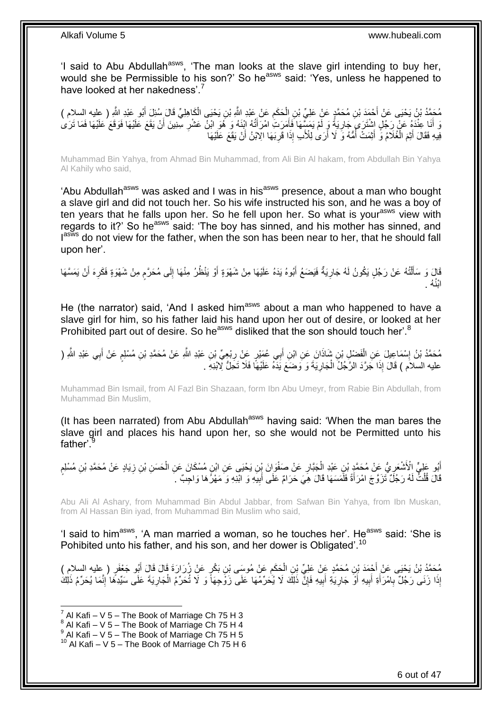'I said to Abu Abdullah<sup>asws</sup>, 'The man looks at the slave girl intending to buy her, would she be Permissible to his son?' So he<sup>asws</sup> said: 'Yes, unless he happened to have looked at her nakedness'.<sup>7</sup>

مُحَمَّدُ بْنُ يَحْيَى عَنْ أَحْمَدَ بْنِ مُحَمَّدٍ عَنْ عَلِيِّ بْنِ إِلْحَكَمِ عَنْ عَبْدِ اللَّهِ بْنِ يَحْيَى الْكَاهِلِيِّ قَالَ سُئِلَ أَبُو عَبْدِ اللَّهِ ( عِليه السلام )<br>. ِ ْ َ َ ْ وَ أَنَا عِنْدَهُ عَنْ رَجُلٍ اشْتَرَى جَارِيَةً وَ لَمْ يَمَسِّهَا فَأَمَرَتُ امْرَأَتُهُ ابْنَهُ وَ هُوَ ابْنَ عَشْرِ سِنِينَ أَنْ يَقَعَ عَلَيْهَا فَوَقَعَ عَلَيْهَا فَمَا تَرَىٰ ِ َ َ ِ َ فِيهِ فَقَالَ أَيْمَ الْغُلَامُ وَّ أَيْمَتْ أُمُّهُ وَ لَا أَرَىٰ لِلْأَبِ إِذَا قَرِبَهَا الْإِبْنُ أَنْ يَقَعَ عَلَيْهَا ِ اُ ُ ْ َ

Muhammad Bin Yahya, from Ahmad Bin Muhammad, from Ali Bin Al hakam, from Abdullah Bin Yahya Al Kahily who said,

'Abu Abdullah<sup>asws</sup> was asked and I was in his<sup>asws</sup> presence, about a man who bought a slave girl and did not touch her. So his wife instructed his son, and he was a boy of ten years that he falls upon her. So he fell upon her. So what is your<sup>asws</sup> view with regards to it?' So he<sup>asws</sup> said: 'The boy has sinned, and his mother has sinned, and lasws do not view for the father, when the son has been near to her, that he should fall upon her'.

قَالَ وَ سَأَلْتُهُ عَنْ رَجُلٍ يَكُونُ لَهُ جَارِيَةٌ فَيَضَعُ أَبُوهُ يَدَهُ عَلَيْهَا مِنْ شَهْوَةٍ أَوْ يَنْظُرُ مِنْهَا إِلَى مُحَرَّمٍ مِنْ شَهْوَةٍ فَكَرِهَ أَنْ يَمَسَّهَا َ َ **∶** ֺ֦֦֪֦֧֦֦֖֦֦֪֦֧֦֪֦֧֦֪֪֦֧֦֪֦֪֪֦֧֦֪֦֧֦֧֦֪֦֧֦֧֦֪֪֦֧֪֦֧֪֦֧֦֧֦֧֝֟֟֟֟֟֟֟֟֟֟֟֟֟֟֟֟֟֟֟֟֟֟֓֕֬֟֓֡֟֓֟֓֞֟֟֓֞֟֟֟֟֟֟֟֩֓֞֟֟֟֟֟֟ َ َ ِ ֧֖֧֦֧֦֧֦֖֚֚֝֝֝֝֓֝֬֟֓֝֓֬֝֬֝֓֬֝֬֝֓**֓** ِ ابْنُهُ .

He (the narrator) said, 'And I asked him<sup>asws</sup> about a man who happened to have a slave girl for him, so his father laid his hand upon her out of desire, or looked at her Prohibited part out of desire. So he<sup>asws</sup> disliked that the son should touch her'.<sup>8</sup>

َ مُحَمَّدُ بْنُ إِسْمَاعِيلَ عَنِ الْفَضْلِ بْنِ شَاذَانَ عَنِ ابْنِ أَبِي عُمَيْرٍ عَنْ رِبْعِيٍّ بْنِ عَبْدِ اللَّه عَنْ مُحَمَّدِ بْنِ مُسْلِمٍ عَنْ أَبِي عَبْدِ اللَّهِ ( ْ ֘<u>֓</u> َ ֧֖֧֦֧֦֧֦֧֦֚֝֝֝֝֝ ِ عليه السلاَم ) قَالَ إِذَا جَرَّدَ الرَّجُلُ الْجَارِيَةَ وَ وَضَعَ يَذَهُ عَلَيْهَا فَلَا تَحِلُّ لِّابْنِهِ ِ ْ

Muhammad Bin Ismail, from Al Fazl Bin Shazaan, form Ibn Abu Umeyr, from Rabie Bin Abdullah, from Muhammad Bin Muslim,

(It has been narrated) from Abu Abdullah<sup>asws</sup> having said: 'When the man bares the slave girl and places his hand upon her, so she would not be Permitted unto his father'.

ِّبُو عَلِيٍّ الْأَشْعَرِيُّ عَنْ مُحَمَّدٍ بْنِ عَبْدِ الْجَبَّارِ عَنْ صَفْوَانَ بِّنِ يَحْيَى عَنِ ابْنِ مُسْكَانَ عَنِ الْحَسَنِ بْنِ زِيَادٍ عَنْ مُحَمَّدِ بْنِ مُسْلِمٍ<br>ابْدِ مُنْجِمَّ وَاسْتَغْفَرِي َ ْ **∶** ْ ِ ׇ֖֖֖֖֦֦֖֚֚֚֚֬֝֝֓ ِ قَالَ قُلْتُ لَهُ رَجُلٌ تَزَوَّجَ امْرَأَةً فَلََمَسَهَا قَالَ هِيَ حَرَامٌ عَلَى أَبِيَهِ وَ ابْنِهِ وَ مَهْرُهَا وَاجِبٌ ۚ أَ ِ َ َ ْ

Abu Ali Al Ashary, from Muhammad Bin Abdul Jabbar, from Safwan Bin Yahya, from Ibn Muskan, from Al Hassan Bin iyad, from Muhammad Bin Muslim who said,

'I said to him<sup>asws</sup>, 'A man married a woman, so he touches her'. He<sup>asws</sup> said: 'She is Pohibited unto his father, and his son, and her dower is Obligated'.<sup>10</sup>

مُحَمَّدُ بْنُ يَحْيَى عَنْ أَجْمَدَ بْنِ مُحَمَّدٍ عَنْ عَلِيٍّ بْنِ الْحَكَمِ عَنْ مُوسَى بْنِ بَكْرٍ عَنْ زُرَارَةَ قَالَ قَالَ أَبُو جَعْفَرٍ ( عِليه السلامِ ) ِ ْ َ إِذَا زَنَى رَجُلٌ بِامْرَأَةِ أَبِيهِ أَوٌ جَارِيَةِ أَبِيهِ فَإِنَّ ذَلِكَ لَا يُحَرِّمُهَا عَلَى زَوْجِهَا وَ لَا تُحَرِّمُ الْجَارِيَةَ عَلَى سَيِّدِهَا إِنَّمَا يُحَرِّمُ ذَلِكَ ْ ِ **!** َ ِ َ **!** َ **∶** ِ ِ

 7 Al Kafi – V 5 – The Book of Marriage Ch 75 H 3

 $8$  Al Kafi – V 5 – The Book of Marriage Ch 75 H 4

 $^9$  Al Kafi – V 5 – The Book of Marriage Ch 75 H 5

 $10$  Al Kafi – V 5 – The Book of Marriage Ch 75 H 6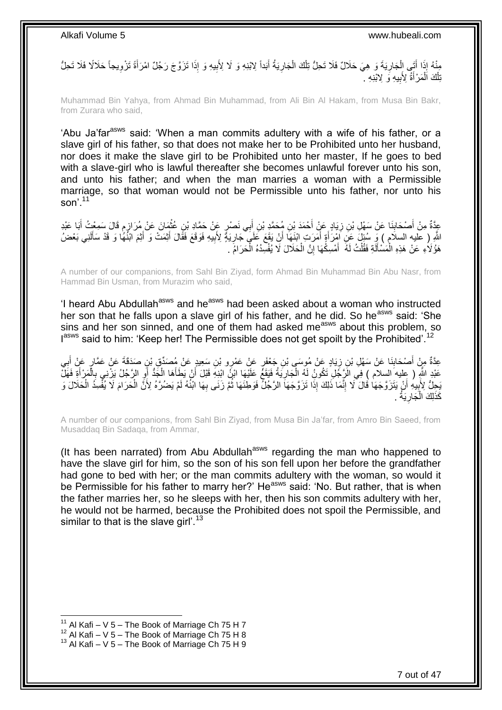مِنْهُ إِذَا أَتَى إِلْجَارِيَةَ وَ هِيَ حَلَالٌ فَلَا تَحِلُّ تِلْكَ الْجَارِيَةُ أَبَداً لِابْنِهِ وَ لَا لِأَبِيهِ وَ إِذَا تَزَوَّجَ رَجُلٌ امْرَأَةَ تَزْوِيجاً حَلَالًا فَلَا تَحِلُّ **∶** ْ ْ ِ ْ َ **∶** َ ِ بْلُكَ اَلْمَرْأَةُ لِأَبِيهِ وَ لِابْنِهِ \* **!** َ ْ ْ

Muhammad Bin Yahya, from Ahmad Bin Muhammad, from Ali Bin Al Hakam, from Musa Bin Bakr, from Zurara who said,

'Abu Ja'far<sup>asws</sup> said: 'When a man commits adultery with a wife of his father, or a slave girl of his father, so that does not make her to be Prohibited unto her husband, nor does it make the slave girl to be Prohibited unto her master, If he goes to bed with a slave-girl who is lawful thereafter she becomes unlawful forever unto his son, and unto his father; and when the man marries a woman with a Permissible marriage, so that woman would not be Permissible unto his father, nor unto his son'.<sup>11</sup>

عِدَّةٌ مِنْ أَصْحَابِنَا عَنْ سَهْلِ بْنِ زِيَادٍ عَنٍْ أَحْمَدَ بْنِ مُحَمَّدِ بْنِ أَبِي نَصْرٍ عَنْ حَمَّادِ بْنِ عُثْمَانَ عَنْ مُرَازِمٍ قَالَ سَمِعْتُ أَبَا عَبْدِ **ٔ** َ ِ **∣** َ َ م ِ اللَّهِ ( عليه السلام ) وَ سُئِلَ عَنِ اَمْرَأَةٍ أَمَرَتِ ابْنَهَا أَنْ يَقَعَ عَلَىَ جَارِيَةً لِأَبِيهِ فَوَقَعَ فَقَالَ أَثِمَتْ وَ أَثْمَ ابْنُهًا وَ قَدْ سَأَلَنِي بَعْضُ َ َ َ لَ َ َ َ ِ ِ هَؤُلَاءِ عَنْ هَذِهِ الْمَسْأَلَةِ فَقُلْتُ لَهُ ۖ أَمْسِكُهَا إِنَّ الْحَلَالَ لَا يُفْسِدُهُ الْحَرَامُ ۖ ـ ْ ْ ِ َ ْ لَ َ ْ

A number of our companions, from Sahl Bin Ziyad, form Ahmad Bin Muhammad Bin Abu Nasr, from Hammad Bin Usman, from Murazim who said,

'I heard Abu Abdullah<sup>asws</sup> and he<sup>asws</sup> had been asked about a woman who instructed her son that he falls upon a slave girl of his father, and he did. So he<sup>asws</sup> said: 'She sins and her son sinned, and one of them had asked me<sup>asws</sup> about this problem, so I<sup>asws</sup> said to him: 'Keep her! The Permissible does not get spoilt by the Prohibited'.<sup>12</sup>

عِدَّةٌ مِنْ أَصْحَابِذَا عَنْ سَهْلِ بْنِ زِيَادٍ عَنْ مُوسَى بْنِ جَعْفَرٍ عَنْ عَمْرٍو بْنِ سَعِيدٍ عَنْ مُصدِّقٍ بْنِ صَدَقَةٌ عَنْ عَمَّارٍ عَنْ أَبِي<br>وَمَنْ يَعْبُدُوا فَيْ الْمَالِّي بِنَ كَفَرٍ وَمَنْ يَعْطِفُونَ ِ ِ َ ِ َ عَبْدِ اللَّهِ ( عِليه السلام ) فِي الزَّجُلِ تَكُونُ لَهُ الْجَارِيَةُ فَيَقَعً عَلَيْهَا ابْنُ ابْذِهِ قَبْلَ أَنْ يَطَأَهَا الْجَدُّ أَوِ الرَّجُلُ يَزْنِي بِالْمَرْأَةِ فَهَلْ **∶** ْ َ ْ ِ ِ َ ْ َ يَجِلُّ لِأَبِيهِ أَنْ يَتَزَوَّجَهَا قَالَ لَا إِنَّمَا ذَلِكَ إِذَا تَزَوَّجَهَا الرَّجُلُّ فَوَطِئَهَا ثُمَّ زَنَى بِهَا ابْنُهُ لَمْ يَضُرَّهُ لِأَنَّ الْحَرَامَ لَا يُفْسِدُ الْحَلالَ وَ ِ ا پایا<br>سال ِ َ **!** ْ ْ . كَذَلِكَ الْجَارِيَةُ ِ ْ

A number of our companions, from Sahl Bin Ziyad, from Musa Bin Ja'far, from Amro Bin Saeed, from Musaddaq Bin Sadaqa, from Ammar,

(It has been narrated) from Abu Abdullah<sup>asws</sup> regarding the man who happened to have the slave girl for him, so the son of his son fell upon her before the grandfather had gone to bed with her; or the man commits adultery with the woman, so would it be Permissible for his father to marry her?' He<sup>asws</sup> said: 'No. But rather, that is when the father marries her, so he sleeps with her, then his son commits adultery with her, he would not be harmed, because the Prohibited does not spoil the Permissible, and similar to that is the slave girl'.<sup>13</sup>

<sup>&</sup>lt;sup>11</sup> Al Kafi – V 5 – The Book of Marriage Ch 75 H 7

 $12$  Al Kafi – V 5 – The Book of Marriage Ch 75 H 8

 $13$  Al Kafi – V 5 – The Book of Marriage Ch 75 H 9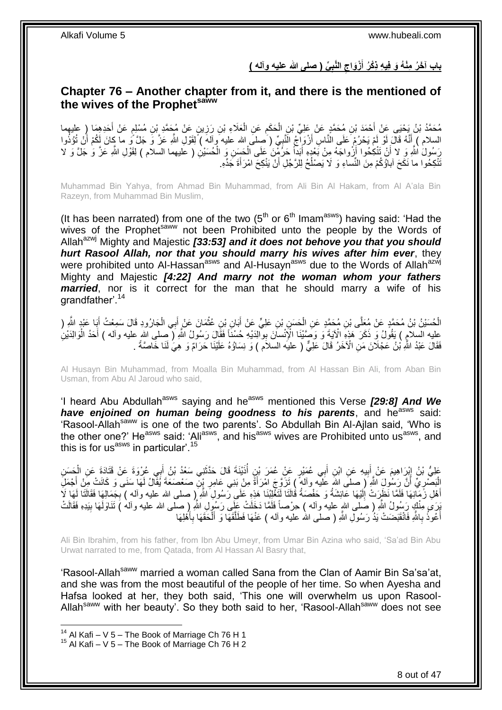**ِّي ) صلى هللا عليه وآله ( الَّنب ْزَواج باب آ َخ ُر مْن ُه َو ف ي ه ذْكُر أ َ**

## <span id="page-7-0"></span>**Chapter 76 – Another chapter from it, and there is the mentioned of the wives of the Prophetsaww**

مُحَمَّدُ بْنُ يَحْيَى عَنْ أَحْمَدَ بْنِ مُحَمَّدٍ عَنْ عَلِيٍّ بْنِ الْحَكَمِ عَنِ الْعَلَاءِ بْنِ رَزِينٍ عَنْ مُحَمَّدٍ بْنِ مُسْلِمٍ عَنْ أَحَدِهِمَا ( عليهما ِ ْ َ َ ٍ ِ ْ السلام ) أَنَّهُ قَالَ لَوْ لَمْ يَحْرُمْ عَلَى الْنَّاسِ أَرْوَاجُ الَنَّبِيِّ ( صلىَ الله عليه وآله ) لِقَوْلِ اللَّهِ عَزَّ وَ جَلَّ وَ ما كانَ لَكُمْ أَنْ تُؤُذُوا ِ َ َ َ رَسُولُ اللَّهِ وَ لا أَنْ تَتْكِحُوا أَزْواجَهُ مِنْ بَعْدٍهِ أَبَداً حَرُمْنَ عَلَى الْحَسَنِ وَ الْحُسَيْنِ ( عَليهما السلام ) لِقَوْلِ اللَّهِ عَزَّ وَ جَلَّ وَ لَا ْ ْ َ اُ ُنْكِحُوا ما نَكَحَ آباؤُكُمْ مِنَ النِّساءِ وَ لَا يَصْلُحُ لِلرَّجُلِ أَنْ يَنْكِحَ امْرَأَةَ جَدِّهِ. َ ٔ<br>ا

Muhammad Bin Yahya, from Ahmad Bin Muhammad, from Ali Bin Al Hakam, from Al A'ala Bin Razeyn, from Muhammad Bin Muslim,

(It has been narrated) from one of the two  $(5<sup>th</sup>$  or  $6<sup>th</sup>$  Imam<sup>asws</sup>) having said: 'Had the wives of the Prophet<sup>saww</sup> not been Prohibited unto the people by the Words of Allah<sup>azwj</sup> Mighty and Majestic [33:53] and it does not behove you that you should *hurt Rasool Allah, nor that you should marry his wives after him ever*, they were prohibited unto Al-Hassan<sup>asws</sup> and Al-Husayn<sup>asws</sup> due to the Words of Allah<sup>azwj</sup> Mighty and Majestic *[4:22] And marry not the woman whom your fathers married*, nor is it correct for the man that he should marry a wife of his grandfather'.<sup>14</sup>

ْ الْحُسَيْنُ بْنُ مُحَمَّدٍ عَنْ مُعَلَّى بْنِ مُحَمَّدٍ عَنِ الْحِسَنِ بْنِ عَلِيٍّ عَنْ أَبَانٍ بْنِ عُثْمَانَ عَنْ إِلَيهِ الْجَارُودِ قَالَ سَمِعْتُ أَبَا عَبْدٍ الثَّهِ ( َ ْ َ ْ َ عليه السلامِ ) يَقُولُ وَ ذَكَرَ هَذِهِ الْآيَةَ وَ وَصَّنْنَا الْإِنْسانَ بِوَالِدَيْهِ حُسْنَاً فَقَالَ رَسُولُ اللَّهِ ( صلى الله عليه وأله ) أَحَدُ الْوَالِدَيْنِ<br>تَمَيْنَ مِنْهُمْ مَنْ الْعَلَمَاتِ الْوَالِدَيْنَ ْ َ فَقَالَ عَبْدُ اللَّهِ بْنُ عَجْلَانَ مَنِ الْآخَرُ قَالَ عَلِيٌّ ( عليه السلاَم ) وَ نِسَاؤُهُ عَلَيْنَا حَرَامٌ وَ هِيَ لَنَا خَاصَةً .

Al Husayn Bin Muhammad, from Moalla Bin Muhammad, from Al Hassan Bin Ali, from Aban Bin Usman, from Abu Al Jaroud who said,

'I heard Abu Abdullah<sup>asws</sup> saying and he<sup>asws</sup> mentioned this Verse **[29:8] And We** *have enjoined on human being goodness to his parents*, and he<sup>asws</sup> said: 'Rasool-Allah<sup>saww</sup> is one of the two parents'. So Abdullah Bin Al-Ajlan said, 'Who is the other one?' He<sup>asws</sup> said: 'Ali<sup>asws</sup>, and his<sup>asws</sup> wives are Prohibited unto us<sup>asws</sup>, and this is for us<sup>asws</sup> in particular'.<sup>15</sup>

ِ عَلِيُّ بْنُ إِبْرَاهِيمَ عَنْ أَبِيهِ عَنِ ابْنِ أَبِي عُمَيْرٍ عَنْ عُمَرَ بْنٍ أَذَيْنَةَ قَالَ حَذَّثَنِي سَعْدُ بْنُ أَبِي عُرْوَةَ عَنْ قَتَادَةَ عَنِ الْحَسَنِ َ َ َ **!**  $\frac{1}{2}$ ْ الْبَصْدِيِّ أَنَّ رَسُولَ اللَّهِ ( صلى الله عَلَيْه وألمٌ ) تَزَوَّجَ امْرَأَةً مِنْ بَنِي عَامِرِ بْنِ صَعْصَعَةَ بَقَالُ لَمَا سَنَى وَ كَانَتْ مِنْ أَجْمَلِ َ ِ :<br>ا َ **∶** أَهْلِ زَمَانِهَا فَلَمَّا نَظَرِنتْ إِلَيْهَا عَائِشَةُ وَ حَفْصَةُ قُالَنَا لَنَغْلِبُنَا هَذِهِ عَلَى رَسُولِ اللَّهِ إِ $\left. \left( \begin{array}{c} \sum \alpha'\\ \alpha' \end{array} \right)$  بِجَمَالِهَا فَقَالَنَا لَهَا لَا لَ  $\frac{1}{2}$ َ **∶** بَوَى مِنْكٍ رَسُولُ اللَّهِ ( صَلى اللهِ عليه وأله ) حِرْصاً فَلَمَا دَخَلَتْ عَلَى رَسُولِ اللَّهِ ( صلَّى الله عليه وأله ) تَنَاوَلَـهَا بِبَدِهِ فَقَالَتْ ِ أَعْوذُ بِاللَّهِ فَانْقَبَضَتْ يَذُ رَسُولِّ اللَّهِ ( صلَّى الله عليه وآله ) عَنْهَا فَطَلَّقَهَا وَ أَلْحَقَهَا بِأَهْلِهَا ْ َ َّ **∶** َ َ ِ

Ali Bin Ibrahim, from his father, from Ibn Abu Umeyr, from Umar Bin Azina who said, 'Sa'ad Bin Abu Urwat narrated to me, from Qatada, from Al Hassan Al Basry that,

'Rasool-Allah<sup>saww</sup> married a woman called Sana from the Clan of Aamir Bin Sa'sa'at, and she was from the most beautiful of the people of her time. So when Ayesha and Hafsa looked at her, they both said, 'This one will overwhelm us upon Rasool-Allah<sup>saww</sup> with her beauty'. So they both said to her, 'Rasool-Allah<sup>saww</sup> does not see

 $14$  Al Kafi – V 5 – The Book of Marriage Ch 76 H 1

 $15$  Al Kafi – V 5 – The Book of Marriage Ch 76 H 2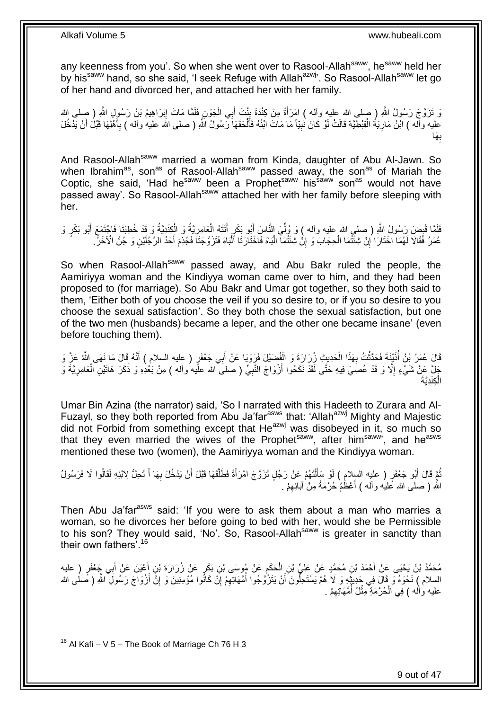any keenness from you'. So when she went over to Rasool-Allah<sup>saww</sup>, he<sup>saww</sup> held her by his<sup>saww</sup> hand, so she said, 'I seek Refuge with Allah<sup>azwj</sup>'. So Rasool-Allah<sup>saww</sup> let go of her hand and divorced her, and attached her with her family.

وَ تَزَوَّجَ رَسُولُ اللَّهِ ( صلى الله عليه وآله ) امْرَأَةً مِنْ كِنْدَة بِنْتَ أَبِي الْجَوْنِ فَلَمَّا مَاتَ إِبْرَاهِيمُ بْنُ رَسُولِ اللَّهِ ( صلى الله<br>وَ تَزَوَّجَ رَسُولُ اللَّهِ ( مبلى الله عليه وآله ) امْرَأَةً م ِ ْ َ ¦<br>₹ َ عليه وآله ) ابْنُ مَارِيَةُ الْقِبْطِيَّةِ قَالَتْ لَوْ كَانَ نُبِيًّا مَا مَاتَ ابْنُهُ فَأَلْحَقَهَا رَسُولُ اللّهِ ( صلى الله عليه وآله ) بِأَهْلِهَا قَبْلَ أَنْ يَدْخُلَ ْ َ ِ ْ **∶** َ َ ِ َها **∶** ب

And Rasool-Allah<sup>saww</sup> married a woman from Kinda, daughter of Abu Al-Jawn. So when Ibrahim<sup>as</sup>, son<sup>as</sup> of Rasool-Allah<sup>saww</sup> passed away, the son<sup>as</sup> of Mariah the Coptic, she said, 'Had he<sup>saww</sup> been a Prophet<sup>saww</sup> his<sup>saww</sup> son<sup>as</sup> would not have passed away'. So Rasool-Allah<sup>saww</sup> attached her with her family before sleeping with her.

فَلَمَّا قُبِضَ رَسُولُ اللَّهِ ( صلى الله عليه وآله ) وَ وُلِّيَ النَّاسَ أَبُو بَكْرٍ أَتَتْهُ الْعَامِرِيَّةُ وَ الْكِنْدِيَّةُ وَ قَدْ خُطِبَتَا فَاجْتَمَعَ أَبُو بَكْرٍ وَ ْ َ َ ِّ ِ َ ْ ; عُمَرُ فَقَالَا لَهُمَا اخْتَارَا ۢإِنْ شِئْتُمَا الْحِجَابَ وَ إِنْْ شِئْتُمَآ الْبَاهَ فَاخْتَارَتَا ٱلْبَاهَ فَتَزَوَّجَتَا فَجُذِمَ أَحَدُ الرَّجُلَيْنِ وَ جُنَّ الْأَخَرِّ. ْ ْ ِ ْ ِ َ

So when Rasool-Allah<sup>saww</sup> passed away, and Abu Bakr ruled the people, the Aamiriyya woman and the Kindiyya woman came over to him, and they had been proposed to (for marriage). So Abu Bakr and Umar got together, so they both said to them, 'Either both of you choose the veil if you so desire to, or if you so desire to you choose the sexual satisfaction'. So they both chose the sexual satisfaction, but one of the two men (husbands) became a leper, and the other one became insane' (even before touching them).

قَالَ عُمَرُ بِنُ أُذَيْنَةَ فَحَدَّثْتُ بِهَذَا الْحَدِيثِ زُِرَارَةَ وَ الْفُضَيْلَ فَرَوَيَا عَنْ أَبِي جَعْفَرٍ ( عليه السلام ) أَنَّهُ قَالَ مَا نَهَى اللَّهُ عَزَّ وَ َ ْ ْ **∶** ْ .<br>ا َ جْلَ عَنْ شَيْءٍ إِلَّا وَ قَدْ عُصِيَ فِيهِ حَتَّى لَقَدْ نَكَحُوا أَزْوَاجَ النَّبِيِّ ( صلى الله علَيه وأله ) مِنْ بَعْدِهِ وَ ذَكَرَ هَاتَيْنِ الْعَامِرِيَّةَ وَ َ ِ ِ ْ **∶** الْكِنْدِيَّةَ ْ

Umar Bin Azina (the narrator) said, 'So I narrated with this Hadeeth to Zurara and Al-Fuzayl, so they both reported from Abu Ja'far<sup>asws</sup> that: 'Allah<sup>azwj</sup> Mighty and Majestic did not Forbid from something except that He<sup>azwj</sup> was disobeyed in it, so much so that they even married the wives of the Prophet<sup>saww</sup>, after him<sup>saww</sup>', and he<sup>asws</sup> mentioned these two (women), the Aamiriyya woman and the Kindiyya woman.

نُّمَّ قَالَ أَبُو جَعْفَرٍ ( عليه السلامِ ) لَوْ سَأَلْتَهُمْ عَنْ رَجُلٍ تَزَوَّجَ امْرَأَةً فَطَلَّقَهَا قَبْلَ أَنْ يَدْخُلَ بِهَا أَ تَحِلُّ لِابْنِهِ لَقَالُوا لَا فَرَسُولُ ِ َ َّ َ ْ َ َ اللَّهِ ( صلـى الله عَليه وآلـه ) أَعْظُمْ حُرْمَةً مِنْ آبَائِهِمْ . ِ َ

Then Abu Ja'far<sup>asws</sup> said: 'If you were to ask them about a man who marries a woman, so he divorces her before going to bed with her, would she be Permissible to his son? They would said, 'No'. So, Rasool-Allah<sup>saww</sup> is greater in sanctity than their own fathers'.<sup>16</sup>

مُحَمَّدُ بْنُ يَحْيَى عَنْ أَحْمَدَ بْنِ مُحَمَّدٍ عَنْ عَلِيٍّ بْنِ الْحَكَمِ عَنْ مُوسَى بْنِ بَكْرٍ عَنْ زُرَارَةَ بْنِ أَعْيَنَ عَنْ أَبِي جَعْفَرٍ ( عليه َ ِ ْ َ السلام ) نَحْوَهُ وَ قَالَ فِي جَدِيثَهِ وَ لَا هُمْ يَسْتَحِلُّونَ أَنْ يَتَزَّوَّجُوا أُمَّهَاتِهِمْ إِنَّ كَانُوا مُؤْمِنِينَ وَ إِنَّ أَزْوَاجَ رَسُولَِ اللَّهِ ( صَلَٰى الله ِ ِ ان<br>المنابعة َ اً ِ عليه وأله ) فِي الْحُرْمَةِ مِثْلُ أُمَّهَاتِهِمْ . ِ ِ<br>ا ْ ْ

<sup>1</sup>  $16$  Al Kafi – V 5 – The Book of Marriage Ch 76 H 3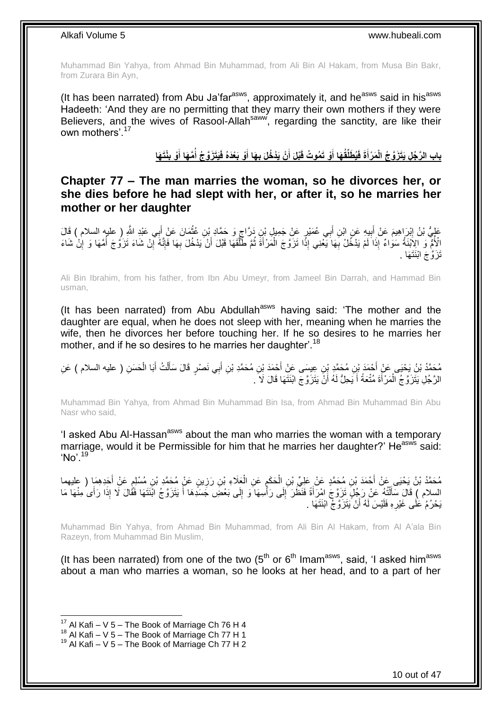Muhammad Bin Yahya, from Ahmad Bin Muhammad, from Ali Bin Al Hakam, from Musa Bin Bakr, from Zurara Bin Ayn,

(It has been narrated) from Abu Ja'far<sup>asws</sup>, approximately it, and he<sup>asws</sup> said in his<sup>asws</sup> Hadeeth: 'And they are no permitting that they marry their own mothers if they were Believers, and the wives of Rasool-Allah<sup>saww</sup>, regarding the sanctity, are like their own mothers'.<sup>17</sup>

> بِابِ الرَّجُلِ يَتَزَوَّجُ الْمَرْأَةَ فَيُطَلِّقُهَا أَوْ تَمُوتُ قَبْلَ أَنْ يَدْخُلَ بِهَا أَوْ بَعْدَهُ فَيَتَزَوَّجُ أَمَّهَا أَوْ بِنْتَهَا **َ ُ َ َ َ َ**

<span id="page-9-0"></span>**Chapter 77 – The man marries the woman, so he divorces her, or she dies before he had slept with her, or after it, so he marries her mother or her daughter**

َ عَلِيُّ بْنُ إِبْرَاهِيمَ عَنْ أَبِيهِ عَنِ ابْنِ أَبِي عُمَيْرٍ عَنْ جَمِيلٍ بْنِ دَرَّاجٍ وَ حَمَّادٍ بْنِ عُثْمَانَ عَنْ أَبِي عَبْدِ اللَّهِ إِ عليهِ السلام ) قَالَ **ٔ** ֧֜׆ ِ َ ِ الْأُمُّ وَ الِإَنْنَةُ سَوَاءٌ إِذَا َلَمْ يَدْخُلْ بِّهَا يَعْنِي إِذًّا تَزَوَّجَ الْمَرْأَةَ ثُمَّ طَلَّقَهَا قَبْلَ أَنْ يَدْخُلَ بِهَا فَإِنَّه أَنَّه مَاءَ لَزَوَجَ أُمَّهَا وَ إِلْ شَاءَ ِ ∣اٍ ِ َ َّ ان<br>المقام العالمية َ ْ ِ تَزَوَّجَ ابْنَتَهَا .

Ali Bin Ibrahim, from his father, from Ibn Abu Umeyr, from Jameel Bin Darrah, and Hammad Bin usman,

(It has been narrated) from Abu Abdullah<sup>asws</sup> having said: 'The mother and the daughter are equal, when he does not sleep with her, meaning when he marries the wife, then he divorces her before touching her. If he so desires to he marries her mother, and if he so desires to he marries her daughter'.<sup>18</sup>

مُحَمَّدُ بْنُ يَحْيَى عَنْ أَحْمَدَ بْنِ مُحَمَّدٍ بْنِ عِيسَى عَنْ أَحْمَدَ بْنِ مُحَمَّدِ بْنِ أَبِي نَصْرٍ قَالَ سَأَلْتُ أَبَا الْحَسَنِ ( عليه السلام ) عَنِ<br>دِيَمِدِ نَسَبَةٍ مِنْ مَثْلَ مُؤْمَنِينَ عَنْ أَحْمَدَ بِ ْ َ َ َ َ ْ َ الرَّجُلِ يَتَزَوَّجُ الْمَرْأَةَ مُتْعَةً أَ يَحِلُّ لَهُ أَنَّ يَتَزَوَّجَ ابْنَتَهَا قَالَ لَا َ ِ َ َ َ ْ

Muhammad Bin Yahya, from Ahmad Bin Muhammad Bin Isa, from Ahmad Bin Muhammad Bin Abu Nasr who said,

'I asked Abu Al-Hassan<sup>asws</sup> about the man who marries the woman with a temporary marriage, would it be Permissible for him that he marries her daughter?' He<sup>asws</sup> said: 'No'.<sup>19</sup>

مُحَمَّدُ بْنُ يَحْيَى عَنْ أَحْمَدَ بْنِ مُحَمَّدٍ عَنْ عَلِيٍّ بْنِ الْحَكَمِ عَنِ الْعَلَاءِ بْنِ رَزِينٍ عَنْ مُحَمَّدِ بْنِ مُسْلِمٍ عَنْ أَحَدِهِمَا ( عليهما ِ ْ ِ ْ َ َ ٍ السلام ﴾ قَالَ سَأَلْتُهُ عَنْ رَجُلٍ تَزَوَّجَ امْرَأَةً فَنَظَّرَ إِلَى رَأْسِهَا ۖ وَ إِلَى بَعْضِ جَسَدِهَا أَ يَتَزَوَّجُ ائْنَتَهَا فَقَالَ لَا إِذَا رَأَى مِنْهَا مَا َ ْ َ َ ∣∣<br>ِ ا<br>ا  $\frac{1}{2}$ يَحْرُمُ عَلَى غَيْرِهِ فَلَيْسَ لَهُ أَنْ يَتَزَوَّجُ ابْنَتَهَا . اُ ِ

Muhammad Bin Yahya, from Ahmad Bin Muhammad, from Ali Bin Al Hakam, from Al A'ala Bin Razeyn, from Muhammad Bin Muslim,

(It has been narrated) from one of the two  $(5<sup>th</sup>$  or  $6<sup>th</sup>$  Imam<sup>asws</sup>, said, 'I asked him<sup>asws</sup> about a man who marries a woman, so he looks at her head, and to a part of her

<sup>&</sup>lt;sup>17</sup> Al Kafi – V 5 – The Book of Marriage Ch 76 H 4

 $18$  Al Kafi – V  $5$  – The Book of Marriage Ch 77 H 1

 $19$  Al Kafi – V 5 – The Book of Marriage Ch 77 H 2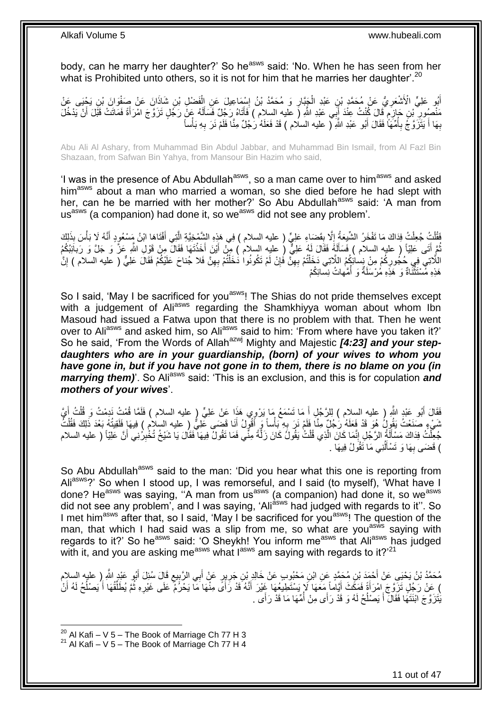body, can he marry her daughter?' So he<sup>asws</sup> said: 'No. When he has seen from her what is Prohibited unto others, so it is not for him that he marries her daughter<sup>'.20</sup>

اَبُو عَلِيٍّ الْأَشْعَرِ يُّ عَنْ مُحَمَّدٍ بْنِ عَبْدِ الْجَبَّارِ وَ مُحَمَّدُ بْنُ إِسْمَاعِيلَ عَنِ الْفَضْلِ بْنِ شَاذَانَ عَنْ صَفْوَانَ بْنِ يَجْيَى عَنْ ْ ِ ِ ْ **∶** مَنْصُورِ ۗ بْنِ جَازِمٍ ۚ قَالَ كُنْتُ عِنْدَ أَبِي عَبْدِ اللَّهِ (َ عليه السلام ) فَأَتَاهُ رَجُلٌ فَسَأَلَهُ عَنْ رَجُلٍ تَزَوَّجَ امْرَأَةً فَمَاتَتْ قَبْلَ أَنْ يَدْخُلَ َ َ م ِ ِ َ َ لَ Í ْ بِهَا أَ يَتَزَوَّجُ بِأُمِّهَاً فَقَالَ أَبُو عَبْدِ اللَّهِ ( عليه السلام ) قَدْ فَعَلَهُ رَجُلٌ مِنَّا فَلَمْ نَرَ بِهِ بَأْساً ِ َ ُ ِ َ **∶** 

Abu Ali Al Ashary, from Muhammad Bin Abdul Jabbar, and Muhammad Bin Ismail, from Al Fazl Bin Shazaan, from Safwan Bin Yahya, from Mansour Bin Hazim who said,

'I was in the presence of Abu Abdullah<sup>asws</sup>, so a man came over to him<sup>asws</sup> and asked him<sup>asws</sup> about a man who married a woman, so she died before he had slept with her, can he be married with her mother?' So Abu Abdullah<sup>asws</sup> said: 'A man from us<sup>asws</sup> (a companion) had done it, so we<sup>asws</sup> did not see any problem'.

يُّقُلْتُ جُعِلْتُ فِدَاكَ مَا تَفْخَرُ الشَّبِعَةُ إِلَّا بِقَصَاءِ عَلِيٍّ ( عليه السلام ) فِي هَذِهِ الشَّمْخِيَّةِ الَّتِي أَفْتَاهَا ابْنُ مَسْعُودٍ أَنَّهُ لَا بَأْسَ بِذَلِكَ َّ  $\frac{1}{1}$ ْ .<br>ا ْ َ َ نُّمَ أَتَى عَلِيّاً ( عليه السلام ) فَسَأَلَهُ فَقَالَ لَهُ عَلِيٌّ ( عليه السلام ) مِنْ أَيْنَ أَخَذْتَهَا فَقَالٌ مِنْ قَوْلِ اللَّهِ عَزَّ وَ جَلَّ وَ رَبائَيْكُمُ لَ َ َ **ٔ** َ َ اللَّاتِي فِي حُجُورِكُمْ مِنْ نِِساٰئِكُمُ اللَّاتِي دَخَلْتُمْ بِهِنَّ فَإِنْ لَمْ تَكُونُوا دَخَلْتُمْ بِهِنَّ فَلا جُناحَ عَلَيْكُمْ فَقَالَ عَلِيٍّ ( عليه السلام ) إِنَّ ِ ْ ِ ِ ْ ِ ِ هَذِهِ مُسْتَثَّنَاةٌ وَ ۚ هَذِهِ مُرْسَلَةٌ وَ ۖ أُمَّهاتُ نِسَائِكُمْ ُ ْ

So I said, 'May I be sacrificed for you<sup>asws</sup>! The Shias do not pride themselves except with a judgement of Ali<sup>asws</sup> regarding the Shamkhiyya woman about whom Ibn Masoud had issued a Fatwa upon that there is no problem with that. Then he went over to Ali<sup>asws</sup> and asked him, so Ali<sup>asws</sup> said to him: 'From where have you taken it?' So he said, 'From the Words of Allah<sup>azwj</sup> Mighty and Majestic [4:23] and your step*daughters who are in your guardianship, (born) of your wives to whom you have gone in, but if you have not gone in to them, there is no blame on you (in marrying them)*'. So Ali<sup>asws</sup> said: 'This is an exclusion, and this is for copulation *and mothers of your wives*'.

فَقَالَ أَبُو عَبْدِ اللَّهِ ( عليه السلام ) لِلرَّجُلِ أَ مَا تَسْمَعُ مَا يَرْوِي هَذَا عَنْ عَلِيٍّ ( عليه السلام ) فَلَمَّا قُمْتُ نَدِمْتُ وَ قُلْتُ أَيَّ َ َ َ ْ شَيْءٍ صَنَعْتُ يَقُولُ هُوَ قَدْ فَعَلَهُ رَجُلٌ مِنَّا فَلَمْ نَرَ بِهِ بَأْساً وَ أَقُولُ أَنَا قَضَى عَلِيُّ ( عليه السلام ) فِيهَا فَلَقِيتُهُ بَعْدَ ذَلِكَ فَقُلْتُ َ َ ْ ِ ْ جُعِلْتُ فِدَاكَ مَسْأَلَةُ الرَّجُلِ إِنَّمَا كَانَ الَّذِي قُلْتُ يَقُولُ كَانَ زَلَّةً مِنِّي فَمَا تَقُولُ فِيهَا فَقَالَ يَا شَيْخُ تُخْبِرُنِي أَنَّ عَلِيِّاً ( عليه السلام َّ ْ َّ ِ َ َ ِ ُ) قَضَى بِهَا وَ تَسْأَلُنِي مَا تَقُولُ فِيهَا . َ **∶** 

So Abu Abdullah<sup>asws</sup> said to the man: 'Did you hear what this one is reporting from Ali<sup>asws</sup>?' So when I stood up, I was remorseful, and I said (to myself), 'What have I done? He<sup>asws</sup> was saying, "A man from us<sup>asws</sup> (a companion) had done it, so we<sup>asws</sup> did not see any problem', and I was saying, 'Ali<sup>asws</sup> had judged with regards to it". So I met him<sup>asws</sup> after that, so I said, 'May I be sacrificed for you<sup>asws</sup>! The question of the man, that which I had said was a slip from me, so what are you<sup>asws</sup> saying with regards to it?' So he<sup>asws</sup> said: 'O Sheykh! You inform me<sup>asws</sup> that Ali<sup>asws</sup> has judged with it, and you are asking me<sup>asws</sup> what I<sup>asws</sup> am saying with regards to it?<sup>'21</sup>

مُحَمَّدُ بْنُ يَحْيَىِ عَنْ أَحْمَدَ بْنِ مُحَمَّدٍ عَنِ ابْنِ مَحْبُوبٍ عَنْ خَالِدٍ بْنِ جَرِيرٍ عَنْ أَبِي الرَّبِيعِ قَالَ سُئِلَ أَبُو عَبْدٍ الثَّهِ إِر عليه السلام ِ **⊥** َ ِ َ ) عَنْ رَجُلٍ تَزَوَّجَ امْرَأَةً فَمَكِّثَ أَيَّاماً مَعَهَا لَإِ يَسْتَطِيعُهَا خَيْرَ أَنَّهُ قَدْ رَأَىً مِنْهَا مَا يَحْرَكُمْ عَلَى غَيْرِهِ ثُمَّ يُطَلِّقُهَا أَيْصِنْكُمْ لَهُ أَنْ َ َ َ ا<br>ا َ ِّ ُ ِ َ يَّتَزَوَّجَ ابْنَتَهَا فَقَالَ أَ يَصْلُحُ لَهُ وَ قَدْ رَأَى مِنْ أُمِّهَا مَا قَدْ رَأَى . ُ ا<br>ـا َ

 $^{20}$  Al Kafi – V 5 – The Book of Marriage Ch 77 H 3

 $21$  Al Kafi – V 5 – The Book of Marriage Ch 77 H 4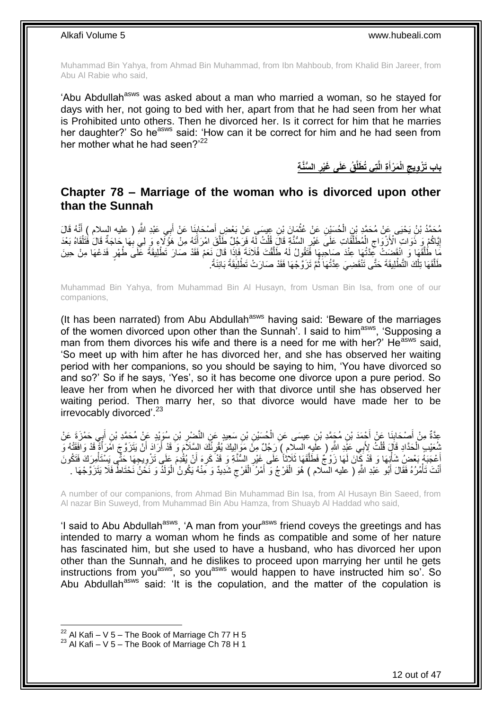Muhammad Bin Yahya, from Ahmad Bin Muhammad, from Ibn Mahboub, from Khalid Bin Jareer, from Abu Al Rabie who said,

'Abu Abdullah<sup>asws</sup> was asked about a man who married a woman, so he stayed for days with her, not going to bed with her, apart from that he had seen from her what is Prohibited unto others. Then he divorced her. Is it correct for him that he marries her daughter?' So he<sup>asws</sup> said: 'How can it be correct for him and he had seen from her mother what he had seen?'<sup>22</sup>

> **ال ُّسَّن ة ُق َعلَى َغْير ت ي ُت َطلَّ ة الَّ َم ْرأ الْ باب َت ْز ويج َ**

### <span id="page-11-0"></span>**Chapter 78 – Marriage of the woman who is divorced upon other than the Sunnah**

مُحَمَّدُ بْنُ يَحْيَى عَنْ مُحَمَّدٍ بْنِ الْحُسَيْنِ عَنْ عُثْمَانَ بْنِ عِيسَى عَنْ بَعْضِ أَصْحَابِنَا عَنْ أَبِي عَبْدِ اللَّهِ ( عليه السلام ) أَنَّهُ قَالَ<br>يَهُمْ مَنْ يَحْيَى عَنْ مُحَمَّدٍ بِنِ الْحُسَيْنِ عَنْ عُ ِ َ **ٔ** ْ َ َ إِيَّاكُمْ وَ ذَوَاتِ الْأَزْوَاجِ الْمُطَلَّقَاتِ عَلَى غَيْرِ السُّنَّةِ قَالَ قُلْتُ لِّهُ فَرَجُلٌ طَلَّقَ امْرَأَتَهُ مِنْ هَؤُلَاءِ وَ لِي بِهَا حَاجَةٌ قَالَ فُتَلْقَاهُ بَعْدَ َ ر<br>ا ْ ِ ֪֪֪֦֪֖֧֚֚֚֞֝֝֝֝֝֟֓֝֬֝֟֝֬֝֝֝֞֝֟֓֞֟֓֟֓֞֟֓֞֟֓֞֟֓֟֓֞֞֞֞֞֞֟֓֝֟֓֟֓֞ ْ ِ <u>֖֚֚֚֚֚֓</u> ْ **∶** مَا طُلَّقَهَا وَ انْقَضِتْ كَثَّتُهَا عِنْدَ صَاحِبِهَا فَتَقُولُ لَهُ طَلَّقْتَ فُلَانَةً فَإِذَا قَالَ نَعَمْ فَقَدْ صَارَ تَطْلِيقَةً عَلَى طُهْرٍ فَدَعْهَا مِنْ حِينَ َّ َّ **∶** طَلَّقَهَا تِلْكَ التَّطْٰلِيقَةَ حَتَّى تَنْقَضِيَ عِدَّتُٰهَا ثُمَّ تَزَوَّجْهَا فَقَدْ صَارَتْ تَطْلِيَقَةً بَائِنَةً. ان<br>المقام ْ َّ ً

Muhammad Bin Yahya, from Muhammad Bin Al Husayn, from Usman Bin Isa, from one of our companions,

(It has been narrated) from Abu Abdullah<sup>asws</sup> having said: 'Beware of the marriages of the women divorced upon other than the Sunnah<sup>7</sup>. I said to him<sup>asws</sup>, 'Supposing a man from them divorces his wife and there is a need for me with her?' He<sup>asws</sup> said, 'So meet up with him after he has divorced her, and she has observed her waiting period with her companions, so you should be saying to him, 'You have divorced so and so?' So if he says, 'Yes', so it has become one divorce upon a pure period. So leave her from when he divorced her with that divorce until she has observed her waiting period. Then marry her, so that divorce would have made her to be irrevocably divorced'.<sup>23</sup>

عِدَّةٌ مِنْ أَصْحَابِنَا عَنْ أَجْمَدَ بْنِ مُجَمَّدِ بْنِ عِيسَى عَنِ الْحُسَيْنِ بْنِ سَعِيدٍ عَنِ النَّضْرِ بْنِ سُوَيْدٍ عَنْ مُحَمَّدِ بْنِ أَبِي حَمْزَةٍ عَنْ<br>مُرْتَبِعُ بِنَّ أَمِنْكَ إِنَّ مِنْ أَجْمَدَ بْنِ مُجَم ِ ْ َ **∣** َ َ الْحَدَّادِ قَالَ قُلْتُ لِأَبِي عَذِّدِ اللَّهِ ( عِلْيِهِ السلام ) رَجُلٌ مِنْ مَوَإِلِيكَ يُقْرِئُكَ السِّلاَمَ وَ َقَدْ أَرَادَ أَنْ يَتَزَوَّجَ اَمْرَأَةً قَدْ وَافَقَتْهُ وَ ْ ْ َ َ اُ ِ أَعْجَبَهُ بَعْضٍ شَأْنِِهَا وَ قَدْ كَأَنَ لَهَا زَوْجٌ فَطَلَّقَهَا ثَلاثاً عَلَى غَيْرِ السُّنَّةِ وَ قَدْ كَرِهَ أَنْ يُقْدِمَ عَلَى تَزْوِيجِهَا حَتَّى يَسْتَأْمِرَكَ فَتَكُونَ َ ِ **∶** َّ ْ ِ **ٔ** أَنْتَ تَأْمُرُهُ فَقَالَ أَبُو عَبْدِ اللَّهِ ( عليه السلام ) هُوَ الْفَرْجُ وَ أَمْرُ الْفَرْجِ شَدِيدٌ وَ مِّنْهُ يَكُونُ الْوَلَدَ وَ نَخْنُ نَحْتَاطُ فَلَا يَتَزَوَّجْهَا .  $\zeta$ ْ َ ْ ْ َ ْ

A number of our companions, from Ahmad Bin Muhammad Bin Isa, from Al Husayn Bin Saeed, from Al nazar Bin Suweyd, from Muhammad Bin Abu Hamza, from Shuayb Al Haddad who said,

'I said to Abu Abdullah<sup>asws</sup>, 'A man from your<sup>asws</sup> friend coveys the greetings and has intended to marry a woman whom he finds as compatible and some of her nature has fascinated him, but she used to have a husband, who has divorced her upon other than the Sunnah, and he dislikes to proceed upon marrying her until he gets instructions from you<sup>asws</sup>, so you<sup>asws</sup> would happen to have instructed him so'. So Abu Abdullah<sup>asws</sup> said: 'It is the copulation, and the matter of the copulation is

 $^{22}$  Al Kafi – V 5 – The Book of Marriage Ch 77 H 5

 $23$  Al Kafi – V 5 – The Book of Marriage Ch 78 H 1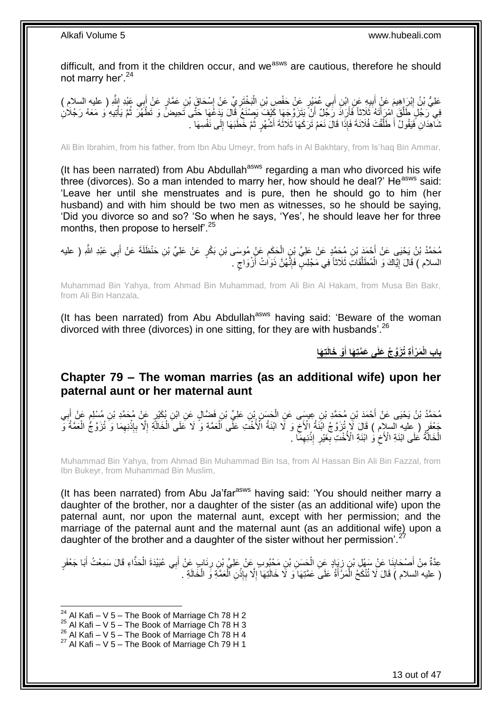difficult, and from it the children occur, and we<sup>asws</sup> are cautious, therefore he should not marry her'.<sup>24</sup>

عَلِيُّ بْنُ إِبْرَِاهِيمَ عَنْ أَبِيهِ عَنِ ابْنِ أَبِي عُمَيْنٍ عَنْ حَفْصِ بْنِ الْبَخْتَرِيِّ عَنْ إِسْحَاقَ بْنِ عَمَّارٍ عَنْ أَبِي عَنْدِ إِلَّهِ ( عليه السلام )<br>-**!** ِ َ ِ ِ ْ َ فِي َرَجُلٍ طَلَّقَ ٰامْرِ أَتَهُ ثَلَاثاً فَأَرَادَ رَجُلٌ أَنْ يَتَزَوَّجِهَا كَيْفَ يَصْنَعُ قَالَ يَدَعُهَا<br>فِي رَجُلٍ مُلْقَ ٰامْرَةً ثَلَاثاً فَأَرَادَ رَجُلٌ أَنْ يَتَزَوَّجِهَا كَيْفَ يَصْنَعُ قَالَ يَدَعُها حَتَّ َ َ ز<br>ا ْ ُ ثَنَّآهِدَانِ فَيَقُولُ أَ طَلَّقْتَ فُلَانَةَ فَإِذَا قَالَ نَعَمْ تَرَكَهَا ثَلَاثَةَ أَشْهُرٍ ثُمَّ خَطَبَهَا إِلَى نَفْسِهَا ۖ. ِ ُ َّ

Ali Bin Ibrahim, from his father, from Ibn Abu Umeyr, from hafs in Al Bakhtary, from Is'haq Bin Ammar,

(It has been narrated) from Abu Abdullah<sup>asws</sup> regarding a man who divorced his wife three (divorces). So a man intended to marry her, how should he deal?' He<sup>asws</sup> said: 'Leave her until she menstruates and is pure, then he should go to him (her husband) and with him should be two men as witnesses, so he should be saying, 'Did you divorce so and so? 'So when he says, 'Yes', he should leave her for three months, then propose to herself<sup>'.25</sup>

مُحَمَّدُ بْنُ يَحْيَىِ عَنْ أَحْمَدَ بْنِ مُحَمَّدٍ عَنْ عَلِيِّ بْنِ الْحَكَمِ عَنٍْ مُوسَى بْنِ بَكْرٍ عَنْ عَلِيِّ بْنِ حَنْظَلَةَ عَنْ أَبِي عَبْدِ اللَّهِ ( عليه ِ ْ َ السلام ) قَالَ إِيَّاكَ وَ الْمُطَلَّقَاتِ ثَلَاثًا فِي مَجْلِسٍ فَإِنَّهُنَّ ذَوَاتُ أَزْوَاجٍ . َ ∣اٍ َّ ْ <u>֖֖֚֚֚֚֚֚</u> ٍ

Muhammad Bin Yahya, from Ahmad Bin Muhammad, from Ali Bin Al Hakam, from Musa Bin Bakr, from Ali Bin Hanzala,

(It has been narrated) from Abu Abdullah<sup>asws</sup> having said: 'Beware of the woman divorced with three (divorces) in one sitting, for they are with husbands<sup>'.26</sup>

> **ت َها ْو َخالَ ة ُت َزَّو ُج َعلَى َع َّمت َها أ َم ْرأ باب الْ َ َ**

## <span id="page-12-0"></span>**Chapter 79 – The woman marries (as an additional wife) upon her paternal aunt or her maternal aunt**

مُحَمَّدُ بْنُ يَحْيَى عَنْ أَحْمَدَ بْنِ مُحَمَّدِ بْنِ عِيسَى عَنِ الْجَسَنِ بْنِ عَلِيِّ بْنِ فَضَّالٍ عَنِ إِبْنِ بُكَثِرٍ عَنْ مُحَمَّدِ بْنِ مُسْلِمٍ عَنْ أَبِي ْ ِ َ م جَعْفَرٍ (عِلْيهِ السالِمِ ) قَالَ لَّا تُزَوَّجُ اَبَنَةُ الْأَخِّ وَ لَّا ابْنَةُ الْأُخْتَ عَلَى الْعَمَّةِ وَ لَا كَفَى الْخَالَةِ اِلْآ بِإِنْنِهِمَا وَ تُزَوَّجُ الْعَمَّةُ وَ ْ ْ  $\zeta$ ْ ِ **ٔ ∶** ِ الْخَالَةُ عَلَى ابْنَةِ الْأَخِ وَ ابْنَةِ الْأُخْتِ بِغَيْرِ ۚ إِنْنِهِمَا ۚ ۖ ِ **ٔ** ِ ِ ِ ْ

Muhammad Bin Yahya, from Ahmad Bin Muhammad Bin Isa, from Al Hassan Bin Ali Bin Fazzal, from Ibn Bukeyr, from Muhammad Bin Muslim,

(It has been narrated) from Abu Ja'far<sup>asws</sup> having said: 'You should neither marry a daughter of the brother, nor a daughter of the sister (as an additional wife) upon the paternal aunt, nor upon the maternal aunt, except with her permission; and the marriage of the paternal aunt and the maternal aunt (as an additional wife) upon a daughter of the brother and a daughter of the sister without her permission'.<sup>27</sup>

عِدَّةٌ مِنْ أَصْحَابِنَا عَنْ سَهْلِ بْنٍ زِيَادٍ عَنِ الْحَسَنِ بْنِ مَحْبُوبٍ عَنْ عَلِيٍّ بْنِ رِنَابٍ عَنْ أَبِي عُبَيْدَةَ الْحَذَّاءِ قَالَ سَمِعْتُ أَبَا جَعْفَرٍ َ **∶** ْ ِ **∣** َ َ ْ ( عليه السلام ) قَالَ لَا تُنْكَحُ الْمَرَّأَةُ عَلَى عَمَّتِهَا َوَ لَا خَالَتِهَا إِلَّا بِإِذْنِ اَلْعَمَّةِ وَ الْخَالَةِ . ِ َ ْ ْ ْ **ٔ: ∶** 

 $^{24}$  Al Kafi – V 5 – The Book of Marriage Ch 78 H 2

 $25$  Al Kafi – V 5 – The Book of Marriage Ch 78 H 3

 $^{26}$  Al Kafi – V 5 – The Book of Marriage Ch 78 H 4

 $27$  Al Kafi – V 5 – The Book of Marriage Ch 79 H 1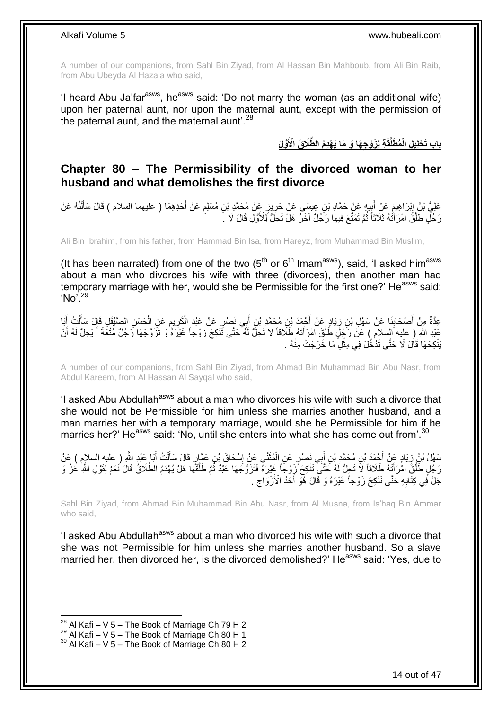A number of our companions, from Sahl Bin Ziyad, from Al Hassan Bin Mahboub, from Ali Bin Raib, from Abu Ubeyda Al Haza'a who said,

'I heard Abu Ja'far<sup>asws</sup>, he<sup>asws</sup> said: 'Do not marry the woman (as an additional wife) upon her paternal aunt, nor upon the maternal aunt, except with the permission of the paternal aunt, and the maternal aunt<sup>'.28</sup>

**َّولَ َّطَال َق اْْلَ ة ل َزْو ج َها َو َما َي ْه دُم ال ُم َطلَّقَ باب َت ْحل ي ل الْ**

### <span id="page-13-0"></span>**Chapter 80 – The Permissibility of the divorced woman to her husband and what demolishes the first divorce**

عَلِيُّ بْنُ إِبْرَاهِيمَ عَنْ أَبِيهٍ عَنْ حَمَّادِ بْنِ عِيسَى عَنْ حَرِينٍ عَنْ مُحَمَّدِ بْنِ مُسْلِمٍ عَنْ أَحَدِهِمَا ( عليهما السلام ) قَالَ سَأَلْتُهُ عَنْ َ ֧֖֧֚֚֓֝֝֝ ِ ِ َ ِ ْ َ رَ جُلِّ طَلَّقَ امْرَ أَتَٰهُ ثَلَاثاً ثُمَّ تَمَثَّعَ فِيهَا رَجُلٌ اخَرٌ هَلْ تَحِلُّ لِّلأُوَّلِ قَالَ لَا ֪֪֦֦֦֦֦֦֪֪֪֦֪֪֦֪֪֦֝֟֓֕֓֕֓֡֟֓֬֓֓֬֓֓֓֬֓֓֡֟֓֡֟֓֡֟֓֡֟֓֡֟֓֬֓֞֓֞֓֞֓֡֬֓֞֓֞֓֡֓֬֓֞֡֬֓֞֓֞֬֓֞֓֞֬֞֓֟֟֟ َّ .<br>• • • •

Ali Bin Ibrahim, from his father, from Hammad Bin Isa, from Hareyz, from Muhammad Bin Muslim,

(It has been narrated) from one of the two  $(5<sup>th</sup>$  or  $6<sup>th</sup>$  Imam<sup>asws</sup>), said, 'I asked him<sup>asws</sup> about a man who divorces his wife with three (divorces), then another man had temporary marriage with her, would she be Permissible for the first one?' He<sup>asws</sup> said:  $'No'$ <sup>29</sup>

ِن ُم َح َّم ْح َمَد ْب َياٍد َع ْن أ ِن ز َنا َع ْن َس ْه ِل ْب ْص َحاب َبا ِم ْن أ ِعَّدةٌ ُت أ ل ِل َقا َل َسأ َح َس ِن ال َّصْيَق َع ِن ال يم َكر ِي َن ْص ٍر َع ْن َعْبِد ال ب ِن أ ِد ْب ِ ِ َ َ ْ َ ْ ِ ِ ْ َ عَبْدِ اللَّهِ ( عليه السلام ) عَلْ رَجُلٍ طَلَّقَ امْرَأَتَهُ طَلاقاً لَا تَحِلُّ لَهُ ۖ حَتَّى تُنْكِحَ زَوْجاً غَيْرَهُ وَ تَزَوَّجَهَا رَجُلٌ مُنْعَةً أَ يَحِلُّ لَهُ أَنْ َ َّ َ َ لَ يَنْكِحَهَا قَالَ لَا حَتَّى تَذْخُلَ فِي مِثْلِ مَا خَرَجَتْ مِنْهُ . **ٔ** 

A number of our companions, from Sahl Bin Ziyad, from Ahmad Bin Muhammad Bin Abu Nasr, from Abdul Kareem, from Al Hassan Al Sayqal who said,

'I asked Abu Abdullah<sup>asws</sup> about a man who divorces his wife with such a divorce that she would not be Permissible for him unless she marries another husband, and a man marries her with a temporary marriage, would she be Permissible for him if he marries her?' He<sup>asws</sup> said: 'No, until she enters into what she has come out from'.<sup>30</sup>

ْ ل ٍر َقا َل َسأ ِن َع َّما ْس َحا َق ْب نَّى َع ْن إ ُمث ِي َن ْص ٍر َع ِن ال ب ِن أ ِن ُم َح َّمِد ْب ْح َمَد ْب َياٍد َع ْن أ َبا َعْبِد ََّّللا َس ْه ُل ْب ُن ز ِ ) عليه السالم ( َع ْن ُت أ َ ِ َ ْ َ َ ِ َ رَجُلٍ طَلَّقَ امْرَ أَيَّهُ طَلَاقاً لَا تَحِلُّ لَهُ حَتَّى تَتْكِحَ ّزِوْجَاً غَيْرَهُ فَتَزَوَّجَهَا عَبْدٌ ثُمَّ طَلَّقَهَا هَلْ يُهْدَمُ الطَّلَاقُ قَالَ نَعَمْ لِقَوْلِ اللَّهِ عَزَّ وَ َ َّ َّ ُ جَلَّ فِي كِثَّابِهِ حَتَّى نَنْكِحَ زَوْجاً غَيْرَهُ وَ قَالَ هُوَ أَحَدُ الْأَزْوَاجِ .  $\zeta$ َ **∶** 

Sahl Bin Ziyad, from Ahmad Bin Muhammad Bin Abu Nasr, from Al Musna, from Is'haq Bin Ammar who said,

'I asked Abu Abdullah<sup>asws</sup> about a man who divorced his wife with such a divorce that she was not Permissible for him unless she marries another husband. So a slave married her, then divorced her, is the divorced demolished?' He<sup>asws</sup> said: 'Yes, due to

 $^{28}$  Al Kafi – V 5 – The Book of Marriage Ch 79 H 2

 $^{29}$  Al Kafi – V 5 – The Book of Marriage Ch 80 H 1

 $30$  Al Kafi – V 5 – The Book of Marriage Ch 80 H 2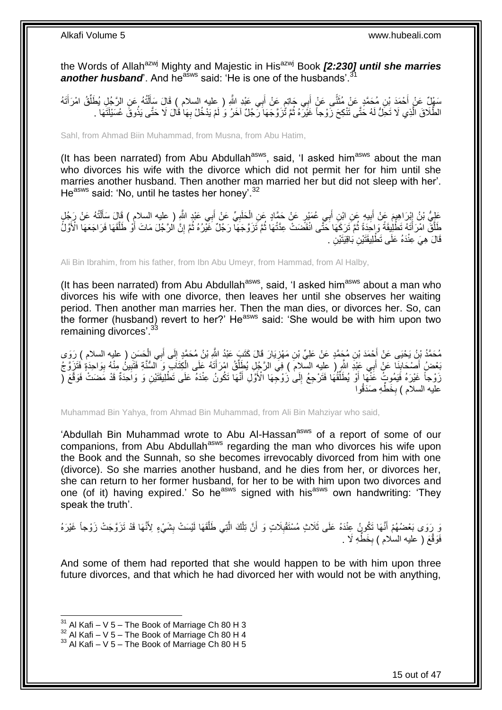the Words of Allah<sup>azwj</sup> Mighty and Majestic in His<sup>azwj</sup> Book *[2:230] until she marries* another husband<sup>e</sup>. And he<sup>asws</sup> said: 'He is one of the husbands'.<sup>31</sup>

سَهْلُ عَنْ أَحْمَدَ بْنِ مُحَمَّدٍ عَنْ مُثَنَّى عَنْ أَبِي جَاتِمٍ عَنْ أَبِي عَيْدِ اللَّهِ ( عليه السلام ) قَالَ سَأَلْتُهُ عَنِ الرَّجُلِ يُطَلِّقُ امْرَأَتَهُ<br>بِيَّةٍ عَنْ أَحْمَدَ بْنِ مُعَمَّدٍ عَنْ مُثَنَّى عَنْ ْ َ َ ٍ َ ةً<br>ما ما أن المالية المالية المالية المالية المالية المالية المالية المالية المالية المالية المالية المالية الما<br>المالية المالية المالية المالية المالية المالية المالية المالية المالية المالية المالية المالية المالية الما َ َ ِّ الطَّلَاقَ الَّذِي لَا تَحِلُّ لَهُ حَتَّى تَنْكِحَ زَوْجاً غَيْرَهُ ثُمَّ تُزَوَّجَهَا رَّجُلٌ اخَرُ وَ لَمْ يَذْخُلْ بِهَا قَالَ لَا حَتَّى يَذُوقَّ عُسَيْلَتَهَا بِ ُ َّ ِ

Sahl, from Ahmad Biin Muhammad, from Musna, from Abu Hatim,

(It has been narrated) from Abu Abdullah $a_{\text{sws}}$ , said, 'I asked him $a_{\text{sws}}$  about the man who divorces his wife with the divorce which did not permit her for him until she marries another husband. Then another man married her but did not sleep with her'. He<sup>asws</sup> said: 'No, until he tastes her honey'.<sup>32</sup>

عَلِيُّ بْنُ إِبْرَاهِيمَ عَنْ أَبِيهِ عَنِ ابْنِ أَبِي عُمَيْرِ عَنْ حَمَّادٍ عَنِ الْحَلَبِيِّ عَنْ أَبِي عَبْدٍ اللَّهِ ( عليه السلام ) قَالَ سَأَلْتُهُ عَنْ رَجُلٍ َ **!** َ ْ َ َ **∶** ْ طَلَّقَ امْرَ أَتَهُ تَطْلِيقَةً وَإِحَدَةً ثُمَّ تَرَكَّهَا حَتَّى انْقَضَتْ عِدَّتُهَا ثُمَّ تَزَوَّجَهَا رَجُلٌ غَيْرُهُ ثُمَّ إِنَّ الرَّجُلَ مَاتَ أَوْ طَلَّقَهَا فَرَاجَعَهَا الْأَوَّلُ ُ ان<br>المقامات ٔ.<br>ـ َ ٔ<br>ا َّ أ ِ قَالَ ۚ هِيَ ۚ عِنْدَهُ عَلَى تَطَّٰلِيقَتَيْنِ بَاقِيَتَيْنِ .

Ali Bin Ibrahim, from his father, from Ibn Abu Umeyr, from Hammad, from Al Halby,

(It has been narrated) from Abu Abdullah<sup>asws</sup>, said, 'I asked him<sup>asws</sup> about a man who divorces his wife with one divorce, then leaves her until she observes her waiting period. Then another man marries her. Then the man dies, or divorces her. So, can the former (husband) revert to her?' He<sup>asws</sup> said: 'She would be with him upon two remaining divorces'.<sup>33</sup>

مُحَمَّدُ بْنُ يَحْيَى عَنْ أَحْمَدَ بْنِ مُجَمَّدٍ عَنْ عَلِيِّ بْنِ مَهْزِيَارَ قَالَ كَتَبَ عَبْدُ اللَّهِ بْنُ مُحَمَّدٍ إِلَى أَبِي الْحَسَنِ ( عليه السلام ) رَوَى<br>مستقى الله عليه السلام ) رَبَّتَ مَّا عَلِيِّ بْنِ م **∶** ْ َ ِ َبَعْضُ أَصْحَابِنَا عَنْ أَبِي عَبْدَ الثَّهِ ( عليه السَّلامَ ) فِيَ الرَّجُلِ يُطَلِّقُ امْرَأَتَهُ عَلَى الْكِتَابِ وَ السُّنَّةِ فَتَبَيْنُ مِنْهُ بِوَاحِدَةٍ فَتَزِوَّجُ ِّ َ ا<br>∶ ِ ِ ْ َ رَوْجاً غَيْرَهُ فَيَمُوتُ عَنْهَا أَوْ يُطَلِّقُهَا فَتَرْجِعُ إِلَىٰ زَوْجِّهَا الْأَوَّلِ أَنَّهَا تَكُونُ عِنْدَهُ عَلَى تَطْلِيَقَتَيْنِ وَ وَاحِدَةٌ قَدْ مَضَتْ فَوَقَّعَ ( َ  $\frac{1}{2}$ ِّ عَلَيه السلام ) بِخَطِّهِ صَدَقُوا **∶** 

Muhammad Bin Yahya, from Ahmad Bin Muhammad, from Ali Bin Mahziyar who said,

'Abdullah Bin Muhammad wrote to Abu Al-Hassan<sup>asws</sup> of a report of some of our companions, from Abu Abdullah<sup>asws</sup> regarding the man who divorces his wife upon the Book and the Sunnah, so she becomes irrevocably divorced from him with one (divorce). So she marries another husband, and he dies from her, or divorces her, she can return to her former husband, for her to be with him upon two divorces and one (of it) having expired.' So he<sup>asws</sup> signed with his<sup>asws</sup> own handwriting: 'They speak the truth'.

وَ رَوَى بَعْضُهُمْ أَنَّهَا تَكُونُ عِنْدَهُ عَلَى ثَلَاثٍ مُسْتَقْبِلَاتٍ وَ أَنَّ تِلْكَ الَّتِي طَلَّقَهَا لَيْسَتْ بِشَيْءٍ لِأَنَّهَا قَدْ تَزَوَّجَتْ زَوْجاً غَيْرَهُ ِ َّ َّ ْ اُ ِ َ فَوَقَّعَ ( عليه السلام ) بِخَطِّهِ لَا . ِ

And some of them had reported that she would happen to be with him upon three future divorces, and that which he had divorced her with would not be with anything,

 $31$  Al Kafi – V 5 – The Book of Marriage Ch 80 H 3

 $32$  Al Kafi – V 5 – The Book of Marriage Ch 80 H 4

 $33$  Al Kafi – V 5 – The Book of Marriage Ch 80 H 5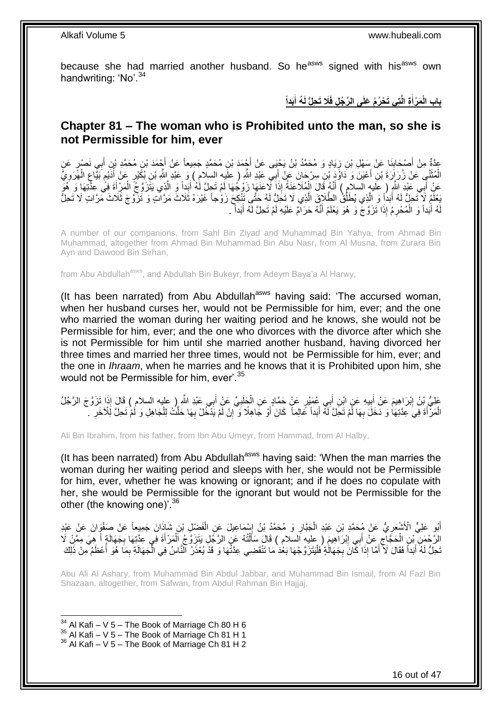because she had married another husband. So he<sup>asws</sup> signed with his<sup>asws</sup> own handwriting: 'No'.<sup>34</sup>

> باب الْمَرْأَةِ الَّتِى تَحْرُمُ عَلَى الرَّجُلِ فَلَا تَحِلُّ لَهُ أَبَداً **َ َ**

## <span id="page-15-0"></span>**Chapter 81 – The woman who is Prohibited unto the man, so she is not Permissible for him, ever**

عِدَّةٌ مِنْ أَصْحَابِذَا عَنْ سَهْلِ بْنِ زِيَادٍ وَ مُحَمَّدُ بْنُ يَحْيَى عَنْ أَجْمَدَ بْنِ مُحَمَّدٍ مَنْ فَحَمَّدِ بْنِ مُحَمَّدٍ بْنِ أَبِي نَصْرٍ عَنِ<br>وَمَعَ الْمَحَمَّدِ بْنِي أَبِي نَصْرٍ عَنِ **∶ ∣** َ َ َ الْمُثَنَّى عَنْ زُرَإِرَةَ بْنِ أَعْيَنَ وَ دَاوُدَ بْنِ سِرْجَانَ عَنْ أَبِي عَيْدِ اللَّهِ ( علَيه السلام ) وَ عَبْدِ اللَّهِ بْنِ بُكَيْرٍ عَنْ أُدَيْمِ بَيِّاعٍ الْهَّرَوِيُّ َ َ َ ِ ْ ِ **ื** ر<br>اُ عَنْ أَبِي عَبْدِ اللَّهِ ( عَلَيهِ السّلاَمِ ) أَنَّهُ قَالَ الْمُلَاعَنَةُ إِذَا لَاعَنَهَا زَوْجُهَا لَمْ تَحِلَّ لَٰهُ أَبَداً وَ الَّذِي يَتَّزَوَّجُ الْمَزِّأَةَ فِي عِذَّتِهَا وَ ِ هُوَ<br>وَيَدَ يَجْمَعُ اللَّهُ إِنَّ َ َ ْ َّ َ ْ ُبِعْلَمُ لَإِ تَحِلُّ لَهُ أَبَدًا وَ الَّذِي يُطَلُّقُ الطَّلَاقَ الَّذِي لَا تَحَلُّ لَهُ حَتَّى تَنْكِحَ زَوْجاً غَيْرَهُ ثَلَاثَ مَرَّاتٍ كَانَ مَرَّاتٍ لَا تَحِلُّ َّ ِّ َّ َ هُ أَبَداً وَ الْمُحْرِمُ إِذَا تَزَوَّجَ وَ هُوَ يَعْلَمُ أَنَّهُ حَرَامٌ عَلَيْهِ لَمْ تَحِلَّ لَهُ أَبَداً ۖ َ ِ ْ َ لَ

A number of our companions, from Sahl Bin Ziyad and Muhammad Bin Yahya, from Ahmad Bin Muhammad, altogether from Ahmad Bin Muhammad Bin Abu Nasr, from Al Musna, from Zurara Bin Ayn and Dawood Bin Sirhan,

from Abu Abdullah<sup>asws</sup>, and Abdullah Bin Bukeyr, from Adeym Baya'a Al Harwy,

(It has been narrated) from Abu Abdullah<sup>asws</sup> having said: 'The accursed woman, when her husband curses her, would not be Permissible for him, ever; and the one who married the woman during her waiting period and he knows, she would not be Permissible for him, ever; and the one who divorces with the divorce after which she is not Permissible for him until she married another husband, having divorced her three times and married her three times, would not be Permissible for him, ever; and the one in *Ihraam*, when he marries and he knows that it is Prohibited upon him, she would not be Permissible for him, ever'.<sup>35</sup>

عَلِيُّ بِنُ إِبْرَاهِيمَ عَنْ أَبِيهِ عَنٍ ابْنِ أَبِي عُمَيْرٍ عَنٍْ حَمَّادٍ عَنِ الْحَلَبِيِّ عَنِْ أَبِي عَبْدِ اللَّهِ إِما السلام ) قَالَ إِذَا تَزَوَّجَ الرَّجُلُ َ ِ ْ **!** َ ِ الْمَرْأَةَ فِيَ عِدَّتِهَا وَ دَخَلَ بِهَا لَمْ تَحِلَّ لَمْهُ أَبَداً عَالِماً ۖ كَانَ أَوْ جَاهِلًا وَ إِنْ لَمْ يَذْخُلْ بِهَا حَلَّتُ لِلْجَاهِلِ وَ لَمْ تَحِلَّ لَلْأَخَرِ ۚ يَ َ ِ َ ْ ِ ْ **∶** ِ َ

Ali Bin Ibrahim, from his father, from Ibn Abu Umeyr, from Hammad, from Al Halby,

(It has been narrated) from Abu Abdullah<sup>asws</sup> having said: 'When the man marries the woman during her waiting period and sleeps with her, she would not be Permissible for him, ever, whether he was knowing or ignorant; and if he does no copulate with her, she would be Permissible for the ignorant but would not be Permissible for the other (the knowing one)'.<sup>36</sup>

أَبُو عَلِيٍّ الْأَشْعَرِيُّ عَنْ مُحَمَّدِ بْنِ عَبْدِ الْجَبَّارِ وَ مُحَمَّدُ بْنُ إِسْمَاعِيلَ عَنِ الْفَضْلِ بْنِ شَاذَانَ جَمِيعاً عَنْ صَفْوَانَ عَنْ عَبْدِ ْ ِ ِ ْ ِ الزَّحْمَنِ ۚ بْنِ الْحَجَّاجِ عَنْ أَبِي إِبْرَاهِيمَ ( عليه السلام ) قَالَ سَأَلْتُهُ عَنِ الزَّجُلِ يَتَزَوَّجُ الْمَرْأَةَ فِي عِثَّتِهَا بِجَهَالَةٍ أَ هِيَ مِمَّنْ لَا ْ َ ِ َ ِ ْ َ ِ َ ْ نَّحِلُّ لَهُ أَبَداً فَقَالَ لَأَ أَمَّا إِذَا كَانَ بِجَهَالَٰةٍ فَلْيَتَزَوَّجْهَا بَعْدَ مَا تَنْقَضِي عِدَّتُهَا وَ قَدْ يُعْذَرُ ٱلنَّاسُ فِي الْجَهَالَةِ بِمَا هُوَ أَعْظَمُ مِنْ ذَلِكَ ْ ِ َ َ َ ِ ْ

Abu Ali Al Ashary, from Muhammad Bin Abdul Jabbar, and Muhammad Bin Ismail, from Al Fazl Bin Shazaan, altogether, from Safwan, from Abdul Rahman Bin Hajjaj,

 $34$  Al Kafi – V 5 – The Book of Marriage Ch 80 H 6

 $35$  Al Kafi – V 5 – The Book of Marriage Ch 81 H 1

<sup>36</sup> Al Kafi – V 5 – The Book of Marriage Ch 81 H 2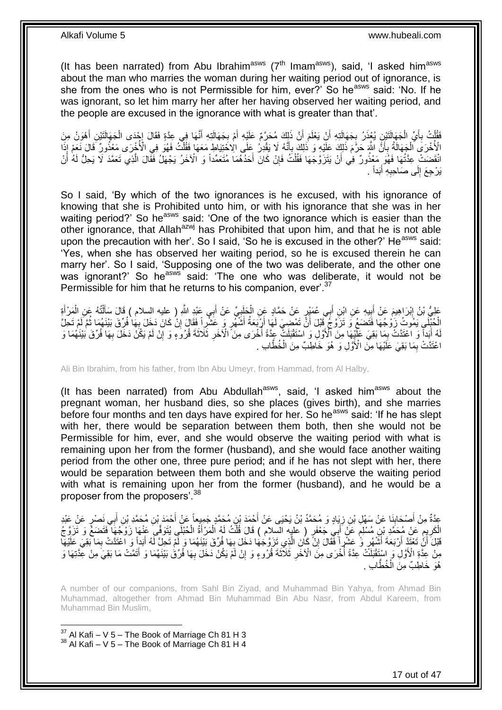(It has been narrated) from Abu Ibrahim<sup>asws</sup> ( $7<sup>th</sup>$  Imam<sup>asws</sup>), said, 'I asked him<sup>asws</sup> about the man who marries the woman during her waiting period out of ignorance, is she from the ones who is not Permissible for him, ever?' So he<sup>asws</sup> said: 'No. If he was ignorant, so let him marry her after her having observed her waiting period, and the people are excused in the ignorance with what is greater than that'.

فَقُلْتُ بِأَيِّ الْجَهَالَنَيْنِ يُغِذَرُ بِجَهَالَتِهِ أَنْ يَعْلَمَ أَنَّ ذَلِكَ مُحَرَّمٌ عَلَيْهِ أَمْ بِجَهَالَتِهِ أَنَّهَا فِي عِدَّةٍ فَقَالَ إِجْدَى الْجَهَالَنَيْنِ أَهْوَنُ مِنَ َ **∶** َ اً َ **∶** ْ َ **∶** .<br>ا َ ْ  $\frac{1}{2}$ الْأُخْرَى الْجَهَالَةُ بِأَنَّ اللَّهَ حَرَّمَ ذَلِكَ عَلَيْهِ وَ ذَلِكَ بِأَنَّهُ لَا يَقْدِرُ عَلَى الْاُخْتِلَاطِ مَعَهَا فَقُلْتُ فَهُوَ فِي الْأُخْرَى مَعْنُونِ فَالَ نَعَمْ إِذَا َ **∶** ْ ْ َ **∶** انْقَضَتْ عِدَّتُهَا فَهُوَ مَعْذُورٌ فِي أَنْ يَتَزَوَّجَهَا فَقُلْتُ فَإِنْ كَانَ أَحَدُهُمَا مُتَعَمِّداً وَ الْآخَرُ يَجْهَلُ فَقَالَ الَّذِي تَعَمَّدَ لَا يَحِلُّ لَهُ أَنْ َ ِ ْ اُ َ َّ يَرْجِعَ إِلَى صَاحِبِهِ أَبَداً . **∶**  $\frac{1}{2}$ 

So I said, 'By which of the two ignorances is he excused, with his ignorance of knowing that she is Prohibited unto him, or with his ignorance that she was in her waiting period?' So he<sup>asws</sup> said: 'One of the two ignorance which is easier than the other ignorance, that Allah<sup>azwj</sup> has Prohibited that upon him, and that he is not able upon the precaution with her'. So I said, 'So he is excused in the other?' He<sup>asws</sup> said: 'Yes, when she has observed her waiting period, so he is excused therein he can marry her'. So I said, 'Supposing one of the two was deliberate, and the other one was ignorant?' So he<sup>asws</sup> said: 'The one who was deliberate, it would not be Permissible for him that he returns to his companion, ever'.<sup>37</sup>

عَلِيُّ بْنُ إِبْرَاهِيمَ عَنْ أَبِيهِ عَنِ ابْنِ أَبِي عُمَيْرٍ عَنْ حَمَّادٍ عَنِ الْجَلَبِيِّ عَنْ أَبِي عَبْدِ اللَّهِ ( عليه السلام ) قَالَ سَأَلْتُهُ عَنِ الْمَرْ أَةِ<br>وَمِنْ الْبَيْرَ الْمَرْةِ مَنْ أُبِيهِ عَنِ اب َ ្ត្រី<br>ស្ថិ ْ ِ َ ِ َ ْ ْ َ الْحُنْكِي يَمُوتُ زَوْجُهَا فَتَضَعُ وَ تَزَوَّجُ قَبْلَ أَنَّ تَمْضِيَ لَمَا أَرْبَعَهُ أَشَّهُرٍ وَ عَشْرِ أَ فَقَالَ إِنْ كَانَ دَخَلَ بِهَا فُرِّقَ بَيْنَهُمَا ثُمَّ لَمْ تَحِلَّ<br>الْجُنْكِي يَمُوتُ زَوْجُهَا فَتَضَعُ ا پایا<br>ا ِ ِ َ لَهُ أَبَداً وَ اعْتَدَتْ بِمَا بَقِيَ عَلَيْهَا مِنَ الْأَوَّلِ وَ اسْتَقْبَلَتْ عِدَّةً أُخْرَى مِنَ ۗ الْآخَرِ ثَلَاثَةَ قُرُوَءٍ وَ إِنْ لَمْ يَكُنْ دَخَلَ بِهَا فُرِّقَ بَيْنَهُمَا وَ **∶** ُ ِ َ ِ ِ اعْتَدَّتْ بِمَا بَقِيَ عَلَيْهَا مِنَّ الْأَوَّلِ وَ ۖ هُوَ خَاطِبٌّ مِنَ الْخُطَّابِ . ِ

Ali Bin Ibrahim, from his father, from Ibn Abu Umeyr, from Hammad, from Al Halby,

(It has been narrated) from Abu Abdullah<sup>asws</sup>, said, 'I asked him<sup>asws</sup> about the pregnant woman, her husband dies, so she places (gives birth), and she marries before four months and ten days have expired for her. So he<sup>asws</sup> said: 'If he has slept with her, there would be separation between them both, then she would not be Permissible for him, ever, and she would observe the waiting period with what is remaining upon her from the former (husband), and she would face another waiting period from the other one, three pure period; and if he has not slept with her, there would be separation between them both and she would observe the waiting period with what is remaining upon her from the former (husband), and he would be a proposer from the proposers'.<sup>38</sup>

عِدَّةٌ مِنْ أَصْحَابِذَا عَنْ سَهْلِ بْنِ زِيَادٍ وَ مُحَمَّدُ بْنُ يَحْيَى عَنْ أَحْمَدَ بْنِ مُحَمَّدٍ بْنِ مُحَمَّدٍ بْنِ أَبِي نَصْرٍ عَنْ عَبْدِ<br>عَيْنَ أَحْدَثُو بِّنِ أَبِي نَصْلٍ عَنْ سَبْلِ بْنِ زِيَادٍ وَ مُحَمَّ ¦ َ َ َ َ ِ الْكَرِيِمِ عَنْ مُحَمَّدِ بْنِ مُسْلِمٍ عَنْ أَبِيَ جَعْفَرٍ ( عليه السلام ) قَالَ قُلْتُ لَهُ الْمَرْأَةُ الْحُبْلَي بُنَوَفِّيَ عَنْهَا زَوْجُهَا فَتَضَعُّ وَ تَزَوَّجُ<br>ُنِدِيَنِ يَجَمَعُوا فَتَضَعُّ وَ تَزَوَّجُ ْ َ ْ ْ َ م ِ ِ َفَلْ َأَنُّ تَعْتَذَ أَرْبَعَةَ أَشْهُرٍ وَّ عَشْرٍ أَ فَقَالَ إِنْ كَانَ الَّذِي تَزَوَّجُهَا دَخَلَ بِهَا فُرِّقَ بَيْنَهُمَا وَ لَمْ تَحِلَّ لَهُ أَبَداً وَ اعْتَدَتْ بِمَا بَقِيَ عَلَيْهَا<br>\*\*\*\*\*\*\*\*\*\*\*\*\*\*\*\*\*\*\*\*\*\*\*\*\*\*\* **∶** َّ ِ َ :<br>ا ِ َ مِنْ عِذَّةِ الْأَوَّلِ وَ اسْتَقْبَلَتَّ عِدَّةً أُخْرَى مِنَّ الْاخْرِ ثَلَاثَةَ قُرُوءٍ وَ إِنْ لَمْ يَكُنْ دَخَلَ بِهَا فُرِّقُ بَيْنَهُمَا وَ أَتَمَّتْ مَا بَقِيَ مِنْ عِّذَتِهَا وَ ِ ِ ِ ُ َ خُطَّابِ . هُوَ خَاطِبٌ مِنَ الْ

A number of our companions, from Sahl Bin Ziyad, and Muhammad Bin Yahya, from Ahmad Bin Muhammad, altogether from Ahmad Bin Muhammad Bin Abu Nasr, from Abdul Kareem, from Muhammad Bin Muslim,

 $37$  Al Kafi – V 5 – The Book of Marriage Ch 81 H 3  $38$  Al Kafi – V 5 – The Book of Marriage Ch 81 H 4

1

17 out of 47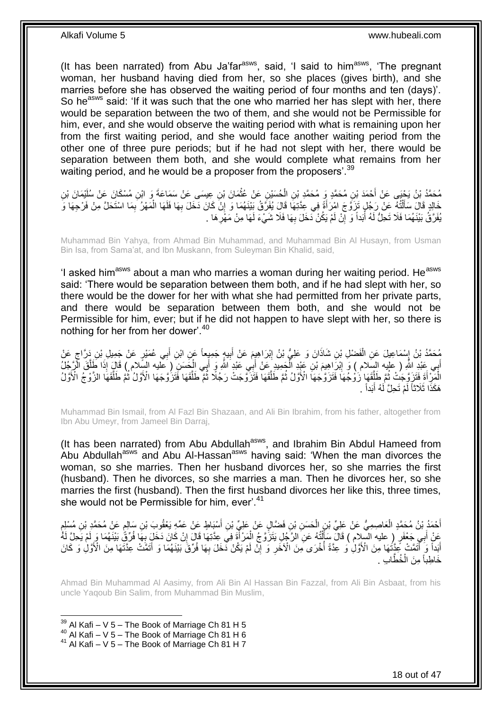(It has been narrated) from Abu Ja'far<sup>asws</sup>, said, 'I said to him<sup>asws</sup>, 'The pregnant woman, her husband having died from her, so she places (gives birth), and she marries before she has observed the waiting period of four months and ten (days)'. So he<sup>asws</sup> said: 'If it was such that the one who married her has slept with her, there would be separation between the two of them, and she would not be Permissible for him, ever, and she would observe the waiting period with what is remaining upon her from the first waiting period, and she would face another waiting period from the other one of three pure periods; but if he had not slept with her, there would be separation between them both, and she would complete what remains from her waiting period, and he would be a proposer from the proposers'.<sup>39</sup>

مُحَمَّدُ بْنُ يَحْيَى عَنْ أَحْمَدَ بْنِ مُحَمَّدٍ فِي الْحُسَيْنِ عَنْ عُثْمَانَ بْنِ عِيسَى عَنْ سَمَاعَةَ و<br>يَمْسَمُ الْمُسْلَمَاتِ الْمَدَّدِينِ مُحَمَّدٍ وَ مُحَمَّدِ بْنِ الْحُسَيْنِ عَنْ عَيْسَةٍ عَنْ سَبَعَا وَمِ **ٔ** ْ َ ِّفَالَ سَأَلَٰٓتُهُ عَنْ رَجُلٍ تَزَوَّجَ امْرَأَةً فِي عِدَّتِهَا قَالَ يُفَرَّقُ بَيْنَهُمَا وَ إِنْ كَانَ دَخَلَ بِهَا فَلَهَا الْمَهْرُ بِمَا اسْتَحَلَّ مِنْ فَرْجِهَا وَ َ ֺ֧֦֧֦֧֦֦֦֦֖֦֪֦֪֦֧֦֪֦֪֦֪֪֦֪֪֦֪֪֦֪֦֪֪֦֝֟֟֟֟֟֟֟֟֟֟֟֟֟֟֟֟֟֟֟֟֟֟֓֕֟֓֟֓֟֓֟֓֟֓֟֓֟֓֟֓֟֓֟֓֟֟֟֝֟֟֟֟֟֟֟֝֟ َ **∶** ْ **∶** ِ يُفَرَّقُ بَيْنَهُمَا فَلَا تَحِلُّ لَهُ أَبَداً وَ إِنْ لَمْ يَكُنْ دَخَلَ بِهَا فَلَا شَيْءَ لَهَا مِنْ مَهْرِ هَا . ِ ِ َ **∶** 

Muhammad Bin Yahya, from Ahmad Bin Muhammad, and Muhammad Bin Al Husayn, from Usman Bin Isa, from Sama'at, and Ibn Muskann, from Suleyman Bin Khalid, said,

'I asked him<sup>asws</sup> about a man who marries a woman during her waiting period. He<sup>asws</sup> said: 'There would be separation between them both, and if he had slept with her, so there would be the dower for her with what she had permitted from her private parts, and there would be separation between them both, and she would not be Permissible for him, ever; but if he did not happen to have slept with her, so there is nothing for her from her dower'.<sup>40</sup>

ُحَمَّدُ بْنُ إِسْمَاعِيلَ عَنِ الْفَضْلِ بْنِ شَاذَانَ وَ عَلِيُّ بْنُ إِبْرَاهِيِمَ عَنْ أَبِيهٍ جَمِيِعاً عَنِ ابْنِ أَبِي عُمَيْرٍ عَنْ جَمِيلِ بْنِ دَرَّاجٍ عَنْ َ ِ َ ِ ْ ِ ٍ أَبِي عَنْدِ اللَّهِ ( عَلَيه السِّلام ) وَ إِبْرَاهِيمَ بْنِ عَيْدِ الْجَمِيدِ عَنْ أَبِي عَيْدِ اللَّهِ وَ أَبِي الْجَسَنِّ ( عليه السِّلام ) قَالَ إِذَا طَلَّقَ الْإَجْلُ ∣l<br>∶ َّ ْ َ َ ْ الْمَرِّ أَةَ فَتَزَوَّجَتُ ثُمَّ طَلِّقَهَا زَوْجَهَا فَتَزَوَّجَهَا الْأَوَّلُ ثُمَّ طَلَّقَها فَتَزَوَّجَتْ رَجُلًا ثُمَّ طَلَقَهَا فَتَزَوَّجَهَا الْأَوَّلُ ثُمَّ طَلَقَهَا الزَّوْج الْأَوَّلُ ا ماہ میں استعمال کے بعد میں استعمال کے لیے استعمال کے لیے استعمال کے لیے استعمال کے لیے استعمال کے لیے استعما<br>مسئلہ میں استعمال کرنے کے لیے مسئلہ میں استعمال کرنے کے لیے استعمال کرنے کے لیے استعمال کرنے کے لیے استعمال کے َّ ان<br>المقام المقام المقام المقام المقام المقام المقام المقام المقام المقام المقام المقام المقام المقام المقام المقا َّ ُ َ ْ َّ ُ . هَكَذَا ثَلَاثًا لَمْ تَحِلَّ لَهُ أَبَداً َ لَ

Muhammad Bin Ismail, from Al Fazl Bin Shazaan, and Ali Bin Ibrahim, from his father, altogether from Ibn Abu Umeyr, from Jameel Bin Darraj,

(It has been narrated) from Abu Abdullah<sup>asws</sup>, and Ibrahim Bin Abdul Hameed from Abu Abdullah<sup>asws</sup> and Abu Al-Hassan<sup>asws</sup> having said: 'When the man divorces the woman, so she marries. Then her husband divorces her, so she marries the first (husband). Then he divorces, so she marries a man. Then he divorces her, so she marries the first (husband). Then the first husband divorces her like this, three times, she would not be Permissible for him, ever'.<sup>41</sup>

أَحْمَدُ بْنُ مُحَمَّدٍ الْعَاصِمِيُّ عَنْ عَلِيِّ بْنِ الْحَسَنِ بْنِ فَضَّالٍ عَنْ عَلِيِّ بْنِ أَسْبَاطٍ عَنْ عَمِّهِ يَعْقُوبَ بْنِ سَالِمٍ عَنْ مُحَمَّدٍ بْنِ مُسْلِمٍ َ ْ ْ َ ֧֧֠֝֓׆֧ ٍ ْ َ فَيْ أَبِي جَعْفَرٍ ۚ ( عليه السِّلام ) قَالَ سَأَلْتُهُ عَنِ الرَّجُلِ يَتَزَّوَّجُ الْمَرْ أَةَ فِيَ عِذَتِهَا قَالَ إِنْ كَانَ دَخَلَ بِهَا فُرِّقٍ بَيْنَهُمَا وَ لَمْ يَحِلَّ لَهُ ֦֧֦֧֦֧֦֧֦֦֧֦֧֦֧֦֧֦֧֦֧֦֧֦֧֦֧֦֧֦֧֦֧֦֧֦֧֦֧֦֧֧֧֦֧֧֧֧֧֧֧֧֧֧֘֝֟֟֟֟֟֟֟֟֟֕֟֟֟֟֘֟֟֓֟֓֟֓֟֓֞֟֟֓֟֓֟֩֓֟֓֟֩֓֝֬֝֬֞֝֬֝֬֟֩֩<br>֧ׅ֧ׅ֧ׅ֧ׅ֧֛֪֦֧֪֧֪֧֦֧֦֪֧֪֧֛֜֜֜֜֜֝֝֬֞֟֩֞֬֟֝֬֞֟֩֞֬֜ َ ِ ِ َ أَبَداً وَ أَنَّمَتْ عَذَّتُهَا مِنَ الْأَوَّلِٰ وَ عِدَّةً أُخْرَى مِنَ الْآخَرِ وَ إِنْ لَمْ يَكُنْ دَّخَلَ بِهَا فُرِّقَ بَيْنَهُمَا وَ أَنَمَّتْ عِنَّتَهَا مِنَ الْأَوَّلِٰ وَ كَانَ ِ ِ ِ ا<br>ا َ َ خَاطِباً مِنَ الْخُطَّابِ .

Ahmad Bin Muhammad Al Aasimy, from Ali Bin Al Hassan Bin Fazzal, from Ali Bin Asbaat, from his uncle Yaqoub Bin Salim, from Muhammad Bin Muslim,

 $39$  Al Kafi – V 5 – The Book of Marriage Ch 81 H 5

1

<sup>40</sup> Al Kafi – V 5 – The Book of Marriage Ch 81 H 6

 $41$  Al Kafi – V 5 – The Book of Marriage Ch 81 H 7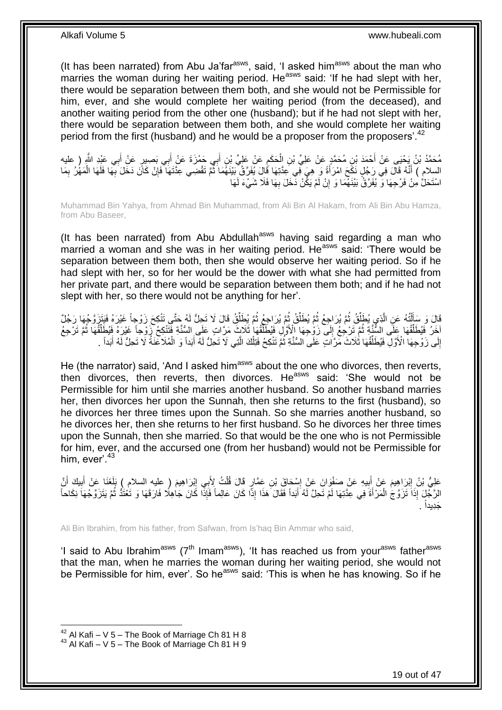(It has been narrated) from Abu Ja'far $a_{\text{sws}}$ , said, 'I asked him $a_{\text{sws}}$  about the man who marries the woman during her waiting period. He<sup>asws</sup> said: 'If he had slept with her, there would be separation between them both, and she would not be Permissible for him, ever, and she would complete her waiting period (from the deceased), and another waiting period from the other one (husband); but if he had not slept with her, there would be separation between them both, and she would complete her waiting period from the first (husband) and he would be a proposer from the proposers<sup>'.42</sup>

مُحَمَّدُ بْنُ يَحْيَى عَنْ أَحْمَدَ بْنِ مُحَمَّدٍ عَنْ عَلِيٍّ بْنِ الْحَكَمِ عَنْ عَلِيٍّ بْنِ أَبِي حَمْزَةَ عَنْ أَبِي بَصِيرٍ عَنْ أَبِي عَيْدِ اللَّهِ ( عليه َ َ ِ ْ َ السلام ) أَنَّهُ قَالَ فِي رَجُلٍ نَكَحَ امْرَأَةً وَ ِ هِيَ فِي عِدَّتِهَا قَالَ يُفَرَّقُ بَيْنَهُمَا ثُمَّ تَقْضِي عِدَّتَهَا فَإِنْ كَانَ دَخَلَ بِهَا فَلَهَا الْمَهْرُ بِمَا َ َ **∶** ْ **∶** ∣ļ ُ اسْتَحَلُّ مِنْ فَرْجِهَا وَ يُفَرَّقُُ بَيْنَهُمَا وَ إِنْ لَمْ يَكُنْ ذَخَلَ بِهَا فَلَا شَيْءَ لَهَا ِ ِ

Muhammad Bin Yahya, from Ahmad Bin Muhammad, from Ali Bin Al Hakam, from Ali Bin Abu Hamza, from Abu Baseer,

(It has been narrated) from Abu Abdullah<sup>asws</sup> having said regarding a man who married a woman and she was in her waiting period. He<sup>asws</sup> said: 'There would be separation between them both, then she would observe her waiting period. So if he had slept with her, so for her would be the dower with what she had permitted from her private part, and there would be separation between them both; and if he had not slept with her, so there would not be anything for her'.

قَالَ وَ سَأَلْتُهُ عَنِ الَّذِي يُطَلِّقُ ثُمَّ يُرَاجِعُ ثُمَّ يُطَلِّقُ ثُمَّ يُطِلِّقُ قَالَ لَا تَحِلُّ لَهُ حَتَّى تَنْكِحَ زَوْجاً غَيْرَهُ فَيَتَزَوَّجُهَا رَجُلٌ<br>ديد عبدالله ِّ .<br>• • • • ُ ِّ .<br>• • • • ُ ِّ اُ ֦֦֧֦֦֦֦֦֧֦֦֦֧֦֦֦֦֦֦֦֧֦֧֦֦֧֦֦֧֦֧֦֪֦֪֦֧֦֧֦֪֦֧֦֧֦֪֦֧֦֧֦֧֦֧֦֧֦֪֦֧֦֧֦֘֟֟֟֟֟֟֟֟֟֟֕֟֟֟֘֟֟֟֟֟֟֓֕֟֓֡֟֓֞֟֟֟֩֓֞֟֟֓֞֟֟֟֟֟֟ لَ اخَرُ فَيُطَلِّقُهَا عَلَى السُّنَّةِ ثُمَّ تَرْجِعُ إِلَى زَوْجِهَا إِلْأَوَّلِ فَيُطَلِّقُهَا إِلَاقَالَ فَي ِ ُ ِّ ر<br>: ِّ ِّ إِلَى زَوْجِهَا الْأَوَّلِ فَيُطَلِّقُهَا ثُلَاثَ مَرَّاتٍ عَلَّى السُّنَّةِ ثُمَّ تَنْكِحُ فَتِلْكَ الَّتِي لَا تَجِلُّ لَهُ أَبَداً وَ الْمُلَاعَنَةُ لَا تَحِلُّ لَهُ أَبَداً . َّ ْ .<br>• • • • ِّ ِ َ َ ْ

He (the narrator) said, 'And I asked him<sup>asws</sup> about the one who divorces, then reverts, then divorces, then reverts, then divorces. He<sup>asws</sup> said: 'She would not be Permissible for him until she marries another husband. So another husband marries her, then divorces her upon the Sunnah, then she returns to the first (husband), so he divorces her three times upon the Sunnah. So she marries another husband, so he divorces her, then she returns to her first husband. So he divorces her three times upon the Sunnah, then she married. So that would be the one who is not Permissible for him, ever, and the accursed one (from her husband) would not be Permissible for him, ever<sup> $43$ </sup>

عَلِيُّ بْنُ إِبْرَاهِيمَ عَنْ صَنْوِالَ عَلْ إِسْكَاقَ بْنِ عَمَّارٍ قَالَ قُلْتُ لِأَبِي إِبْرَاهِيمَ ( عليه السلام ) بَلَغَنَا عَنْ أَبِيكَ أَنَّ ِ ْ ∣l<br>∶ **!** َ **ֽוּ** َ ِ َ ِ الرَّجُْلَ إِذَا تَزَوَّجُ الْمَرْأَةَ فِي عِدَّتِهَا لَمْ تَحِلَّ لَهُ أَبَداً فَقَالَ هَذَا إِذًا كَانَ عَالِماً فَإِذَّا كَانَ جَاهِلًا فَارَقَهَا وَ تُعْتُدُ ثُمَّ يَتَزَوَّجُهَا نِكَاحاً َ َ ْ ر<br>ا . َجِديداً

Ali Bin Ibrahim, from his father, from Safwan, from Is'haq Bin Ammar who said,

'I said to Abu Ibrahim<sup>asws</sup> ( $7<sup>th</sup>$  Imam<sup>asws</sup>), 'It has reached us from your<sup>asws</sup> father<sup>asws</sup> that the man, when he marries the woman during her waiting period, she would not be Permissible for him, ever'. So he<sup>asws</sup> said: 'This is when he has knowing. So if he

 $42$  Al Kafi – V 5 – The Book of Marriage Ch 81 H 8

 $43$  Al Kafi – V 5 – The Book of Marriage Ch 81 H 9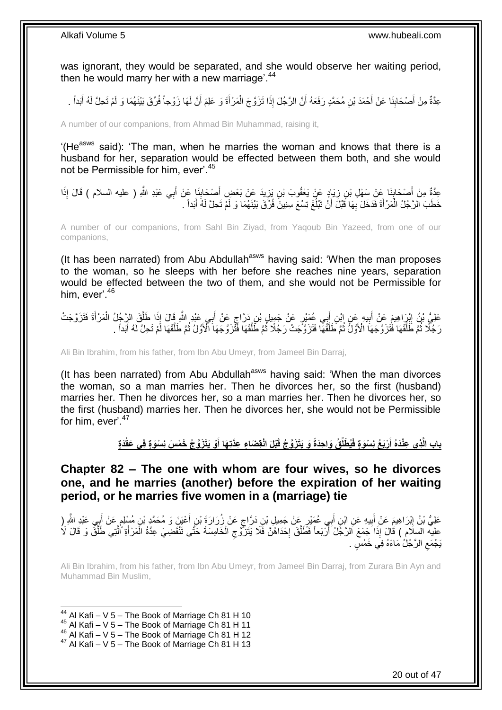was ignorant, they would be separated, and she would observe her waiting period, then he would marry her with a new marriage<sup>'.44</sup>

عِدَّةٌ مِنْ أَصْحَابِنَا عَنْ أَحْمَدَ بْنِ مُحَمَّدٍ رَفَعَهُ أَنَّ الرَّجُلَ إِذَا تَزَوَّجَ الْمَرْأَةَ وَ عَلِمَ أَنَّ لَهَا زَوْجاً فُرِّقَ بَيْنَهُمَا وَ لَمْ تَحِلَّ لَهُ أَبَداً َ َ ْ َ **∣** َ َ

A number of our companions, from Ahmad Bin Muhammad, raising it,

'(He<sup>asws</sup> said): 'The man, when he marries the woman and knows that there is a husband for her, separation would be effected between them both, and she would not be Permissible for him, ever'.<sup>45</sup>

عِدَّةٌ مِنْ أَصْحَابِذَا عَنْ سَهْلِ بْنِ زِيَادٍ عَنْ يَعْقُوبَ بْنِ يَزِيدَ عَنْ بَعْضٍ أَصْحَابِذَا عَنْ أَبِي عَبْدِ اللَّهِ ( عليه السلام ) قَالَ إِذَا<br>عِدَّةٌ مِنْ أَصْحَابِذَا عَنْ تَبِيدُ تَبْلُغُ عَلَيْهِ عَلَيْ ِ **∣** َ َ  $\frac{1}{2}$ َ ِ خَطَبَ الرَّجُلُ الْمَرْأَةَ فَدَخَلَ بِهَا قَبْلَ أَنْ تَبْلُغَ تِسْعَ سِنِينَ فُرَّقَ بَيْنَهُمَا وَ لَمْ تَحِلَّ لَهُ أَبَداً . َ ا<br>ا َ ِ َ ْ

A number of our companions, from Sahl Bin Ziyad, from Yaqoub Bin Yazeed, from one of our companions,

(It has been narrated) from Abu Abdullah<sup>asws</sup> having said: 'When the man proposes to the woman, so he sleeps with her before she reaches nine years, separation would be effected between the two of them, and she would not be Permissible for him, ever<sup>'46</sup>

ِ عَلِيُّ بْنُ إِيْرٍاهِيمَ عَنْ أَبِيهِ عَنِ إِنْ أَبِي عُمَيْرٍ عَنْ جَمِيلٍ بْنِ دَرَّاجٍ عَنْ أَبِي عَيْدِ اللَّهِ قَالَ إِذَا طَلَّقَ الرَّجُلُ الْمَرْأَةَ فَتَزَوَّجَتْ َ ٍ َ **!** َ **֓**֖֖֦֧֦֦֢ׅ֦֧֦֧֦֧֦֧֦֧֦֚֚֚֚֓֡֡֝֓֡֘֝֘֟ َ ْ َّ رَ جُلَّا ثُمَّ طَلَّقَهَا فَتُزَوَّجَهَا الْأَوَّلُ ثُمَّ طَلَّقَهَا فَتَزَوَّجَتْ رَجُلاً ثُمَّ طَلَّقَهَا أَلَّأَوَّلُ ثُمَّ طَلَّقَهَا لَّمْ تَحِلَّ لَهُ أَبَداً . َّ ا ماہ<br>سال َّ ِ<br>ا َ َّ ا<br>المقام َّ ان<br>سال 1

Ali Bin Ibrahim, from his father, from Ibn Abu Umeyr, from Jameel Bin Darraj,

(It has been narrated) from Abu Abdullah<sup>asws</sup> having said: 'When the man divorces the woman, so a man marries her. Then he divorces her, so the first (husband) marries her. Then he divorces her, so a man marries her. Then he divorces her, so the first (husband) marries her. Then he divorces her, she would not be Permissible for him, ever'.<sup>47</sup>

> باب الَّذِي عِنْدَهُ أَرْبَعُ نِسْوَةٍ فَيُطَلِّقُ وَاحِدَةً وَ يَتَزَوَّجُ قَبْلَ انْقِضَاءِ عِذَّتِهَا أَوْ يَتَزَوَّجُ خَمْسَ نِسْوَةٍ فِي عَقْدَةٍ **َ َ**

<span id="page-19-0"></span>**Chapter 82 – The one with whom are four wives, so he divorces one, and he marries (another) before the expiration of her waiting period, or he marries five women in a (marriage) tie**

عَلِيُّ بْنُ إِبْرَاهِيمَ عَنْ أَبِيهِ عَنِ ابْنِ أَبِي عُمَيْرٍ عِنْ جَمِيلِ بْنِ دَرَّاجٍ عَنْ زُِرَارَةَ بْنِ أَعْيَنَ وَ مُحَمَّدٍ بْنِ مُبِنْلِمٍ عَنْ أَبِي عَبْدِ الثَّهِ ( َ ٍ **!** َ ِ َ ֧֖֧֦֧֦֧֦֧֦֚֝֝֝֝֝ عليه السلام ) قَالَ إِذَا جَمَعَ الرَّجُلُ أَرْبَعاً فَطَلَّقَ إِحْدَاهُنَّ فَلَا يَتَزَرَّى ج الْخَامِسَةَ حَتَّى تَنْقَضِيَ عِدَّةُ الْمَرْأَةِ اُلْتِي طَلَّقَ وَ قَالَ لَا<br>وَمَعَتَمُ مَثَلُو مِنْ مَثَلُو مِنْ مَثَلِ ال ْ **∶** َّ َ َّ َّ َ ْ يَجْمَعِ الرَّجُلُ مَاءَهُ فِي خَمْسٍ <sub>.</sub>  $\zeta$ 

Ali Bin Ibrahim, from his father, from Ibn Abu Umeyr, from Jameel Bin Darraj, from Zurara Bin Ayn and Muhammad Bin Muslim,

1  $44$  Al Kafi – V 5 – The Book of Marriage Ch 81 H 10

- <sup>45</sup> Al Kafi V 5 The Book of Marriage Ch 81 H 11
- $46$  Al Kafi V  $5$  The Book of Marriage Ch 81 H 12

 $47$  Al Kafi – V 5 – The Book of Marriage Ch 81 H 13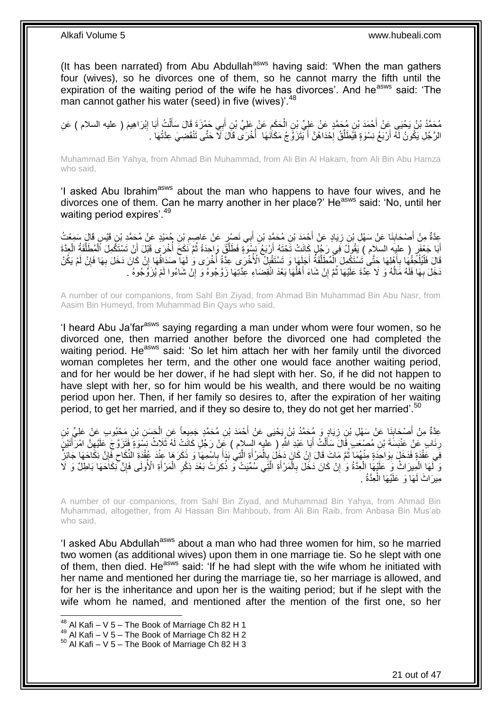(It has been narrated) from Abu Abdullah<sup>asws</sup> having said: 'When the man gathers four (wives), so he divorces one of them, so he cannot marry the fifth until the expiration of the waiting period of the wife he has divorces'. And he<sup>asws</sup> said: 'The man cannot gather his water (seed) in five (wives)<sup>'.48</sup>

ْ مُحَمَّدُ بْنُ يَحْيَى عَنْ أَحْمَدَ بْنِ مُحَمَّدٍ عَنْ عَلِيِّ بْنِ الْحَكَمِ عَنْ عَلِيٍّ بْنِ أَبِي حَمْزَةَ قَالَ سَأَلْتُ أَبَا إِبْرَاهِيمَ ( عليه السلام ) عَنِ<br>دعيد المُمِدِّي عَنْ أَمْرَ الْعَلَيْفِ مَصَدَّدٍ عَن َ َ ِ ْ َ ِ َ الرَّجُلِ يَكُونُ لَهُ أَرْيَعُ نِسْوَةٍ فَيُطَلِّقُ إِحْدَاهُنَّ أَ يَتَزَوَّجُ مَكَاَنَهَا ۖ أَخْرَى قَالَ َلَا حَتَّى تَنْقَضِيَ عِدَّتُهَا ۚ . َ  $\cdot$ ِّ ا<br>ا

Muhammad Bin Yahya, from Ahmad Bin Muhammad, from Ali Bin Al Hakam, from Ali Bin Abu Hamza who said,

'I asked Abu Ibrahim<sup>asws</sup> about the man who happens to have four wives, and he divorces one of them. Can he marry another in her place?' He<sup>asws</sup> said: 'No, until her waiting period expires'.<sup>49</sup>

عِدَّةٌ مِنْ أَصْحَابِذَا عَنْ سَهْلِ بْنِ زِيَادٍ عَنْ أَحْمَدَ بْنِ مُحَمَّدٍ بْنِ أَبِي نَصْرٍ عَنْ عَاصِمِ بْنِ جُمَيْدٍ عَنْ مُحَمَّدٍ بْنِ قَيْسٍ قَالَ سَمِعْتُ<br>يَحْمَدُ بَنِّ قَيْسٍ وَيَحْمَلُ بِنِ زِيَادٍ عَنْ أَح ِ َ ِ **∣** َ أَبَا جَعْفَرٍ ( عليه السلام ) يَقُولُ فِي رَجُلٍ كَانَتْ تَحْتَهُ أَرْبَعُ نِسْوَةٍ فَطَلَّقَ وَاحِدَةً ثُمَّ نَكَحَ أُخْرَى قَبْلَ أَنْ تَسْتَكْمِلَ ٱلْمُطَلَّقَةُ الْجِدَّةَ<br>الْإِنَّا أَنَّهُ مَنْ أَنْ تَسْتَكُمِلَ ٱلْ ا<br>ا ُ َّ َ ْ َّ ْ َ قَالَ فَلْيُلْحِقْهَا بِأَهْلِهَا حَتَّىٰ تَسْتَكْمِلَ الْمُطَلَّقَةُ أَجَلِهَا وَ تَسْتَقْبِلُ الْأُخْرَى عِدَّةً أُخْرَى وَٰ لَهَا صَدَاقُهَا إِنْ كَانَ دَخَلَ بِهَا فَإِنْ لَمْ يَكُنْ َ َّ ْ َ ِ ْ ْ ِ ِ ِ ِ ِ دَخَلَ بِهَا فَلَهُ مَالُهُ وَ لَا عِدَّةَ عَلَيْهَا ثُمَّ إِنْ شَاءَ أَهْلُهَا بَعْدَ انْقِضَاءِ عِدَّتِهَا زَوَّجُوهُ وَ إِنْ شَاءُوا لَمْ يُزَوِّجُوهُ .  $\overline{a}$ َ ِ .<br>• • • • ا<br>ا **∶** 

A number of our companions, from Sahl Bin Ziyad, from Ahmad Bin Muhammad Bin Abu Nasr, from Aasim Bin Humeyd, from Muhammad Bin Qays who said,

'I heard Abu Ja'far<sup>asws</sup> saying regarding a man under whom were four women, so he divorced one, then married another before the divorced one had completed the waiting period. He<sup>asws</sup> said: 'So let him attach her with her family until the divorced woman completes her term, and the other one would face another waiting period, and for her would be her dower, if he had slept with her. So, if he did not happen to have slept with her, so for him would be his wealth, and there would be no waiting period upon her. Then, if her family so desires to, after the expiration of her waiting period, to get her married, and if they so desire to, they do not get her married'.<sup>50</sup>

عِدَّةٌ مِنْ أَصْحَابِذَا عَنْ سَهْلِ بْنِ زِيَادٍ وَ مُحَمَّدُ بْنُ يَحْيَى عَنْ أَحْمَدَ بْنِ مُحَمَّدٍ جَمِيعاً عَنِ الْحَسَنِ بْنِ مَحْبُوبٍ عَنْ عَلِيٍّ بْنِ ْ ِ ِ َ رِنَابٍ عَنْ عَنْبَسَةَ بْنِ مُصْعَبٍ قَالَ سَأَلْتُ أَبَا عَبْدِ اللَّهِ ( عَليه السلام ) عَنْ رَجُلٍ كَانَتْ لَهُ ثَلَاثُ نِسْوَةٍ فَتَزَرَّى بَحَ عَلَيْهِنَّ امْرَأَتَيْنَ ِ َ ِ َ ْ َ فَي عَقْدَةٍ فَدَخَلَ بِوَاحِدَةٍ مِنْهُمَا ثُمَّ مَاتَ قَالَ إِنْ كَانَ دَخَلَ بِالْمَرْ أَةِ الَّتِي بَدَأَ بِاسْمِهَا وَ ذَكَرَ هَا عِنْدَ عُقْدَةِ النِّكَاحِ فَإِنَّ نِكَاحَهَا جَائِزٌ ِ َ َّ َ ْ ِ <u>֖֚֚֚֚֚֚֚</u> ا ماہ<br>سال **ِ** ِ ِ وَ أَلَهَا الْمِيرَاتُ وَ كَلَيْهَا الْعِدَّةُ وَ إِنْ كَانَ دَخَٰلَ بِالْمَرْأَةِ الَّتِي سُمَّيَتْ وَ ذُكِرَتْ بَعْدَ ذِكْرِ الْمَرْأَةِ الْأُولَى فَإِنَّ نَكَاحَهَا بَاطِلٌ وَ لَا ِ َّ َ ْ **∶** ِ ْ ْ ِ َ ْ مِيرَاتٌ لَمَهَا وَ عَلَيْهَا الْعِدَّةُ . ْ

A number of our companions, from Sahl Bin Ziyad, and Muhammad Bin Yahya, from Ahmad Bin Muhammad, altogether, from Al Hassan Bin Mahboub, from Ali Bin Raib, from Anbasa Bin Mus'ab who said,

'I asked Abu Abdullah<sup>asws</sup> about a man who had three women for him, so he married two women (as additional wives) upon them in one marriage tie. So he slept with one of them, then died. He<sup>asws</sup> said: 'If he had slept with the wife whom he initiated with her name and mentioned her during the marriage tie, so her marriage is allowed, and for her is the inheritance and upon her is the waiting period; but if he slept with the wife whom he named, and mentioned after the mention of the first one, so her

 $48$  Al Kafi – V 5 – The Book of Marriage Ch 82 H 1

 $49$  Al Kafi – V  $5$  – The Book of Marriage Ch 82 H 2

 $50$  Al Kafi – V 5 – The Book of Marriage Ch 82 H 3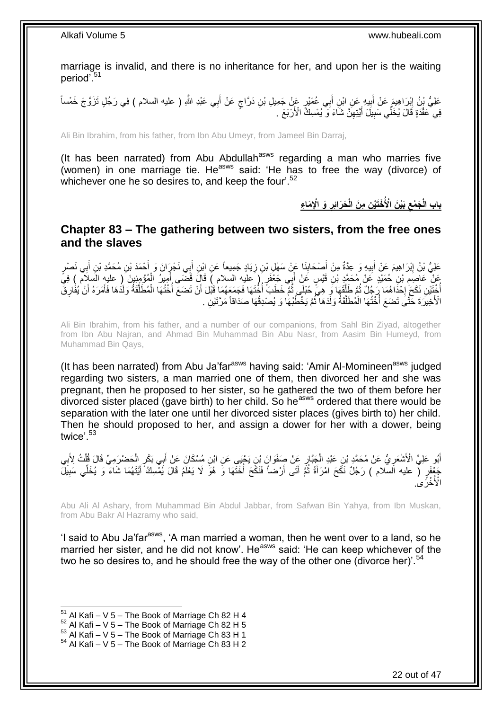marriage is invalid, and there is no inheritance for her, and upon her is the waiting period'.<sup>51</sup>

عَلِيُّ بْنُ إِبْرَاهِيمَ عَنْ أَبِيهِ عَنِ ابْنِ أَبِي عُمَيْرٍ عَنْ جَمِيلِ بْنِ دَرَّاجٍ عَنْ أَبِي عَبْدِ اللَّهِ ( عليه السلام ) فِي رَجُلٍ تَزَوَّجَ خَمْساً ٍ َ ِ َ ِ ِ فِي ۖ عَقْدَةٍ قَالَ يُخَلِّي سَبِيلَ أَيَّتِهِنَّ شَاءَ وَ ۖ يُمْسِكُّ الْأَرْبَعَ ۚ . َ **!** 

Ali Bin Ibrahim, from his father, from Ibn Abu Umeyr, from Jameel Bin Darraj,

(It has been narrated) from Abu Abdullah<sup>asws</sup> regarding a man who marries five (women) in one marriage tie. He<sup>asws</sup> said: 'He has to free the way (divorce) of whichever one he so desires to, and keep the four'.<sup>52</sup>

> باب الْجَمْعِ بَيْنَ الْأُخْتَيْنِ مِنَ الْحَرَائِرِ وَ الْإِمَاعِ

<span id="page-21-0"></span>**Chapter 83 – The gathering between two sisters, from the free ones and the slaves**

**!** عَلِيُّ بْنُ إِبْرَاهِيمَ عَنْ أَبِيهِ وَ عِنَّةٌ مِنْ أَصْحَابِنَا عَنِّ سَهْلِ بْنِ زِيَادٍ جَمِيعاً عَنِ ابْنِ أَبِي نَجْرَانَ وَ أَحْمَدَ بْنِ مُحَمَّدِ بْنِ أَبِي نَصْرٍ َ ِ َ َ **ٍ ∣** َ َ عَنْ عَاصِمِ بْنِ حُمَيْدٍ عَنْ مُحَمَّدٍ بْنِ قَيْسٍ عَنْ أَبِي جَعْفَرٍ ( عليه السلام ) قَالَ قَضَى أَمِيرُ الْمُؤْمِنِينَ ( عليهِ السلام ) فِيَ<br>وَمَنْ عَاصِمِ بِّنِ حُمَيْدٍ عَنْ مُحَمَّدٍ بْنِ قَيْسٍ عَنْ أَبِي جَعْفَر ْ َ َ **ُ** أُخْتَشِ نَكَحَ إِخْدَاهُمَا رَجُلٌ ثُمَّ طَلَقَهَا فَي هِيَّ حُبْلَى ثُمَّ خَطَبَ أُخُتَهَا فَجَمَعَهُمَا قَبْلَ أَنْ تَضَعَ أُخُتُهَا الْمُطَلَّقَةُ وَلَدُهَا فَأَمَرَهُ أَنْ يُفْارِقَ َ ابل<br>ا ا دەن با َّ ُ ·<br>∶ ِ َ َ َّ ْ ُ ْ الْأَخِيرَةَ خَتَّى تَضنَعَ أُخْتُهَا الْمُطَلَّقَةُ وَلَدَهَا ثُمَّ يَخْطُبُهَا وَ يُصْدِقُهَا صَدَاقاً مَرَّتَيْنِ . ا<br>ا ُ َّ

Ali Bin Ibrahim, from his father, and a number of our companions, from Sahl Bin Ziyad, altogether from Ibn Abu Najran, and Ahmad Bin Muhammad Bin Abu Nasr, from Aasim Bin Humeyd, from Muhammad Bin Qays,

(It has been narrated) from Abu Ja'far $a<sup>asws</sup>$  having said: 'Amir Al-Momineen $a<sup>asws</sup>$  judged regarding two sisters, a man married one of them, then divorced her and she was pregnant, then he proposed to her sister, so he gathered the two of them before her  $\frac{1}{2}$  divorced sister placed (gave birth) to her child. So he<sup>asws</sup> ordered that there would be separation with the later one until her divorced sister places (gives birth to) her child. Then he should proposed to her, and assign a dower for her with a dower, being twice'.<sup>53</sup>

ِ أَبُو عَلِيٍّ الْأَشْعَرِيُّ عَنْ مُحَمَّدٍ بْنِ عَبْدِ الْجَنَّارِ عَنْ صَفْوَانَ بْنِ يَجْنِي عَنِ ابْنِ مُسْكَانَ عَنْ أَبِي بَكْرٍ الْحَضْرَمِيِّ قَالَ قُلْتُ لِأَبِي َ ِ ْ ِ ِ ْ ْ جَعْفَرٍ ( عليه السلام ) رَجُلٌ نَكَحَ امْرَأَةً ثُمَّ أَتَى أَرْضاً فَنَكَحَ أُخْتَهَا وَ هُوَ لَا يَعْلَمُ قَالَ يُمْسِكُ أَيَّتَهُمَا شَاءَ وَ يُخَلِّي سَبِيلَ ֦֖֖֪֪֪֦֧֧֧֧֪֦֧֪֦֧֪֦֧֪֪֪֪֪֪֪֪֦֘֝֟֟֓֝֬֟֟֓֬֟֓֟֓֬֝֓֝֓֟֝֬֝֬֝֟֟֓֬֝֓֟֓֝֬֓֟֓֬֝֓֝֬֝֬֟֓֝֬֟֓֝֬֟ َ ِ َ ا<br>ا َ َ الْأُخْرِّي.

Abu Ali Al Ashary, from Muhammad Bin Abdul Jabbar, from Safwan Bin Yahya, from Ibn Muskan, from Abu Bakr Al Hazramy who said,

'I said to Abu Ja'farasws, 'A man married a woman, then he went over to a land, so he married her sister, and he did not know'. He<sup>asws</sup> said: 'He can keep whichever of the two he so desires to, and he should free the way of the other one (divorce her)<sup>'.54</sup>

 $51$  Al Kafi – V 5 – The Book of Marriage Ch 82 H 4

 $52$  Al Kafi – V 5 – The Book of Marriage Ch 82 H 5

 $^{53}$  Al Kafi – V 5 – The Book of Marriage Ch 83 H 1

 $54$  Al Kafi – V 5 – The Book of Marriage Ch 83 H 2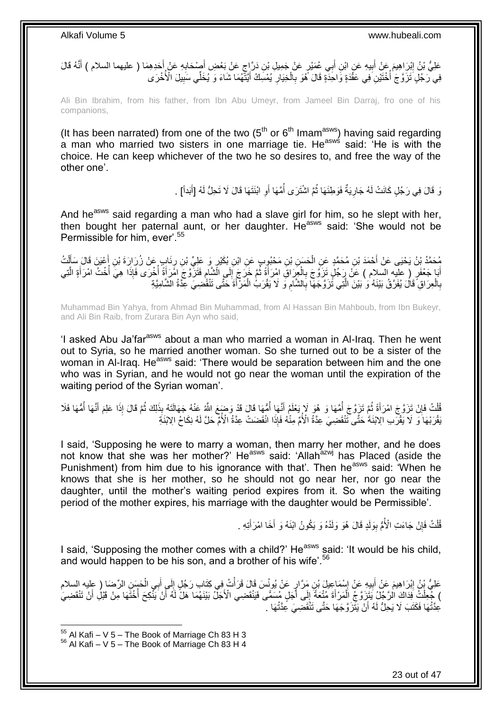عَلِيُّ بْنُ إِبْرَاهِيمَ عَنْ أَبِيهِ عَنِ ابْنِ أَبِي عُمَيْرٍ عَنْ جَمِيلِ بْنِ دَرَّاجٍ عَنْ بَعْضِ أَصْدَابِهِ عَنْ أَحَدِهِمَا ( عليهما السلام ) أَنَّهُ قَالَ َ ِ َ ٍ َ **!** َ ِ َ فِي َرَجُلٍ ثَزَّوَ جَ أُخْنَيْنِ فِي عَقَّدَةٍ وَّ احْدَةٍ قَالَ ۖ هُوَ بِالْخِيَالِ يُمْسِكُ أَيَّتَّهُمَا شَاءَ وَ يُخَلِّي سَبِيلَ الْأُخْرَى َ ِ ْ ِ ا<br>ا ِ

Ali Bin Ibrahim, from his father, from Ibn Abu Umeyr, from Jameel Bin Darraj, fro one of his companions,

(It has been narrated) from one of the two  $(5<sup>th</sup>$  or  $6<sup>th</sup>$  Imam<sup>asws</sup>) having said regarding a man who married two sisters in one marriage tie. He<sup>asws</sup> said: 'He is with the choice. He can keep whichever of the two he so desires to, and free the way of the other one'.

> وَ قَالَ فِي رَجُلٍ كَانَتْ لَهُ جَارِيَةٌ فَوَطِئَهَا ثُمَّ اشْتَرَى أُمَّهَا أَوِ ابْنَتَهَا قَالَ لَا تَحِلُّ لَهُ [أَبَداً] . ِ ُ .<br>• • • • ِ َ

And he<sup>asws</sup> said regarding a man who had a slave girl for him, so he slept with her, then bought her paternal aunt, or her daughter. He<sup>asws</sup> said: 'She would not be Permissible for him, ever'.<sup>55</sup>

مُحَمَّدُ بِنُ يَحْيَى عَنْ أَحْمَدَ بْنِ مُحَمَّدٍ عَنِ الْحَسَنِ بْنِ مَحْبُوبٍ عَنِ ابْنِ بُكَيْرٍ وَ عَلِيِّ بْنِ رِنَابٍ عَنْ زُرَارَةَ بْنِ أَعْيَنَ قَالَ سَأَلْتُ َ ِ ْ ْ َ أَبَا جَعْفَرٍ ( عَلَيه السلام ) عَنْ رَجُلٍ تَزَوَّجَ بِالْجِرَاقِ امْرَأَةً ثُمَّ خَرَجَ إِلَى الْشَّامِ فَتَزَوَّجَ امْرَأَةً تُمْ ذَرَبَعَ الْمَرْأَةِ الْخَرَى فَإِذَا هِيَ أُخْتُ امْرَأَةٍ الَّتِي ِ ِ ُ َ ْ ِ َّ َ ؛<br>أ َ بِالْعِرَاقِ َقَالَ يُفَرَّقُ بَيْنَهُ وَ بَيْنَ الَّتِي تَزَوَّجَهَا بِالشَّامِ وَ لَا يَقْرَبُ الْمَرْأَةَ حَتَّى تَنْقَضِيَ عِدَّةُ الشَّامِيَّةِ ْ ِ ِ َّ ْ ِ

Muhammad Bin Yahya, from Ahmad Bin Muhammad, from Al Hassan Bin Mahboub, from Ibn Bukeyr, and Ali Bin Raib, from Zurara Bin Ayn who said,

'I asked Abu Ja'far<sup>asws</sup> about a man who married a woman in Al-Iraq. Then he went out to Syria, so he married another woman. So she turned out to be a sister of the woman in Al-Iraq. He<sup>asws</sup> said: 'There would be separation between him and the one who was in Syrian, and he would not go near the woman until the expiration of the waiting period of the Syrian woman'.

قُلْتُ فَإِنْ تَزَوَّجَ امْرَأَةً ثُمَّ تَزَوَّجَ أُمَّهَا وَ هُوَ لَا يَعْلَمُ أَنَّهَا أُمُّهَا قَالَ قَدْ وَضَعَ اللَّهُ عَنْهُ جَهَالَتَهُ بِذَلِكَ ثُمَّ قَالَ إِذَا عَلِمَ أَنَّهَا أُمُّهَا فَلَا ا<br>ا َ ِ<br>ٌ ُ ِ ْ اُ َ ُ ِّبَقْرَ بْهَا ۚ وَۗ ۚ لَا يَّقْرَب الِابْنَةُ حَتَّى تَنْقَضِيَ عِدَّةُ الْأُمَّ مِنْٰهُ فَإِذَا انْقَضَتْ عِدَّةُ الْأُمَّ حَلَّ لَهُ نِكَاحُ الِابْنَةِ

I said, 'Supposing he were to marry a woman, then marry her mother, and he does not know that she was her mother?' He<sup>asws</sup> said: 'Allah<sup>azwj</sup> has Placed (aside the Punishment) from him due to his ignorance with that'. Then he<sup>asws</sup> said: 'When he knows that she is her mother, so he should not go near her, nor go near the daughter, until the mother's waiting period expires from it. So when the waiting period of the mother expires, his marriage with the daughter would be Permissible'.

> قُلْتُ فَإِنْ جَاءَتِ الْأُمُّ بِوَلَدٍ قَالَ هُوَ وَلَدُهُ وَ يَكُونُ ابْنَهُ وَ أَخَا امْرَأَتِهِ . َ َ ِ ِ ْ

I said, 'Supposing the mother comes with a child?' He<sup>asws</sup> said: 'It would be his child, and would happen to be his son, and a brother of his wife'.<sup>56</sup>

عَلِيُّ بِنُ إِبْرَاهِيمَ عَنْ أَبِيهِ عَنْ إِسْمَاعِيلَ بْنِ مَرَّارٍ عَنْ يُونُسَ قَالَ قَرَأْتُ فِي كَتَابِ رَجُلٍ إِلَى أَبِي الْحَسَنِ الرِّحْمَا (ِ طِيهِ السلام **∶** َ  $\frac{1}{2}$ ْ ِ **!** َ **ֽוּ** ْ ) جُّعِلْتُ فِدَاكَ الرَّجُلُ يَتَزِرَ جِّ الْمَرْ أَةَ مُتْعَةً إِلَى أَجَلٍ مِسَمًّى فَيَنْقَضِيَ الْأَجَلَّ بَيْنَهُمَا هَلْ لَهُ أَنْ يَنْكِحَ أُخْتَهَا مِنْ قَبْلُ أَنْ تَنْقَضِيَ َ  $\frac{1}{2}$ َ ْ َ َ ْعِدَّتُهَا فَكَتَبَ لَا يَحِلُّ لَهُ أَنْ يَثَّزَوَّجَهَا حَتَّى تَنْْقَضِيَ عِدَّتُهَا .

 $55$  Al Kafi – V 5 – The Book of Marriage Ch 83 H 3  $56$  Al Kafi – V 5 – The Book of Marriage Ch 83 H 4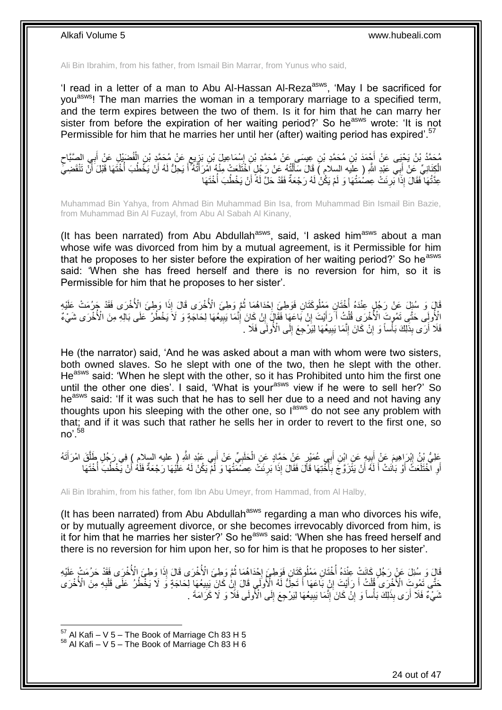Ali Bin Ibrahim, from his father, from Ismail Bin Marrar, from Yunus who said,

'I read in a letter of a man to Abu Al-Hassan Al-Reza<sup>asws</sup>, 'May I be sacrificed for you<sup>asws</sup>! The man marries the woman in a temporary marriage to a specified term, and the term expires between the two of them. Is it for him that he can marry her sister from before the expiration of her waiting period?' So he<sup>asws</sup> wrote: 'It is not Permissible for him that he marries her until her (after) waiting period has expired'.<sup>57</sup>

مُحَمَّدُ بْنُ يَحْيَى عَنْ أَجْمَدَ بْنِ مُحَمَّدِ بْنِ عِيسَى عَنْ مُحَمَّدِ بْنِ إِسْمَاعِيلَ بْنِ بَرْيِعٍ عَنْ مُحَمَّدٍ بْنِ الْفُصْبَيْلِ عَنْ أَبِي الصَّبَّاحِ ٍ ِ ِ ِ َ ْ الْكِنَانِيِّ عَنْ أَبِي عَنْدٍ اللَّهِ ( عِلْيه السِلامِ ) قَالَ سَأَلْتُهُ عَنْ رَجُلٍ أَخْتَلَعَتْ مِنْهُ اَمْرَأَتُهُ أَ يَحِلُّ لَهُ أَنْ يَخْطُبَ أُخْتَهَا قَبْلَ أَنَّ تَنْقَضِيَّ ْ َ َ َ ا<br>ا اُ َ َ عِدَّتُهَا ۖ فَقَالَ ۚ إِذَا بَرِئَتْ عِصُمَتُهَا وَ لَمْ يَكُٰنْ لَهُ رَجْعَةٌ فَقَدْ حَلَّ لَهُ أَنْ يَخْطُبَ أُخْتَهَا ؛<br>أ َ **∶** 

Muhammad Bin Yahya, from Ahmad Bin Muhammad Bin Isa, from Muhammad Bin Ismail Bin Bazie, from Muhammad Bin Al Fuzayl, from Abu Al Sabah Al Kinany,

(It has been narrated) from Abu Abdullah $a<sup>asws</sup>$ , said, 'I asked him $a<sup>asws</sup>$  about a man whose wife was divorced from him by a mutual agreement, is it Permissible for him that he proposes to her sister before the expiration of her waiting period?' So he<sup>asws</sup> said: 'When she has freed herself and there is no reversion for him, so it is Permissible for him that he proposes to her sister'.

قَالَ وَ سُئِلَ عَنْ رَجُلٍ عِنْدَهُ أُخْتَانِ مَمْلُوكَتَانِ فَوَطِئَ إِحْدَاهُمَا ثُمَّ وَطِئَ الْأُخْرَى قَالَ إِذَا وَطِئَ الْأُخْرَى فَقَدْ جَرُمَتْ عَلَيْهِ ان<br>المقامات **∶** ا<br>ا الْأُولَِى حَتَّى تَمُوتَ الْأُخْرَى قُلْتُ أَ ّرَأَيْتَ إِنْ بَاعَهَا فَقَالَ إِنْ كَانَ إِنَّمَا يَبِيعُهَا لِحَاجَةٍ وَ لَا يَخْطُرُ عَلَى بَالِهِ مِنَ الْأُخْرَى شَيْءٌ ِ ِ ِ َ َ ْ ِ فَلَا أَرَى بِذَلِكَ بَأْساً وَ إِنْ كَانَ إِنَّمَا يَبِيعُهَا لِيَزْدِجِعَ إِلَى الْأُولَى فَلَا ۖ. ِ **!** ِ ِ ا<br>ا اً

He (the narrator) said, 'And he was asked about a man with whom were two sisters, both owned slaves. So he slept with one of the two, then he slept with the other. He<sup>asws</sup> said: 'When he slept with the other, so it has Prohibited unto him the first one until the other one dies'. I said, 'What is your<sup>asws</sup> view if he were to sell her?' So he<sup>asws</sup> said: 'If it was such that he has to sell her due to a need and not having any thoughts upon his sleeping with the other one, so  $I^{asws}$  do not see any problem with that; and if it was such that rather he sells her in order to revert to the first one, so no'  $58$ 

عَلِيُّ بْنُ إِبْرَاهِيمَ عَنْ أَبِيهٍ عَنِ ابْنِ أَبِي عُمَيْرٍ عَنْ حَمَّادٍ عَنِ الْحَلَبِيِّ عَنْ أَبِي عَبْدِ اللَّهِ ( عليه السلام ) فِي رَجُلٍ طَلَّقَ امْرَأَتَهُ َ **∶** ْ ِ َ ∣l<br>∍ َ َّ أَوِ ٱلْخُتَلَعَتُّ أَوْ بَانَتْ أَ لَهُ أَنْ يَتَّزَوَّجَ بِأَخْتِهَا قَالَ فَقَالَ إِذَا بَرِئَتُ عِصَمْتَتُهَا وَ لَمْ يَكُنْ لَهُ عَلَيْهَا رَجْعَةٌ فَلَهُ أَنْ يَخْطُبَ أُخْتَهَا ا<br>ا ِ اً لَ َ َ **∶** اً ُ َ **∶** 

Ali Bin Ibrahim, from his father, fom Ibn Abu Umeyr, from Hammad, from Al Halby,

(It has been narrated) from Abu Abdullah<sup>asws</sup> regarding a man who divorces his wife, or by mutually agreement divorce, or she becomes irrevocably divorced from him, is it for him that he marries her sister?' So he<sup>asws</sup> said: 'When she has freed herself and there is no reversion for him upon her, so for him is that he proposes to her sister'.

قَالَ وَ سُئِلَ عَنْ رَجُلٍ كَانَتْ عِنْدَهُ أُخْتَانِ مَعْلُوكَتَانِ فَوَطِيَ إِحْدَاهُمَا ثُمَّ وَطِئَ الْأُخْرَى قَالَ إِذَا وَطِئَ الْأُخْرَى فَقَدْ حَرُمَتْ عَلَيْهِ ُ  $\frac{1}{2}$ .<br>ا حَتَّى تَمُوتَ الْأُخْرَى َقُلْتُ أَ رَأَيْتَ إِنْ بَاعَهَا أَ تَحِلُّ لَهُ الْأُولَى قَالَ إِنْٰ كَانَ يَبِيعُهَا لِحَاجَةٍ وَ لَا يَخْطُرُ عَلَى قَلْبِهِ مِنَ الْأُخْرَى َ ِ َ َ ْ ِ ْ ِ ِ ثَنَيْءٌ فَلَا أَرَى بِذَلِكَ بَأْساً وَ إِنْ كَانَ َإِنَّمَا بَبِيعُهَا لِيَرْجِعَ إِلَى الْأَولَى فَلَا وَ لَا كَرَامَةَ . ِ ِ ِ ِ **ٔ** 

 $57$  Al Kafi – V 5 – The Book of Marriage Ch 83 H 5

 $58$  Al Kafi – V 5 – The Book of Marriage Ch 83 H 6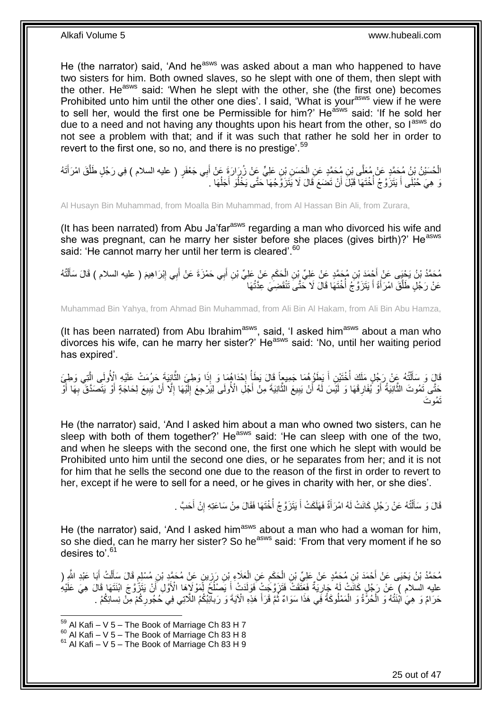He (the narrator) said, 'And he<sup>asws</sup> was asked about a man who happened to have two sisters for him. Both owned slaves, so he slept with one of them, then slept with the other. He<sup>asws</sup> said: 'When he slept with the other, she (the first one) becomes Prohibited unto him until the other one dies'. I said, 'What is your<sup>asws</sup> view if he were to sell her, would the first one be Permissible for him?' He<sup>asws</sup> said: 'If he sold her due to a need and not having any thoughts upon his heart from the other, so l<sup>asws</sup> do not see a problem with that; and if it was such that rather he sold her in order to revert to the first one, so no, and there is no prestige'.<sup>59</sup>

الْحُسَيْنُ بْنُ مُحَمَّدٍ عَنْ مُعَلَّى بْنِ مُحَمَّدٍ عَنِ الْحَسَنِ بْنِ عَلِيٍّ عَنْ زُرَارَةٍ عَنْ أَبِي جَعْفَرٍ ( عليه السلام ) فِي رَجُلٍ طَلَّقَ امْرَأَتَهُ َ ْ ْ َ َّ وَ هِيَ حُبْلَى أَ يَتَزَوَّجُ أَخْتَهَا قَبْلَ أَنْ تَضَعَ قَالَ لَا يَتَزَوَّجُهَا حَتَّى يَخْلُوَ أَجَلُهَا . ُ َ ُ اُ ا<br>ا َ

Al Husayn Bin Muhammad, from Moalla Bin Muhammad, from Al Hassan Bin Ali, from Zurara,

(It has been narrated) from Abu Ja'far $a<sup>asws</sup>$  regarding a man who divorced his wife and she was pregnant, can he marry her sister before she places (gives birth)?' He<sup>asws</sup> said: 'He cannot marry her until her term is cleared'.<sup>60</sup>

مُحَمَّدُ بْنُ يَحْيَى عَنْ أَحْمَدَ بْنِ مُحَمَّدٍ عَنْ عَلِيِّ بْنِ الْحَكَمِ عَنْ عَلِيِّ بْنِ أَبِي حَمْزَةَ عَنْ أَبِي إِبْرَاهِيمَ ( عليه السلام ) قَالَ سَأَلْتُهُ ِ ْ ْ َ ِ َ َ عَنْ رَجُلٍ طَلَّقَ امْرَأَةً أَ يَتَزَوَّجُ أَخْتَهَا قَالَ لَا حَتَّى تَنْقَضِيَ عِدَّتُهَا ابل<br>ا َ َ َّ

Muhammad Bin Yahya, from Ahmad Bin Muhammad, from Ali Bin Al Hakam, from Ali Bin Abu Hamza,

(It has been narrated) from Abu Ibrahim<sup>asws</sup>, said, 'I asked him<sup>asws</sup> about a man who divorces his wife, can he marry her sister?'  $He^{asws}$  said: 'No, until her waiting period has expired'.

قَالَ وَ سَأَلْتُهُ عَنْ رَجُلٍ مَلَكَ أُخْتَيْنِ أَ يَطَؤُهُمَا جَمِيعاً قَالَ يَطَأُ إِحْدَاهُمَا وَ إِذَا وَطِئَ الثَّانِيَةَ حَرُمَتْ عَلَيْهِ الْأُولَى الَّتِي وَطِئَ ֺ֧֦֧֦֧֦֦֦֦֖֦֪֦֪֦֧֦֪֦֪֦֪֪֦֪֪֦֪֪֦֪֦֪֪֦֝֟֟֟֟֟֟֟֟֟֟֟֟֟֟֟֟֟֟֟֟֟֟֓֕֟֓֟֓֟֓֟֓֟֓֟֓֟֓֟֓֟֓֟֓֟֟֟֝֟֟֟֟֟֟֟֝֟ َ َّ َّ  $\frac{1}{2}$ ا<br>ا َ حَتَّى تَمُوتَ الثَّانِيَةُ أَوْ يُفَارِقَهَا وَ لَٰٓئِسَ لَٰهُ أَنْ يَبِيعُ الثَّانِيَةَ مِنْ أَجْلِ الْأُولَى لِيَرْدِجِعَ إِلَيْهَا إِلَّا أَنْ يَبِيعِ لِحَاجَةٍ أَوْ يَتَصَدَّقَ بِهَا أَوْ لَ ∣∣<br>∶ َ َّ **!** اُ **∶** َّ ا<br>ا َ ِ َ ِ اُ َت ُمو َت

He (the narrator) said, 'And I asked him about a man who owned two sisters, can he sleep with both of them together?' He<sup>asws</sup> said: 'He can sleep with one of the two, and when he sleeps with the second one, the first one which he slept with would be Prohibited unto him until the second one dies, or he separates from her; and it is not for him that he sells the second one due to the reason of the first in order to revert to her, except if he were to sell for a need, or he gives in charity with her, or she dies'.

> قَالَ وَ سَأَلْتُهُ عَنْ رَجُلٍ كَانَتْ لَهُ امْرَأَةٌ فَهَلَكَتْ أَ يَتَزَوَّجُ أَخْنَهَا فَقَالَ مِنْ سَاعَتِهِ إِنْ أَحَبَّ . َ ِ ا<br>ا َ َ ֺ֧֦֦֧֦֦֖֦֦֦֖֦֧֦֪֦֧֦֪֪֦֧֦֪֦֪֦֪֦֧֦֪֦֧֦֪֦֧֦֧֦֪֪֦֧֦֪֪֦֧֦֧֦֧֪֝֟֟֟֟֟֟֟֟֟֟֟֟֟֟֟֟֟֟֟֟֟֬֟֟֓֟֟֟֓֞֟֟֟֓֞֟֟֟֟֩֓֞֟֟֓֞֟֟֟֟֟֟֟֟֝ َ

He (the narrator) said, 'And I asked him<sup>asws</sup> about a man who had a woman for him, so she died, can he marry her sister? So he<sup>asws</sup> said: 'From that very moment if he so desires to'.<sup>61</sup>

مُحَمَّدُ بْنُ يَحْيَى عَنْ أَحْمَدَ بْنِ مُحَمَّدٍ عَنْ عَلِيِّ بْنِ الْحَكَمِ عَنِ الْعَلَاءِ بْنِ رَزِينٍ عَنْ مُحَمَّدٍ بْنِ مُسْلِمٍ قَالَ سَأَلْتُ أَبَا عَبْدِ الثَّهِ ( ِ ْ ِ ْ َ ْ َ ֧֩֘׆֧ عليه السلام ) عَنْ رَجُلٍ كَانَّتْ لَهُ جَارِيَةٌ فَعَنَّقَتْ ۚ فَتَزَوَّجُتْ فَوَلَدَتْ أَ يَصْلُحُ لِّمَوْلاَهَا الْأَوَّلِ أَنْ يَتَزُّوَّجَ ابْنَتَهَا قَالَ هِيَ عَلَيْهِ َ ا<br>ا َ حَرَامٌ وَ هِيَ ابْنَتُهُ وَ الْحُرَّةُ وَ الْمَمْلُوكَةُ فِي هَذَا سَوَاءٌ ثُمَّ قَرَأَ هَذِهِ الْآيَةَ وَ رَبّالِّئِكُمُ اللَّاتِي فِي حُجُورِكُمْ مِنْ نِسائِكُمُ . َ ا<br>ا ْ ْ ِ

<sup>1</sup>  $59$  Al Kafi – V 5 – The Book of Marriage Ch 83 H 7

 $^{60}$  Al Kafi – V 5 – The Book of Marriage Ch 83 H 8

 $61$  Al Kafi – V 5 – The Book of Marriage Ch 83 H 9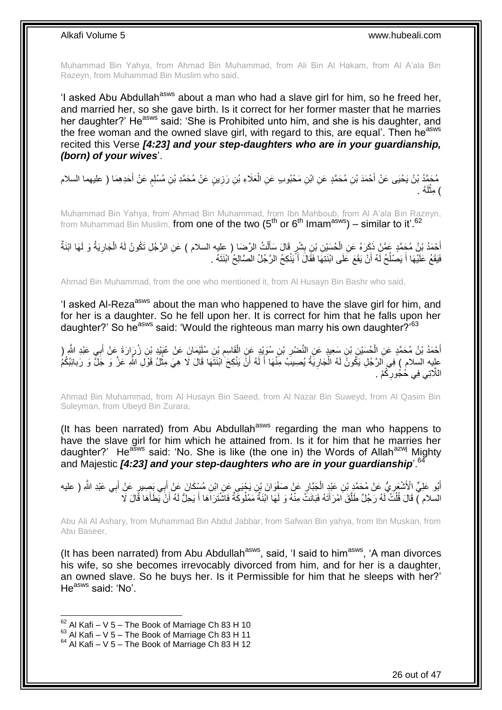Muhammad Bin Yahya, from Ahmad Bin Muhammad, from Ali Bin Al Hakam, from Al A'ala Bin Razeyn, from Muhammad Bin Muslim who said,

'I asked Abu Abdullah<sup>asws</sup> about a man who had a slave girl for him, so he freed her, and married her, so she gave birth. Is it correct for her former master that he marries her daughter?' He<sup>asws</sup> said: 'She is Prohibited unto him, and she is his daughter, and the free woman and the owned slave girl, with regard to this, are equal'. Then he<sup>asws</sup> recited this Verse *[4:23] and your step-daughters who are in your guardianship, (born) of your wives*'.

مُحَمَّدُ بْنُ يَحْيَى عَنْ أَحْمَدَ بْنِ مُحَمَّدٍ عَنِ ابْنِ مَحْبُوبِ عَنِ الْعَلَاءِ بْنِ رَزِينٍ عَنْ مُحَمَّدِ بْنِ مُسْلِمٍ عَنْ أَحَدِهِمَا ( عليهما السلام **ٍ** ْ َ م ) مِثْلُهُ . لَ ْ

Muhammad Bin Yahya, from Ahmad Bin Muhammad, from Ibn Mahboub, from Al A'ala Bin Razeyn, from Muhammad Bin Muslim, from one of the two ( $5<sup>th</sup>$  or  $6<sup>th</sup>$  Imam<sup>asws</sup>) – similar to it'.<sup>62</sup>

أَحْمَدُ بْنُ مُحَمَّدٍ عَمَّنْ ذَكَرَهُ عَنِ الْحُسَيْنِ بْنِ بِشْرٍ قَالَ سَأَلْتُ الرِّضَا ( عِليه السلام ) عَنِ الرَّجُلِ تَكُونُ لَهُ الْجَارِيَةُ وَ لَمَهَا ابْنَةٌ<br>كَيْمَدُ بْنُ مُحَمَّدٍ غَيْرَ مُوَيْنَ عَنِ أَحْس ْ َ **∣** ْ ِ ْ فَيَقَعُ عَلَيْهَا أَ يَصْلُحُ لَهُ أَنْ يَقَعَ عَلَى ابْنَتِهَا فَقَالَ أَ يَنْكِحُ الرَّجُلُ الصَّالِحُ ابْنَتَهُ . َ ا<br>ـا َ

Ahmad Bin Muhammad, from the one who mentioned it, from Al Husayn Bin Bashr who said,

'I asked AI-Reza<sup>asws</sup> about the man who happened to have the slave girl for him, and for her is a daughter. So he fell upon her. It is correct for him that he falls upon her daughter?' So he<sup>asws</sup> said: 'Would the righteous man marry his own daughter?'<sup>63</sup>

أَحْمَدُ بْنُ مُحَمَّدٍ عَنِ الْحُسَيْنِ بْنِ سَعِيدٍ عَنِ النَّصْرِ بْنِ سُوَيْدٍ عَنِ الْقَاسِمِ بْنِ سُلَيْمَانَِ عَنْ غُبَيْدٍ بْنِ زُرَارَةَ عَنْ أَبِي عَبْدِ الثَّمِرِ ( ْ َ َ ِ ْ ِ علِيه السلام ) فِي اَلرَّجُلِ يَكُونُ لَهُ الْجَارِيَةُ يُصِيبَُ مِنْهَا أَ لَهُ أَنَّ يَنْكِحَ ابْنَتَهَا قَالَ لَا هِيَ مِثْلُ قَوْلِ اللَّهِ عَزَّ وَ جَلَّ وَ رَبائِبُكُمُ ْ َ لَ َ ِ ْ اللَّاتِي فِي خُجُورِكُمْ . ِ

Ahmad Bin Muhammad, from Al Husayn Bin Saeed, from Al Nazar Bin Suweyd, from Al Qasim Bin Suleyman, from Ubeyd Bin Zurara,

(It has been narrated) from Abu Abdullah<sup>asws</sup> regarding the man who happens to have the slave girl for him which he attained from. Is it for him that he marries her daughter?' He<sup>asws</sup> said: 'No. She is like (the one in) the Words of Allah<sup>azwj</sup> Mighty and Majestic *[4:23] and your step-daughters who are in your quardianship*<sup>6</sup>

ِ أَبُو عَلِيٍّ الْأَشْعَرِيُّ عَنْ مُحَمَّدٍ بْنِ عَبْدٍ الْجَبَّارِ عَنْ صَفْوَانَ بْنِ يَجْنَى عَنِ ابْنِ مُسْكَانَ عَنْ أَبِي بَصِيرٍ عَنْ أَبِي عَبْدِ اللَّهِ ( عليه َ ِ ْ ِ َ السلام ﴾ قَالَ قُلْتُ لَهُ رَجُلٌ طَلَّقَ امْرَ أَتَهُ فَبَانَتْ مِنْهُ وَ لَهَا ابْنَةٌ مَمْلُوكَةٌ فَاشْتَرَاهَا أَ يَحِلُّ لَهُ أَنْ يَطَأَهَا قَالَ لَا َ َّ ْ َ َ َ

Abu Ali Al Ashary, from Muhammad Bin Abdul Jabbar, from Safwan Bin yahya, from Ibn Muskan, from Abu Baseer,

(It has been narrated) from Abu Abdullah<sup>asws</sup>, said, 'I said to him<sup>asws</sup>, 'A man divorces his wife, so she becomes irrevocably divorced from him, and for her is a daughter, an owned slave. So he buys her. Is it Permissible for him that he sleeps with her?' He<sup>asws</sup> said: 'No'.

 $62$  Al Kafi – V 5 – The Book of Marriage Ch 83 H 10

 $^{63}$  Al Kafi – V  $\frac{3}{5}$  – The Book of Marriage Ch 83 H 11

 $64$  Al Kafi – V 5 – The Book of Marriage Ch 83 H 12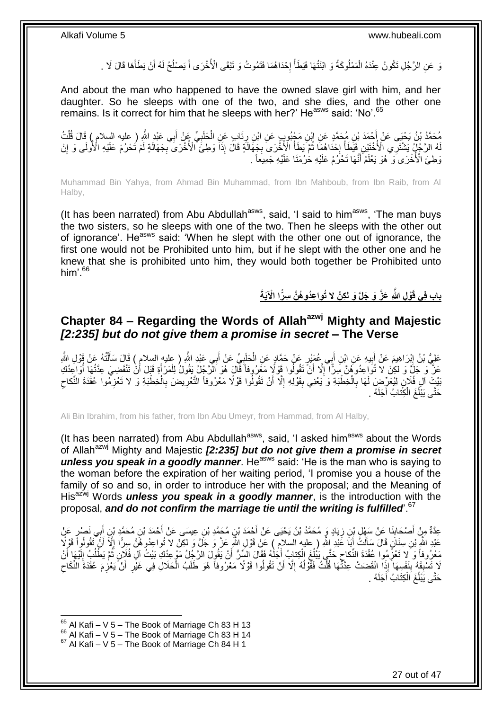وَ عَنِ الرَّجُلِ تَكُونُ عِنْدَهُ الْمَمْلُوكَةُ وَ ابْنَتُهَا فَيَطَأُ إِحْدَاهُمَا فَتَمُوتُ وَ تَبْقَى الْأُخْرَى أَ يَصْلُحُ لَهُ أَنْ يَطَأَهَا قَالَ لَا . ْ َ َ ا<br>ا َ ·<br>∶ ∫<br>∫

And about the man who happened to have the owned slave girl with him, and her daughter. So he sleeps with one of the two, and she dies, and the other one remains. Is it correct for him that he sleeps with her?' He<sup>asws</sup> said: 'No'.<sup>65</sup>

مُحَمَّدُ بْنُ يَحْيَى عَنْ أَحْمَدَ بْنِ مُحَمَّدٍ عَنِ ابْنِ مَجْبُوبٍ عَنِ ابْنِ رِئَابٍ عَنِ الْحَلَبِيِّ عَنْ أَبِي عَبْدِ اللَّهِ ( عليه السلام ) قَالَ قُلْتُ<br>نسمتَ بن من السلام ) َ ِ ْ ; ْ لَهُ الرَّجُلُ يَشْتَرِي الْأُخْتَيْنِ فَيَطَأُ إِحْدَاهُمَا ثُمَّ يَطَأُ الْأُخْرَى بِجَهَالَةٍ قَالَ إِذَا وَطِئَ الْأُخْرَى بِجَهَالَةٍ لَمْ تُحْرُمْ عَلَيْهِ الْأُولَى وَ إِنْ ِ ِ ا<br>ا ُ **∶** ا<br>ا ِ لَ وَطِئَ الْأُخْرَى وَ ۖ هُوَ يَعْلَمُ أَنَّهَا تَحْرُمُ عَلَيْهِ حَٰرُمَنَا عَلَيْهِ جَمِيعَاً ۚ ۚ

Muhammad Bin Yahya, from Ahmad Bin Muhammad, from Ibn Mahboub, from Ibn Raib, from Al Halby,

(It has been narrated) from Abu Abdullah<sup>asws</sup>, said, 'I said to him<sup>asws</sup>, 'The man buys the two sisters, so he sleeps with one of the two. Then he sleeps with the other out of ignorance'. He<sup>asws</sup> said: 'When he slept with the other one out of ignorance, the first one would not be Prohibited unto him, but if he slept with the other one and he knew that she is prohibited unto him, they would both together be Prohibited unto him'.<sup>66</sup>

**ا اْْلَيةَ ْو ل َّهللا َعَّز َو َجلَّ َو ل ك ْن ال ُتوا عُدو ُه َّن س ر باب ف ي قَ**

## <span id="page-26-0"></span>**Chapter 84 – Regarding the Words of Allahazwj Mighty and Majestic**  *[2:235] but do not give them a promise in secret* **– The Verse**

عَلِيُّ بْنُ إِبْرَاهِيمَ عَنْ أَبِيهِ عَنِ ابْنِ أَبِي عُمَيْدٍ عَنْ حَمَّادٍ عَنِ الْحَلَبِيِّ عَنْ أَبِي عَبْدِ الثَّو ( عليه السلام ) قَالَ سَأَلْتُهُ عَنْ قَوْلِ الثَّهِ **!** َ ِ ْ َ َ ِ ْ َ عَزَّ وَ جَلَّ وَ لكِنْ لا تُواعِدُوهُنَّ سِرًّا ۗ إِلَّا أَنْ تَقُولُوا قَوْ لَإِ مَعْرُوفاً فَّالٍ هُوَ الرَّجُلُ يَقُولُ لِلْمَرْ أَةِ قَبْلَ أَنْ تَنْقَضِيَ عِدَّتُهَا أَوَاعِدُكِ ْ اُ ِ ا<br>ا أ َ بَيْتَ آلِ فُلَانٍ لِيُعَرِّضِ لَهَا بِالْخِطْبَةِ وَ يَعْنِي بِقَوْلِهِ إِلَّا أَنْ تَقُولُوا قَوْلًا مَعْرُوفاً التَّعْرِيضَ بِالْخِطْبَةِ وَ لا تَعْزِمُوا عُقْدَةَ النِّكاحِ ِ َ ِ **∣** ْ **∶** ِ ِ ْ ِ حَتَّى يَبْلُغَ الْكِّتابُ أَجَلَهُ . ْ ا<br>ا

Ali Bin Ibrahim, from his father, from Ibn Abu Umeyr, from Hammad, from Al Halby,

(It has been narrated) from Abu Abdullah $a<sup>sws</sup>$ , said, 'I asked him $a<sup>sws</sup>$  about the Words of Allah<sup>azwj</sup> Mighty and Majestic [2:235] but do not give them a promise in secret *unless you speak in a goodly manner*. He<sup>asws</sup> said: 'He is the man who is saying to the woman before the expiration of her waiting period, 'I promise you a house of the family of so and so, in order to introduce her with the proposal; and the Meaning of His<sup>azwj</sup> Words *unless you speak in a goodly manner*, is the introduction with the proposal, *and do not confirm the marriage tie until the writing is fulfilled*'.<sup>67</sup>

َ عِدَّةٌ مِنْ أَصْحَابِذَا عَنْ سَهْلٍ بِنِ زِيَادٍ وَ مُحَمَّدُ بْنُ يَحْيَى عَنْ أَحْمَدَ بْنِ عَجِسَى عَنْ أَحْمَدَ بْنِ مُحَمَّدِ بْنِ أَبِي نَصْرِ عَنْ<br>-َ ِ **∣** َ عَبْدِ اللَّهِ بْنِ سِنَانٍ قَالَ سَأَلْتُ أَبَا عَبْدِ اللَّهِ ( عليه السلام ) عَنْ قَوْلِ اللَّهِ عَزَّ وَ جَلَّ وَ لكِنْ لا تُواعِدُوهُنَّ سِرًّا إِلَّا أَنْ تَقُولُوا قَوْلًا َ ْ Í َ ِ مَعْرُوفاً وَ لا تَعْزَّمُوا عُقْدَةَ النِّكاحِ حَتَّى يَبْلُغَ الْكِتابُ أَجَلْهُ فَقَالَ السِّرُّ أَنْ يَقُولَ الرَّجِّلُ مَوْعِدُكِ بَيْتُ آلِ فُلِاّنٍ ثُمَّ يَطَلُبُ إِلَيْهَا أَنْ َ َ ْ ا<br>ا ِ ِ ُ ُ َ لَ ِ لَا تَسْبِقَهُ بِنَفْسِهَا َإِذَا انْقَضَتْ عِدَّتُمَا قُلْتُ فَقَوْلُهُ إِلَّا أَنْ تَقُولُوا قَوْلًا مَعْرُوفاً هُوَ طَلَبُ الْحَلَالِ فِي غَيْرِ أَنْ يَعْزِمَ عُقْدَةَ النِّكَاحِ<br>يَتَسَبِّهُمْ بِنَفْسِهَا إِذَا انْقَضَت اُ ِ ا<br>ا ْ **∣ ∣** ِ َ ِ ْ حَتَّى يَبْلُغَ اَلْكِتَابُ أَجَلَهُ . ْ ُ

 $65$  Al Kafi – V 5 – The Book of Marriage Ch 83 H 13

 $^{66}$  Al Kafi – V  $\frac{6}{5}$  – The Book of Marriage Ch 83 H 14

 $67$  Al Kafi – V 5 – The Book of Marriage Ch 84 H 1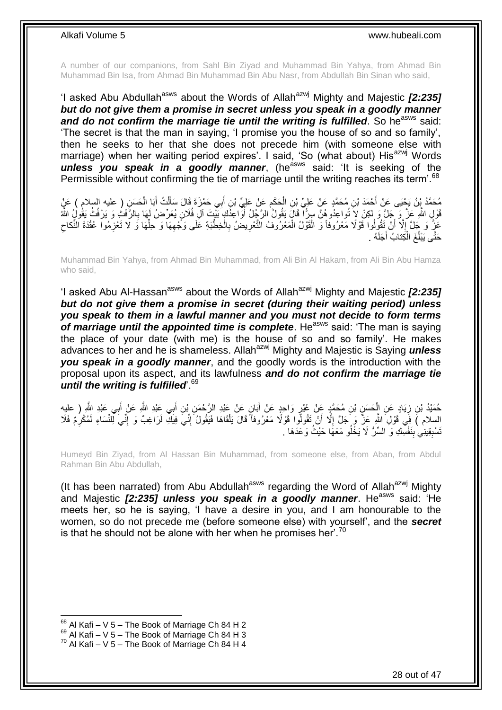A number of our companions, from Sahl Bin Ziyad and Muhammad Bin Yahya, from Ahmad Bin Muhammad Bin Isa, from Ahmad Bin Muhammad Bin Abu Nasr, from Abdullah Bin Sinan who said,

'I asked Abu Abdullah<sup>asws</sup> about the Words of Allah<sup>azwj</sup> Mighty and Majestic **[2:235]** *but do not give them a promise in secret unless you speak in a goodly manner* and do not confirm the marriage tie until the writing is fulfilled. So he<sup>asws</sup> said: 'The secret is that the man in saying, 'I promise you the house of so and so family', then he seeks to her that she does not precede him (with someone else with marriage) when her waiting period expires'. I said, 'So (what about) His<sup>azwj</sup> Words *unless you speak in a goodly manner*, (he<sup>asws</sup> said: 'It is seeking of the Permissible without confirming the tie of marriage until the writing reaches its term<sup>'.68</sup>

ْ مُحَمَّدُ بِنُ يَجْيَى عَنْ أَحْمَدَ بْنِ مُحَمَّدٍ عَنْ عَلِيِّ بْنِ الْحَكَمِ عَنْ عَلِيِّ بْنِ أَبِي حَمْزَةَ قَالَ سَأَلْتُ أَبَا الْحَسَنِ ( عليه السلام ) عَنْ<br>مَدِي مَنْ يَجْبَى عَنْ أَحْمَدَ بْنِ مُحَمَّدٍ عَنْ عَل َ َ ِ ْ ْ َ قَوْلٍ اللَّهِ عَزَّ وَ جَلِّ وَ لِكِنْ لاَ تُواعِدُو هُنَّ سِرًّا قَالَ يَقُولُ الرَّجُلُ أُوَاعِذُكَ بَيْتَ آلِ فُلَانٍ يُعَرِّضُ لَهَا بِالرَّفَثِ وَ يَرْفُثُ يَقُولُ اللَّهُ ُ **∶** عَزَّ وَ جَلَّ إِلَّا أَنْ تَقُولُوا قَوْلًا مَعْرُوفاً وَ الْقَوْلُ الْمَعْرُوفُ التَّعْرِيضُ بِالْخِطْبَةِ عَلَى وَجَّهِهَا وَ حَلِّهَا وَ لَا تَعْزِمُوا عُقْدَةَ النِّكاح ِ ْ ِ ِ ْ ْ ِ ِ **ٍ** ِّ ُه . َجلَ كِتابُ أ ْ َغ ال ُ َحتَّى َيْبل

Muhammad Bin Yahya, from Ahmad Bin Muhammad, from Ali Bin Al Hakam, from Ali Bin Abu Hamza who said,

'I asked Abu Al-Hassan<sup>asws</sup> about the Words of Allah<sup>azwj</sup> Mighty and Majestic **[2:235]** *but do not give them a promise in secret (during their waiting period) unless you speak to them in a lawful manner and you must not decide to form terms*  of marriage until the appointed time is complete. He<sup>asws</sup> said: 'The man is saying the place of your date (with me) is the house of so and so family'. He makes advances to her and he is shameless. Allahazwj Mighty and Majestic is Saying *unless you speak in a goodly manner*, and the goodly words is the introduction with the proposal upon its aspect, and its lawfulness *and do not confirm the marriage tie until the writing is fulfilled*'.<sup>69</sup>

حُمَيْدُ بْنِ زِيَادٍ عَنِ الْحَسَنِ بْنِ مُحَمَّدٍ عَنْ غَيْرٍ وَاحِدٍ عَنْ أَبَانٍ عَنْ عَبْدِ الزَّحْمَنِ بْنِ أَبِي عَبْدِ الثَّهِ عَنْ إَبِي عَبْدِ الثَّهِ ( عليه َ َ ِ ْ ِ َ السلام )َ فِي َقَوْلِ َاللَّهِ عَزَّ وَ حَلَّ إِلَّا أَنْ تَقُولُوا قَوْلًا مَعْرُوفاً قَالَ يَلْقَاهَا فَيَقُولُ َإِنِّي فِيلَٰفِ لَزَاغِبٌ وَ إِنِّي لِلنِّسَاءِ لَمُكْرِمٌ فَلَا ِ ِ ِ ْ اُ ِ َنْسْبِقِينِي بِنَفْسِكِ وَ السِّرُّ لَا يَخْلُو مَعَهَا حَيْثُ وَعَدَهَا . **∣** ِ

Humeyd Bin Ziyad, from Al Hassan Bin Muhammad, from someone else, from Aban, from Abdul Rahman Bin Abu Abdullah,

(It has been narrated) from Abu Abdullah<sup>asws</sup> regarding the Word of Allah<sup>azwj</sup> Mighty and Majestic [2:235] unless you speak in a goodly manner. He<sup>asws</sup> said: 'He meets her, so he is saying, 'I have a desire in you, and I am honourable to the women, so do not precede me (before someone else) with yourself', and the *secret* is that he should not be alone with her when he promises her'.<sup>70</sup>

 $68$  Al Kafi – V 5 – The Book of Marriage Ch 84 H 2

 $^{69}$  Al Kafi – V 5 – The Book of Marriage Ch 84 H 3

 $70$  Al Kafi – V 5 – The Book of Marriage Ch 84 H 4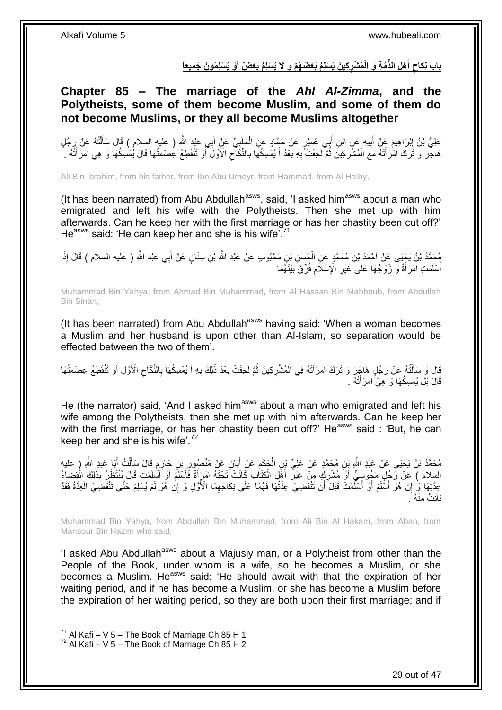باب نِكَاحٍ أَهْلِ الذَّمَّةِ وَ الْمُشْرِكِينَ يُسْلِمُ بَعْضُهُمْ وَ لَا يُسْلِمُ بَعْضٌ أَوْ يُسْلِمُونَ جَمِيعاً **َ َ** 

<span id="page-28-0"></span>**Chapter 85 – The marriage of the** *Ahl Al-Zimma***, and the Polytheists, some of them become Muslim, and some of them do not become Muslims, or they all become Muslims altogether**

عَلِيُّ بْنُ إِبْرَاهِيمَ عَنْ أَبِيهِ عَنِ ابْنِ أَبِي عُمَيْرٍ عَنْ حَمَّادٍ عَنِ الْحَلِبِيِّ عَنْ أَبِي عَبْدِ اللَّهِ ( عليه السلام ) قَالَ سَأَلْتُهُ عَنْ رَجُلٍ َ ِ ْ َ **!** َ ْ َ ا سمبر 1 هَاجَّرَ وَ تَزَكَ امْرَأَتَهُ مَعَ الْمُشْرِكِينَ ثُمَّ لَحِقَتْ بِهِ بَعْدُ أَ يُمْسِكُهَا بِالنِّكَاحِ الْأَوَّلِ أَوْ تَنْقَطِعُ عِصْمَتُها قَالَ يُمْسِكُهَا وَ هِيَ امْرَأَتُهُ . **∶** ْ َ َ َ ِ ِ َ ِ

Ali Bin Ibrahim, from his father, from Ibn Abu Umeyr, from Hammad, from Al Halby,

(It has been narrated) from Abu Abdullah<sup>asws</sup>, said, 'I asked him<sup>asws</sup> about a man who emigrated and left his wife with the Polytheists. Then she met up with him afterwards. Can he keep her with the first marriage or has her chastity been cut off?' He<sup>asws</sup> said: 'He can keep her and she is his wife'.<sup>71</sup>

مُحَمَّدُ بْنُ يَجْيَى عَنْ أَحْمَدَ بْنِ مُحَمَّدٍ عَنِ الْحَسَنِ بْنِ مَحْبُوبِ عَنْ عَبْدِ اللَّهِ بْنِ سِنَانٍ عَنْ أَبِي عَبْدِ اللَّهِ ( عليه السلام ) قَالَ إِذَا<br>يَسْمَدُ بْنُ يَجْيَى عَنْ أَحْمَدَ بْنِ مُحَمَّدٍ ع َ ْ َ أَسْلَمَتِ امْرَأَةٌ وَ زَوْجُهَا عَلَى َغَيْرِ الْإِسْلَامِ فُرِّقَ بَيْنَهُمَا **∶ ∶** َ َ

Muhammad Bin Yahya, from Ahmad Bin Muhammad, from Al Hassan Bin Mahboub, from Abdullah Bin Sinan,

(It has been narrated) from Abu Abdullah<sup>asws</sup> having said: 'When a woman becomes a Muslim and her husband is upon other than Al-Islam, so separation would be effected between the two of them'.

قَالَ وَ سَأَلْتُهُ عَنْ رَجُلٍ هَاجِرَ وَ تَرَكَ امْرَأَتَهُ فِي الْمُشْرِكِينَ ثُمَّ لَحِقَتْ بَعْدَ ذَلِكَ بِهِ أَ يُمْسِكُهَا بِالنِّكَاحِ الْأَوَّلِ أَوْ تَنْقَطِعُ عِصْمَتُهَا َ ِ ُ ِ ْ َ ֺ֧֧֧֧֧֦֧֦֧֧֦֧֦֧֦֧֦֧֦֧֧֧֧֧֧֧֧֧֝֟֟֓֟֓֟֓֟֓֡֟֟֓֟֓֡֟֟֟֟֓֡֟֟֟֟֓֡֟֟֓֟֓֡֟֟֩֓֟֓֟֓֟֓֟֓֟֓֟֩֓֟֩֓֝֬֟֓֝֬֝֬֝֬֝֓֝֬֝֬֝֬֝֬֝֬֝֬֝֬<br>֧֪֪֧֪֧֪֧֝֝֝֬֝֬֩**֓** َ َ  $\zeta$ ِ قَالَ بَلْ يُمْسِكُهَا وَ هِيَ امْرَأَتُهُ . ֪֦֪֪֦֦֦֪֪֪֦֪֪֦֪֪֪֦֪֪֪֦֪֪֪֦֚֘֝֟֓֕֬֝֓֕֓֬֓֓֬֓֓֡֟֓֡֟֓֡֟֓֡֟֓֡֟֓֡֟֟֓֡֟֓֡֟֓֡֟֡֡֓֞֓֞֡֬֓֞֡֬֓֞֓֞֬֓֞֟֟֟֟

He (the narrator) said, 'And I asked him<sup>asws</sup> about a man who emigrated and left his wife among the Polytheists, then she met up with him afterwards. Can he keep her with the first marriage, or has her chastity been cut off?' He<sup>asws</sup> said : 'But, he can keep her and she is his wife'.<sup>72</sup>

֖֖֖֖֧֢֚֚֚֚֚֚֚֚֚֚֚֚֚֚֚֚֚֚֬֘֝֓֝֓׆֧֧ مُحَمَّدُ بْنُ يَحْيَى عَنْ عَبْدِ اللَّهِ بِنِ مُحَمَّدٍ عَنْ عَلِيِّ بْنِ الْجَكَمِ عَنْ أَبَانٍ عَنْ مَنْصُورِ بْنِ جَازِمٍ قَالَ سَأَلْتُ أَبَا عَبْدِ اللَّهِ ( عليه<br>. ِ ِ َ **∶** ْ َ ْ اً ا السلام ) عَنْ رَجُلٍ مَجُوسِيٍّ أَوْ مُشْرِكٍ مِنْ غَيْرِ أَهْلِ الْكِتَابِ كَانَتْ تَحْتَهُ امْرَأَةٌ فَأَسْلَمَ أَوْ أَسُلَمَتْ قَالَ يُنْتَظِّرُ بِذَلِكَ انْقِضَاءُ<br>السلام ) عَنْ رَجُلٍ مَجْنَةٍ وَمَنْذُرِينَ وَمَنْ عَي ِ َ َ َ َ َ ْ َ **∶** ِ عِدَّتِهَا ٰ إِنْ ۖ هُوَ أَسْلَمَ أَوْ أَسْلَمَتْ قَبْلَ ۖ أَنْ تَنْفَّضِيَ عِدَّتُهَا فَهُمَا عَلَى نِكَاحِهِمَا الْأَوَّلِ وَ إِنْ هُوَ لَمْ يُسْلِمْ حَتَّى تَنْقَضِيَ الْعِدَّةُ فَقَدْ ِ َ َ َ ِ ْ بَانَتْ مِنْهُ َ

Muhammad Bin Yahya, from Abdullah Bin Muhammad, from Ali Bin Al Hakam, from Aban, from Mansour Bin Hazim who said,

'I asked Abu Abdullah<sup>asws</sup> about a Majusiy man, or a Polytheist from other than the People of the Book, under whom is a wife, so he becomes a Muslim, or she becomes a Muslim. He<sup>asws</sup> said: 'He should await with that the expiration of her waiting period, and if he has become a Muslim, or she has become a Muslim before the expiration of her waiting period, so they are both upon their first marriage; and if

 $^{71}$  Al Kafi – V 5 – The Book of Marriage Ch 85 H 1

 $72$  Al Kafi – V 5 – The Book of Marriage Ch 85 H 2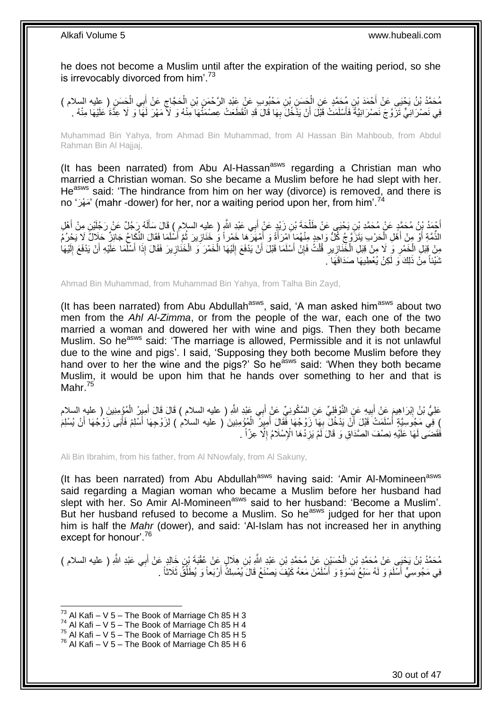he does not become a Muslim until after the expiration of the waiting period, so she is irrevocably divorced from him'.<sup>73</sup>

َح ِن ُم َح َّمٍد َع ِن ال ْح َمَد ْب َح َس ِن ُم َح َّمُد ْب ُن َي ْحَيى َع ْن أ ) عليه السالم ( ِي ال ب َع ْن أ َح َّجاج ِن ال ِن ْب ِن َم ْحُبو ٍب َع ْن َعْبِد ال َّر ْح َم َس ِن ْب ْ َ ْ َ ِ ْ فِي نَصْرَ انِيٍّ تَزَوَّجَ نَصْرَ انِيَّةً فَأَسْلَمَتْ قَبْلَ أَنْ يَذْخُلَ بِهَا قَالَ قَدِ انْقَطَعَتْ عِصْمَتُهَا مِنْهُ وَ لَأَ مَهْرَ لَهَآ وَ لَا عِذَّةَ عَلَيْهَا مِنْهُ . ِ اً اً

Muhammad Bin Yahya, from Ahmad Bin Muhammad, from Al Hassan Bin Mahboub, from Abdul Rahman Bin Al Hajjaj,

(It has been narrated) from Abu Al-Hassan<sup>asws</sup> regarding a Christian man who married a Christian woman. So she became a Muslim before he had slept with her. He<sup>asws</sup> said: 'The hindrance from him on her way (divorce) is removed, and there is no 'مَعْرَ $'$  (mahr -dower) for her, nor a waiting period upon her, from him'.<sup>74</sup>

أَحْمَدُ بِنُ مُحَمَّدٍ عَنْ مُحَمَّدِ بْنِ يَحْيَى عَنْ طَلْحَةَ بْنِ زَيْدٍ عَنْ أَبِي عَبْدِ اللَّهِ ( عليه السلام ) قَالَ سَأَلَهُ رَجُلٌ عَنْ رَجُلِّيْنِ مِنْ أَهْلِ ْ َ َ لَ Í َ الذِّمَّةِ أَوْ مِنْ أَهْلِ الْحَرْبِ يَتَزَوَّجُ كُلُّ وَاحِدٍ مِنْهُمَاٍ أَمْرَأَةً وَ أَمْهَرَكَمَا خَمْراً وَ خَنَازِينَ ثُمَّ أَسْلَمَا فَقَالَ النُّكَاحُ جَائِزٌ حَلَالٌ لَا يَحْرُمُ ُ ِ َ َ ْ َ َ ْ مِنْ قِبَلِ الْخَمْرِ وَ لَا مِنْ قِبَلِ الْخَّنَازِيرِ قُلْتُ فَإِنْ أَسْلَمَا قَبْلَ أَنْ يَدْفَعَ إِلَيْهَا الْخَمْرَ وَ الْخَنَازِيرَ فَقَالَ إِذَا أَسْلَمَا عَلَيْهِ أَنْ يَدْفَعَ إِلَيْهَا ْ لَ ِ اُ َ ِ ْ **∶** ¦ ْ ِ ْ لَ ِ َ َ ِ ثَنَيْنَاً مِنْ ذَٰلِكَ وَ لَكِنْ يُعْطِيهَا صَدَاقَهَا َ

Ahmad Bin Muhammad, from Muhammad Bin Yahya, from Talha Bin Zayd,

(It has been narrated) from Abu Abdullah $a_{\text{sws}}$ , said, 'A man asked him $a_{\text{sws}}$  about two men from the *Ahl Al-Zimma*, or from the people of the war, each one of the two married a woman and dowered her with wine and pigs. Then they both became Muslim. So he<sup>asws</sup> said: 'The marriage is allowed, Permissible and it is not unlawful due to the wine and pigs'. I said, 'Supposing they both become Muslim before they hand over to her the wine and the pigs?' So he<sup>asws</sup> said: 'When they both became Muslim, it would be upon him that he hands over something to her and that is Mahr.<sup>75</sup>

عَلِيُّ بْنُ إِبْرَاهِيمَ عَنْ أَبِيهِ عَنِ النَّوْفَلِيِّ عَنِ السَّكُونِيِّ عَنْ أَبِي عَبْدِ اللَّهِ ( عليه السلام ) قَالَ قَالَ أَمِيرُ الْمُؤْمِنِينَ ( عليه السلام َ ِ َ ِ ْ َ ) فِي مَجُوسِيَّةٍ أَسْلَمَتْ قَبْلَ أَنْ يَدْخُلِّ بِهَا زَوْجُهَا فَّقَالَ أَمِيِرٌ ۗ الْمُؤْمِنِينَ ْ( عليه السلام ) لِزَوْجِهَا أَسْلِمْ فَأَبَى زَوْجُهَا أَنْ يُسْلِمَ ْ َ ِ َ َ َ َ فَقَضَم لَهَا عَلَيْهِ نِصْفَ الصَّدَاقِ وَ قَالَ لَمْ يَزِدْهَا الْإِسْلَامُ إِلَّا عِزّاً . ِ ِ

Ali Bin Ibrahim, from his father, from Al NNowfaly, from Al Sakuny,

(It has been narrated) from Abu Abdullah<sup>asws</sup> having said: 'Amir Al-Momineen<sup>asws</sup> said regarding a Magian woman who became a Muslim before her husband had slept with her. So Amir Al-Momineen<sup>asws</sup> said to her husband: 'Become a Muslim'. But her husband refused to become a Muslim. So he<sup>asws</sup> judged for her that upon him is half the *Mahr* (dower), and said: 'Al-Islam has not increased her in anything except for honour'.<sup>76</sup>

مُحَمَّدُ بْنُ يَحْيَى عَنْ مُحَمَّدِ بْنِ الْحُسَيْنِ عَنْ مُحَمَّدٍ بْنِ عَبْدِ اللَّهِ بْنِ هِلَالٍ عَنْ عُقْبَةَ بْنِ خَالِدٍ عَنْ أَبِى عَبْدِ اللَّهِ ( عليه السلام ) ْ َ فِي مَجُوسِيٍّ أَسْلَمَ وَ لَهُ سَبْعُ نِسْوَةٍ وَ أَسَلَمْنَ مَعَهُ كَيْفَ يَصْنَعُ قَالَ يُمْسِكُ أَرْبَعاً وَ يُطَلِّقُ ثَلَاثاً . َ ِّ َ اً

 $^{73}$  Al Kafi – V 5 – The Book of Marriage Ch 85 H 3

 $74$  Al Kafi – V 5 – The Book of Marriage Ch 85 H 4

 $75$  Al Kafi – V 5 – The Book of Marriage Ch 85 H 5

 $^{76}$  Al Kafi – V 5 – The Book of Marriage Ch 85 H 6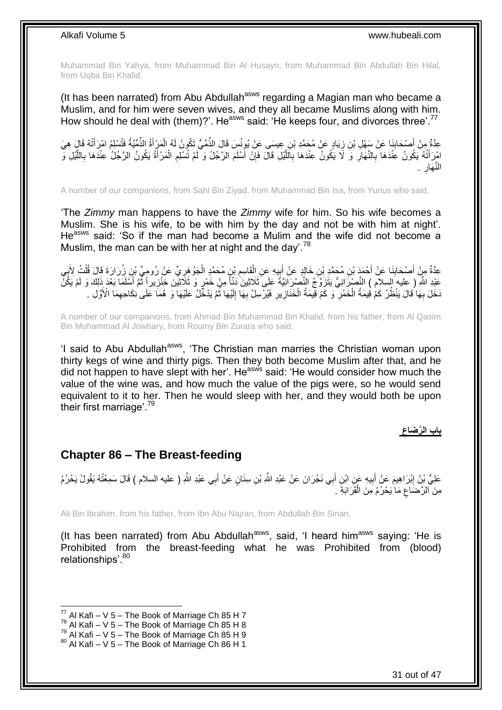Muhammad Bin Yahya, from Muhammad Bin Al Husayn, from Muhammad Bin Abdullah Bin Hilal, from Uqba Bin Khalid,

(It has been narrated) from Abu Abdullah<sup>asws</sup> regarding a Magian man who became a Muslim, and for him were seven wives, and they all became Muslims along with him. How should he deal with (them)?'. He<sup>asws</sup> said: 'He keeps four, and divorces three'.<sup>77</sup>

عِدَّةٌ مِنْ أَصْحَابِنَا عَنْ سَفْلِ بْنِ زِيَادٍ عَنْ مُحَمَّدِ بْنِ عِيسَى عَنْ يُونُسَ قَالَ الذِّمِّيُّ تَكُونُ لَهُ الْمَزْأَةُ الذِّمِّيَّةُ فَتُسْلِمُ امْرَأَتُهُ قَالَ هِيَ<br>جَيِّدَةٌ مِنْ أَصْحَابِنَا عَنْ سَفْلِ ِ ِ َ َ َ ْ امْرَ أَتُهُ يَكُونُ عَنْدَهَا بِالنَّهَارِ وَ لَا يَكُونُ عِنْدَهَا بِاَلَلَّيْلِ قَالَ فَإِنْ أَسْلَمَ الرَّجُلُ وَ أَمْ تُسْلِمِ الْمَرْأَةُ يَكُونُ الرَّجُلُ عِنْدَهَا بِاللَّيْلِ وَ َ ِ مَّةٍ<br>أ **∶** ِ **∶** ْ ِ َّ **∶** َ . ِ َهار النَّ

A number of our companions, from Sahl Bin Ziyad, from Muhammad Bin Isa, from Yunus who said,

'The *Zimmy* man happens to have the *Zimmy* wife for him. So his wife becomes a Muslim. She is his wife, to be with him by the day and not be with him at night'. He<sup>asws</sup> said: 'So if the man had become a Mulim and the wife did not become a Muslim, the man can be with her at night and the day'.<sup>78</sup>

عِدَّةٌ مِنْ أَصْحَابِنَا عَنْ أَحْمَدَ بْنِ مُحَمَّدِ بْنِ خَالِدٍ عَنْ أَبِيهِ عَنِ الْقَاسِمِ بْنٍ مُحَمَّدٍ الْجَوْ هَرِيٍّ عَنْ رُومِيٍّ بْنِ زُرَارَةَ قَالَ قُلْتُ لِأَبِي َ ِ ِ ْ ِ ْ ِ ْ ¦ َ عَيْدِ اللَّهِ ( عِليه َالسلام ) النَّصْزَِانِيُّ يَتَزَوَّجُ النَّصْرَِانِيَّةً عَلَى ثَلاَثِينَ دَنْأَ مِنْ خَمْرٍ وَ ثَلَاثِينَ خِنْزِيراً ثَمَّ أَسْلَمَا بَعْدَ ذَلِكَ وَ لَمْ يَكُنَّ الموقع الموقع الموقع الموقع الموقع الموقع الموقع الموقع الموقع الموقع الموقع الموقع الموقع الموقع ا<br>الموقع الموقع الموقع الموقع الموقع الموقع الموقع الموقع الموقع الموقع الموقع الموقع الموقع الموقع الموقع الموق ِ َ َخَلَ بِهَا ُقَالَ يَنْظُرُ كَمْ فِيمَةُ الْخَمْرِ ۖ وَ كَمْ قِيمَةُ الْخَذَازِيرِ فَيُرْسِلُ بِهَا إِلَيْهَا ثُمَّ يَدْخُلُ عَلَيْهَا وَ هُمَا عَلَى ٰنِكَاحِهِمَا الْأَوَّلِ . ان<br>المقام المقام المقام المقام المقام المقام المقام المقام المقام المقام المقام المقام المقام المقام المقام المقا لَ ِ ِ ِ ِ ْ **∶** ْ **∶** ِ لَ

A number of our companions, from Ahmad Bin Muhammad Bin Khalid, from his father, from Al Qasim Bin Muhammad Al Jowhary, from Roumy Bin Zurara who said,

'I said to Abu Abdullah<sup>asws</sup>, 'The Christian man marries the Christian woman upon thirty kegs of wine and thirty pigs. Then they both become Muslim after that, and he did not happen to have slept with her'. He<sup>asws</sup> said: 'He would consider how much the value of the wine was, and how much the value of the pigs were, so he would send equivalent to it to her. Then he would sleep with her, and they would both be upon their first marriage'.<sup>79</sup>

> **باب ال َّر َضاع**

### <span id="page-30-0"></span>**Chapter 86 – The Breast-feeding**

عَلِيُّ بْنُ إِبْرَاهِيمَ عَنْ أَبِيهِ عَنِ ابْنِ أَبِي نَجْرَانَ عَنْ عَبْدِ اللَّهِ بْنِ سِنَانٍ عَنْ أَبِي عَبْدِ اللَّهِ ( عليه السلام ) قَالَ سَمِعْتُهُ يَقُولُ يَحْرُمُ َ َ **!** َ ِ مِنَ الرَّضَاعِ مَا يَحْرُمُ مِنَ الْقَرَابَةِ . ْ ِ

Ali Bin Ibrahim, from his father, from Ibn Abu Najran, from Abdullah Bin Sinan,

(It has been narrated) from Abu Abdullah<sup>asws</sup>, said, 'I heard him<sup>asws</sup> saying: 'He is Prohibited from the breast-feeding what he was Prohibited from (blood) relationships'.<sup>80</sup>

 $^{77}$  Al Kafi – V 5 – The Book of Marriage Ch 85 H 7

 $78$  Al Kafi – V 5 – The Book of Marriage Ch 85 H 8

 $^{79}$  Al Kafi – V 5 – The Book of Marriage Ch 85 H 9

 $80$  Al Kafi – V 5 – The Book of Marriage Ch 86 H 1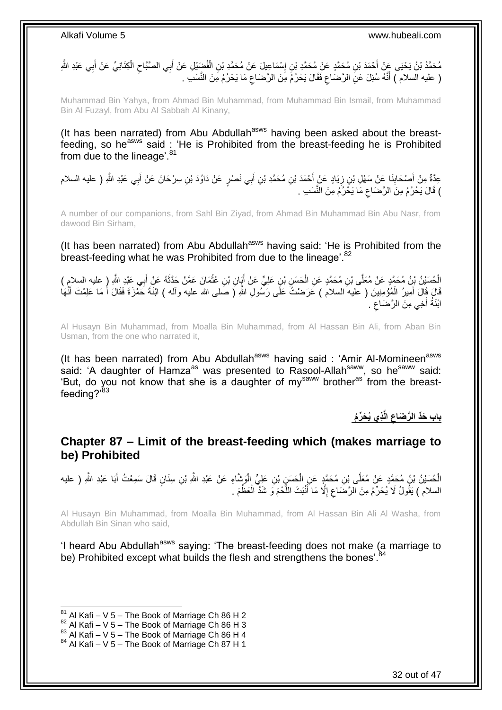ِ مُحَمَّدُ بْنُ يَحْيَى عَنْ أَحْمَدَ بْنِ مُحَمَّدٍ عَنْ مُحَمَّدٍ بْنِ إِسْمَاعِيلَ عَنْ مُحَمَّدٍ بْنِ الْفُضِّيْلِ عَنْ أَبِي الصَّبَّاحِ الْكِنَانِيِّ عَنْ أَبِي عَبْدِ الثَّهِ َ ْ ِ َ َ ْ  $\zeta$ ( عليه السلام ) أَنَّهُ سُئِلَ عَنِ الرَّصَاعِ فَقَالَ يَحْرُمُ مِنَ الرَّصَاعِ مَا يَحْرُمُ مِنَ النَّسَبِ . ِ ِ َ

Muhammad Bin Yahya, from Ahmad Bin Muhammad, from Muhammad Bin Ismail, from Muhammad Bin Al Fuzayl, from Abu Al Sabbah Al Kinany,

(It has been narrated) from Abu Abdullah<sup>asws</sup> having been asked about the breastfeeding, so he<sup>asws</sup> said : 'He is Prohibited from the breast-feeding he is Prohibited from due to the lineage'.<sup>81</sup>

عِدَّةٌ مِنْ أَصْحَابِذَا عِنْ سَهْلِ بْنِ زِيَادٍ عَنٍْ أَحْمَدَ بْنِ مُحَمَّدِ بْنِ أَبِي نَصْرٍ عَنْ دَاوُدَ بْنِ سِرْحَانَ عَنْ أَبِي عَبْدِ اللَّهِ ( عليه السلام َ ِ **∣** َ َ ) قَالَ يَحْرُمُ مِنَ الرَّضَاعِ مَا يَخْرُمُ مِنَ النَّسَبِ . ِ

A number of our companions, from Sahl Bin Ziyad, from Ahmad Bin Muhammad Bin Abu Nasr, from dawood Bin Sirham,

(It has been narrated) from Abu Abdullah<sup>asws</sup> having said: 'He is Prohibited from the breast-feeding what he was Prohibited from due to the lineage'.<sup>82</sup>

الْحُسَيْنُ بْنُ مُحَمَّدٍ عَنْ مُعَلَّى بْنِ مُحَمَّدٍ عَنِ الْحَسَنِ بْنِ عَلِيٍّ عَنْ أَيَانِ بْنِ عُثْمَانَ عَمَّنْ حَذَّثَهُ عَنْ أَبِي عَبْدِ اللَّهِ ( عليه السلامِ ) **ٔ** َ ْ َ َ قَالَ قَالَ أَمِيرُ الْمُؤْمِنِينَ ( عليه السلام ) عَرَضْتُ عَلَى رَسُولِ اللّهِ ( صَلى الله عليه وآله ) ابْنَةَ حَمْزَة فَقَالَ أَ مَا عَلِمْتَ أَنَّهَا ْ َ َ َ ابْنَةُ أَخِي مِنَ الرَّضَاعِ . ِ َ

Al Husayn Bin Muhammad, from Moalla Bin Muhammad, from Al Hassan Bin Ali, from Aban Bin Usman, from the one who narrated it,

(It has been narrated) from Abu Abdullah<sup>asws</sup> having said : 'Amir Al-Momineen<sup>asws</sup> said: 'A daughter of Hamza<sup>as</sup> was presented to Rasool-Allah<sup>saww</sup>, so he<sup>saww</sup> said: 'But, do you not know that she is a daughter of my<sup>saww</sup> brother<sup>as</sup> from the breastfeeding?'83

> **ذي ُي َح ِّر ُم الَّ باب َحِّد ال َّر َضاع**

### <span id="page-31-0"></span>**Chapter 87 – Limit of the breast-feeding which (makes marriage to be) Prohibited**

الْحُسَيْنُ بْنُ مُحَمَّدٍ عَنْ مُعَلَّى بْنِ مُحَمَّدٍ عَنِ الْحَسَنِي بْنِ عَلِيٍّ الْوَشَاءِ عَنْ عَبْدِ اللَّهِ بْنِ سِنَانٍ قَالَ سَمِعْتُ أَبَا عَبْدِ اللَّهِ ( عليه ْ َ ْ ْ السلام ) يَقُولُ لَا يُحَرِّمُ مِنَ الرَّضَاعِ إِلَّا مَا أَنْبَتَ اللَّحْمَ وَ شَدَّ الْعَظْمَ . ْ َّ َ ِ ِ

Al Husayn Bin Muhammad, from Moalla Bin Muhammad, from Al Hassan Bin Ali Al Washa, from Abdullah Bin Sinan who said,

'I heard Abu Abdullah<sup>asws</sup> saying: 'The breast-feeding does not make (a marriage to be) Prohibited except what builds the flesh and strengthens the bones'.<sup>84</sup>

 $81$  Al Kafi – V 5 – The Book of Marriage Ch 86 H 2

 $82$  Al Kafi – V 5 – The Book of Marriage Ch 86 H 3

 $83$  Al Kafi – V 5 – The Book of Marriage Ch 86 H 4

 $84$  Al Kafi – V 5 – The Book of Marriage Ch 87 H 1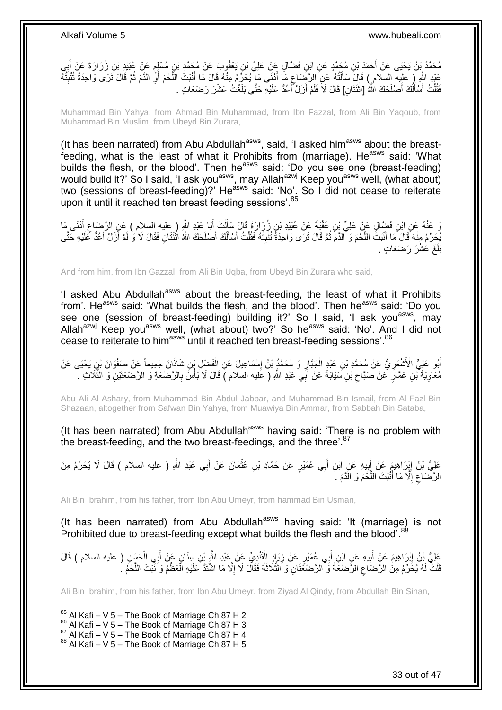مُحَمَّدُ بِنُ يَحْيَى عَنْ أَحْمَدَ بْنِ مُحَمَّدٍ عَنِ ابْنِ فَضَّالٍ عَنْ عَلِيِّ بْنِ يَعْقُوبَ عَنْ مُحَمَّدِ بْنِ مُسْلِمٍ عَنْ عُبَيْدِ بْنِ زُرَارَةَ عَنْ أَبِي ِ َ م عَبْدِ اللَّهِ ( عليه السلام ) قَالَ سَأَلْتُهُ عَنِ الرَّضَاعِ مَا أَدْنَى مَا يُحَرِّمُ مِنْهُ قَالَ مَا أَنْبَتَ اللَّحْمَ أَوَّ الدَّمَ ثُمَّ قَالَ ثَرَى وَاحِدَةً تُنْبِثُهُ<br>مُفْسُسِما وَ اللَّهِ فَيَ السلام ) قَالَ َ ِ ֦֧֦֧֦֦֧֦֦֦֦֦֦֦֦֦֦֦֦֦֦֦֦֦֦֦֧֦֧֦֧֦֦֧֦֪֪֦֦֧֦֦֦֧֦֪֪֪֦֟֟֟֟֟֟֟֟֟֟֟֟֟֟֓֕֟֟֓֕֟֓֟֓֞֟֝֟֓֟֓֟֓֞֟֓֞֟֟֓֞֟֓֞֟֓֞֟ َ ِ ر<br>: ِ َ َّ َ فَقُلْتُ أَسْأَلُكَ أَصْلَحَكَ اللَّهُ [اثْنَتَانِ] قَالَ لَا فَلَمْ أَزَلْ ۖأَعُدُّ عَلَيْهِ حَتَّى بَلَغْتُ عَشْرَ رَضَعَاتٍ . َ َ **ٔ** َ اً َ َ .<br>ا

Muhammad Bin Yahya, from Ahmad Bin Muhammad, from Ibn Fazzal, from Ali Bin Yaqoub, from Muhammad Bin Muslim, from Ubeyd Bin Zurara,

(It has been narrated) from Abu Abdullah $a<sup>asws</sup>$ , said, 'I asked him $a<sup>asws</sup>$  about the breastfeeding, what is the least of what it Prohibits from (marriage). He<sup>asws</sup> said: 'What builds the flesh, or the blood'. Then he<sup>asws</sup> said: 'Do you see one (breast-feeding) would build it?' So I said, 'I ask you<sup>asws</sup>, may Allah<sup>azwj</sup> Keep you<sup>asws</sup> well, (what about) two (sessions of breast-feeding)?' He<sup>asws</sup> said: 'No'. So I did not cease to reiterate upon it until it reached ten breast feeding sessions'.<sup>85</sup>

ِّ عَنْهُ عَنِ ابْنِ فَضَّالٍ عَنْ عَلِيِّ بْنِ عُقْبَةَ عَنْ عُبَيْدِ بْنِ زُرَارَةَ قَالَ سَأَلْتُ أَبَا عَيْ<br>وَ عَنْهُ وَيَرَانِ فَقَاءٍ عَنْ عَلِيِّ بِي عُقْبَةَ عَنْ عُبَيْدِ بْنِ زُرَارَةَ قَالَ سَأَلَتُ أَيَا عَبْد ْ ĺ َ ِ يُحِرِّمُ مِنْهُ قَالَ مَا أَنْبَتُّ اللَّحْمَ وَ الدَّمَ ثُمَّ قَالَ تَرَى وَاحِدَةً تُنْبِتُهُ فَقُلْتُ أَسْأَلُكَ أَصْلَحَكَ اللَّهُ اثْنَتَانِ فَقَالَ لَا وَ لَمْ أَزَلْ أَعُدُّ كَلَيْهِ حَتَّى َ اُ اً<br>أ َ ْ  $\frac{1}{2}$ .<br>• • • • َّ َ َ َ **ٔ** بَلَغَ عَشْرَ رَضَعَاتٍ <sub>.</sub>

And from him, from Ibn Gazzal, from Ali Bin Uqba, from Ubeyd Bin Zurara who said,

'I asked Abu Abdullah<sup>asws</sup> about the breast-feeding, the least of what it Prohibits from'. He<sup>asws</sup> said: 'What builds the flesh, and the blood'. Then he<sup>asws</sup> said: 'Do you see one (session of breast-feeding) building it?' So I said, 'I ask you<sup>asws</sup>, may Allah<sup>azwj</sup> Keep you<sup>asws</sup> well, (what about) two?' So he<sup>asws</sup> said: 'No'. And I did not cease to reiterate to him<sup>asws</sup> until it reached ten breast-feeding sessions'.<sup>86</sup>

أَبُو عَلِيٍّ الْأَشْعَرِيُّ عَنْ مُحَمَّدِ بْنِ عَنْدٍ الْجَبَّارِ وَ مُحَمَّدٍ بْنُ إِسْمَاعِيلَ عَنِ الْفَضْلِ بْنِ شَاذَانَ جَمِيعاً عَنْ صَفْوَانَ بْنِ يَحْيَى عَنْ ِ ْ ِ ِ ْ مُعَاوِيَةَ ْبْنِ عَمَّارٍ ۚ عَنْ صَبَّاحٍ بْنِ سَيَابَةَ عَنْ أَبِي عَبْدِ اللَّهِ ( عَليه السلام ) قَالَ لَا بَأْسَ بِالرَّضْعَةِ وَ الرَّضْعَتَيْنِ وَ الثَّلَاثِ . ِ **ٔ** َ  $\zeta$ ِ َّ

Abu Ali Al Ashary, from Muhammad Bin Abdul Jabbar, and Muhammad Bin Ismail, from Al Fazl Bin Shazaan, altogether from Safwan Bin Yahya, from Muawiya Bin Ammar, from Sabbah Bin Sataba,

(It has been narrated) from Abu Abdullah<sup>asws</sup> having said: 'There is no problem with the breast-feeding, and the two breast-feedings, and the three'.<sup>87</sup>

عَلِيُّ بْنُ إِبْرَاهِيمٍَ عَنْ أَبِيهِ عَنِ ابْنِ أَبِي عُمَيْرٍ عَنْ حَمَّادِ بْنِ عُثْمَانَ عَنْ أَبِي عَبْدِ اللَّهِ ( عليه السلام ) قَالَ لَا يُحَرِّمُ مِنَ َ **ٔ** ِ َ الرَّصْنَاعِ إِلَّا مَا أَنْبَتَ اللَّحْمَ وَ الَّذَّمَ . َّ َ ِ ِ

Ali Bin Ibrahim, from his father, from Ibn Abu Umeyr, from hammad Bin Usman,

(It has been narrated) from Abu Abdullah<sup>asws</sup> having said: 'It (marriage) is not Prohibited due to breast-feeding except what builds the flesh and the blood'.<sup>88</sup>

عَلِيُّ بْنُ إِبْرَاهِيمَ عَنْ أَبِيهِ عَنِ ابْنِ أَبِي عُمَيْرٍ عَنْ زِيَادٍ الْقَنْدِيِّ عَنْ عَبْدِ الثَّهِ بْنِ سِنَانٍ عَنْ أَبِي الْحَسَنِ ( عليه السلام ) قَالَ<br>نَفْسَ بَعْبِدُ الْمَسْلَمِينَ عَنْ أَبِيهِ عَنِ ابْنِ ْ ِ ِ َ ْ َ قُلْتٌ لَهُ يُخَرِّمُ مِنَ الرَّضَاعِ الرَّضْعَةُ وَ ۗالرَّضْعَٰتَانِ ۖ وَ الثَّلَاثَةُ فَقَالَ لَا إِلَّا مَا اشْتَدَّ عَلَيْهِ الّْعَظْمُ وَ نَّبَتَ اللَّحْمُ . ِ ْ َّ ْ ا<br>ا َ َّ

Ali Bin Ibrahim, from his father, from Ibn Abu Umeyr, from Ziyad Al Qindy, from Abdullah Bin Sinan,

1  $85$  Al Kafi – V 5 – The Book of Marriage Ch 87 H 2

 $86$  Al Kafi – V 5 – The Book of Marriage Ch 87 H 3

 $87$  Al Kafi – V 5 – The Book of Marriage Ch 87 H 4

 $88$  Al Kafi – V 5 – The Book of Marriage Ch 87 H 5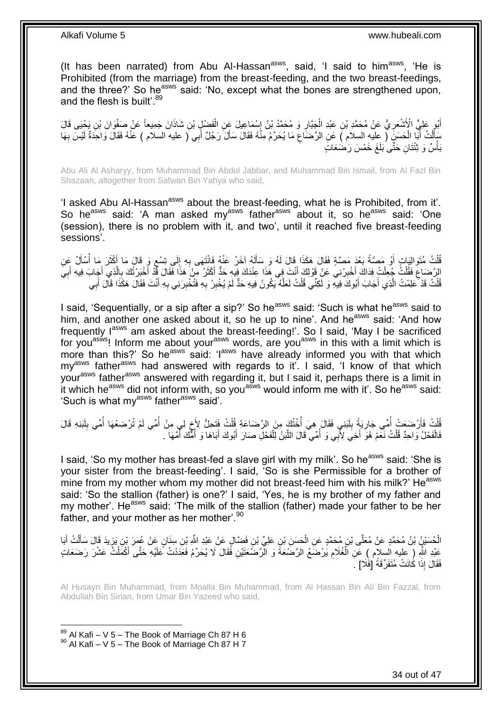(It has been narrated) from Abu Al-Hassan<sup>asws</sup>, said, 'I said to him<sup>asws</sup>, 'He is Prohibited (from the marriage) from the breast-feeding, and the two breast-feedings, and the three?' So he<sup>asws</sup> said: 'No, except what the bones are strengthened upon, and the flesh is built'.<sup>89</sup>

أَبُو عَلِيٍّ الْأَشْعَرِيُّ عَنْ مُحَمَّدِ بْنِ عَبْدِ الْجَنَّارِ وَ مُحَمَّدُ بْنُ إِسْمَاعِيلَ عَنِ الْفَضْلِ بْنِ شَاذَانَ جَمِيعاً عَنْ صَفْوَانَ بْنِ يَحْيَى قَالَ َ ْ ।।<br>३ **∶** ْ ِ سَأَلْتُ أَبَا الْحَسَنِ ( عِليهِ السلام ) عَنِ الرَّضَاعِ مَا يُحَرِّمُ مِنْهُ فَقَالَ سَأَلَ رَجُلٌ أَبِي ( عليه السلام ) عَنْهُ فَقَالَ وَاحِدَةٌ لَيْسَ بِهَا َ َ ِ ْ َ ْ َ ِ لَ بَأْسٌ وَ ثِنْتَانِ حَتَّى بَلَغَ خَمْسَ رَضَعَاتٍ **ٔ** 

Abu Ali Al Asharyy, from Muhammad Bin Abdul Jabbar, and Muhammad Bin Ismail, from Al Fazl Bin Shazaan, altogether from Safwan Bin Yahya who said,

'I asked Abu Al-Hassan<sup>asws</sup> about the breast-feeding, what he is Prohibited, from it'. So he<sup>asws</sup> said: 'A man asked my<sup>asws</sup> father<sup>asws</sup> about it, so he<sup>asws</sup> said: 'One (session), there is no problem with it, and two', until it reached five breast-feeding sessions'.

ثُلْثُ مُتَوَالِيَاتِ أَوْ مَصَّةً بَعْدَ مَصَّةٍ فَقَالَ هَكَذَا قَالَ لَهُ وَ سَأَلَهُ آخَرُ عَنْهُ فَانْتَهَى بِهِ إِلَى تِسْعِ وَ قَالَ مَا أَكْثَرَ مَا أُسْأَلُ عَنِ<br>فَقَدْتُ الْمَوْثَمَ الْمَوْثَةِ أَوْ أَوْ الْمَوْ ِ ِ لَ َ َ ْ َ ُ َ َ ٍ الرَّصَاعِ فَقُلْتُ جُعِلْتُ فِدَاكَ أَخْبِرْنِي عَنْ قَوْلِكَ أَنْتَ فِي هَذَا عِنْدَكَ فِيهِ حَدٌّ أَكْثَرُ مِنْ هَذَا فَقَالَ فِّذْ أَخْبَرْتُكَ بِالَّذِي أَجَابَ فِيهِ أَبِيَ َ **!** ْ ْ ِ ِ َ َ َّ ِ َ َ َ قُلْتُ قَدْ كَطِمْتُ الَّذِي أَجَابَ أَبُوكَ فِيهِ وَ لَكِنِّي قُلْتُ لَعَلَّهُ يَكُونُ فِيهِ حَدٌّ لَمْ يُخْبِرْ بِهِ فَتُخْبِرَنِي بِهِ أَنْتَ فَقَالَ هَكَذَا قَالَ أَبِي ِ ِ َّ ْ َ َ َّ ْ َ ِ ِ ِ َ

I said, 'Sequentially, or a sip after a sip?' So he<sup>asws</sup> said: 'Such is what he<sup>asws</sup> said to him, and another one asked about it, so he up to nine'. And he<sup>asws</sup> said: 'And how frequently lasws am asked about the breast-feeding!'. So I said, 'May I be sacrificed for you<sup>asws</sup>! Inform me about your<sup>asws</sup> words, are you<sup>asws</sup> in this with a limit which is more than this?' So he<sup>asws</sup> said: 'l<sup>asws</sup> have already informed you with that which my<sup>asws</sup> father<sup>asws</sup> had answered with regards to it'. I said, 'I know of that which your<sup>asws</sup> father<sup>asws</sup> answered with regarding it, but I said it, perhaps there is a limit in it which he<sup>asws</sup> did not inform with, so you<sup>asws</sup> would inform me with it'. So he<sup>asws</sup> said: 'Such is what my<sup>asws</sup> father<sup>asws</sup> said'.

قُلْتُ فَأَرْضَعَتْ أُمِّي جَارِيَةً بِلَبَنِي فَقَالَ هِيَ أُخْتُكَ مِنَ الرَّضَاعَةِ قُلْتُ فَتَحِلُّ لِأَخ لِي مِنْ أُمِّي لَمْ تُرْضِعْهَا أُمِّي بِلَبَنِهِ قَالَ ا<br>ا َ ْ ֺ֞ ْ ا<br>أ لَ  $\frac{1}{2}$ ِ ِ فَالْفَحْلُ وَاحِدٌ قُلْتُ نَعْمْ هُوَّ أَخِيَ لِأَبِي وَ أُمِّي ۖ قَالَ اللَّبَنُ لِلْفَحْلِ صَارَ أَبُوكَ أَبَاهَا وَ أُمُّكَ أَمَّهَا ۖ ـ َ َ ْ اُ ان<br>المنابعة ْ ْ ُ ُ

I said, 'So my mother has breast-fed a slave girl with my milk'. So he<sup>asws</sup> said: 'She is your sister from the breast-feeding'. I said, 'So is she Permissible for a brother of mine from my mother whom my mother did not breast-feed him with his milk?' He<sup>asws</sup> said: 'So the stallion (father) is one?' I said, 'Yes, he is my brother of my father and my mother'. He<sup>asws</sup> said: 'The milk of the stallion (father) made your father to be her father, and your mother as her mother<sup>'.90</sup>

الْحُسَيْنُ بْنُ مُحَمَّدٍ عَنْ مُعَلَّى بْنِ مُحَمَّدٍ عَنِ الْحَسِنِ بْنِ عَلِيٍّ بْنِ فَضَّالٍ عَنْ عَبْدِ اللَّهِ بْنِ سِنَانٍ عَنْ عُمَرَ بْنِ يَزِيدَ قَالَ سَأَلْتُ أَبَا ْ َ ْ َ ِ عَبْدِ اللَّهِ (ِ عِليه السلام ) عَنِ الْغُلَامِ يَرْضَعُ الرَّضَعَةَ وَ الْرَّضَعَتَيْنِ فَقَالَ لَا يُحَرِّمُ فَعَدَدْتُ عَلَيْهِ حَتَّى أَكْمَلْتُ عَشْرَ رَضَعَاتٍ ِ ْ ْ َ فَقَالَ إِذَا كَٰانَتْ مُتَفَرِّقَةً [فَلَا] ۚ

Al Husayn Bin Muhammad, from Moalla Bin Muhammad, from Al Hassan Bin Ali Bin Fazzal, from Abdullah Bin Sinan, from Umar Bin Yazeed who said,

 $89$  Al Kafi – V 5 – The Book of Marriage Ch 87 H 6  $90$  Al Kafi – V 5 – The Book of Marriage Ch 87 H 7

1

34 out of 47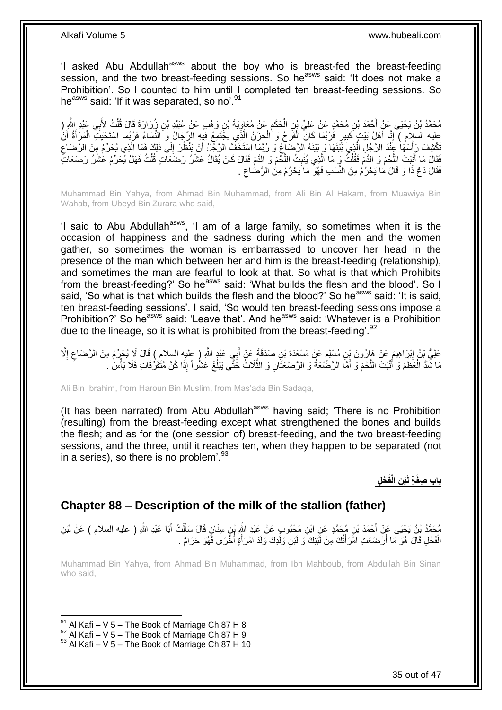'I asked Abu Abdullah<sup>asws</sup> about the boy who is breast-fed the breast-feeding session, and the two breast-feeding sessions. So he<sup>asws</sup> said: 'It does not make a Prohibition'. So I counted to him until I completed ten breast-feeding sessions. So he<sup>asws</sup> said: 'If it was separated, so no'.<sup>91</sup>

مُحَمَّدُ بْنُ يَحْيَى عَنْ أَحْمَدَ بْنِ مُحَمَّدٍ عَنْ عَلِيِّ بْنِ الْحَكَمِ عَنْ مُعَاوِيَةَ بْنِ وَهْبِ عَنْ عُبَيْدِ بْنِ زُِرَارَةَ قَالَ قُلْتُ لِأَبِي عَبْدِ اللَّهِ (<br>مُحَمَّدُ بْنُ يَحْيَى عَلْ أَحْمَدَ بْنِ مُح ِ ِ ْ َ ْ عليه السلام ) إِنَّا أَهْلُ بَيْتٍ كَبِيرٍ فَرُبَّمَا كَانَ الْفَرَحُ وَ الْحِزَنُ الَّذِي يَجْتَمِعُ فِيهِ الرِّجَالُ وَ النِّسَاءُ فَرُبِّمَا اسْتَحْيَتَ الْمَرْأَةُ أَنْ **!** َ ِ َ َ ْ َّ ْ ْ ِ تَكْشِفَ رَأْسَهَا عَنْدَ الرَّجُلِ الَّذِيَ بَيَّنَهَا وَ بَيْنَهُ الرَّصَاغِ وَ رُبَّمَا اسْتَخَفَّ الرَّجْلُ أَنْ يَنْظُرَ إِلَى ذَلِكَ فَمَا الَّذِي يُحَرِّمُ مِنَ الرَّصَاعِ َ َّ ֦֧֡֝֟֟֓֟֓֕<sup>֟</sup> ِ َّ فَقَالَ مَا أَنْنِتَ اللَّحْمَ وَ الدَّمَ فَقُلْتُ وَ مَا الَّذِي يُنْبِتُ اللَّحْمَ وَ الدَّمَ فَقَالَ كَانَ يُقَالُ عَشْرُ رَضَعَاتِ قُلْتُ فَهَلْ يُحَرِّمُ عَشْرُ رَضَعَاتِ َّ **ِ** َّ ْ َّ َ ْ فَقَالَ دَعْ ذَا وَ قَالَ مَا يَحْرُمُ مِنَ النَّسَبِ فَهُوَ مَا يَحْرُمُ مِنَ الرَّضَاعِ . ِ

Muhammad Bin Yahya, from Ahmad Bin Muhammad, from Ali Bin Al Hakam, from Muawiya Bin Wahab, from Ubeyd Bin Zurara who said,

'I said to Abu Abdullah<sup>asws</sup>, 'I am of a large family, so sometimes when it is the occasion of happiness and the sadness during which the men and the women gather, so sometimes the woman is embarrassed to uncover her head in the presence of the man which between her and him is the breast-feeding (relationship), and sometimes the man are fearful to look at that. So what is that which Prohibits from the breast-feeding?' So he<sup>asws</sup> said: 'What builds the flesh and the blood'. So I said, 'So what is that which builds the flesh and the blood?' So he<sup>asws</sup> said: 'It is said, ten breast-feeding sessions'. I said, 'So would ten breast-feeding sessions impose a Prohibition?' So he<sup>asws</sup> said: 'Leave that'. And he<sup>asws</sup> said: 'Whatever is a Prohibition due to the lineage, so it is what is prohibited from the breast-feeding'.  $92$ 

عَلِيُّ بِنُ إِبْرَاهِيمَ عَنْ هَارُونَ بِنِ مُسْلِمٍ عَنْ مَسْعَدَةَ بْنِ صَدَقَةٍ عَنْ أَبِي عَبْدٍ اللَّهِ ( عليه السلام ) قَالَ لَا يُحَرِّمُ مِنَ الرَّضَاعِ إِلَّا َ ٍ ِ ِ ِ مَا شَّدَّ الْعَظْمَ وَ أُنْبَتَ اللَّحْمَ وَ أَمَّا الرَّضُعَةُ وَ الرَّضعَتَانِ وَ الثَّلَاثُ خَتَّى يَبْلُغَ عَشْراً إِذَا كُنَّ مُتَفَرٌّقَاتٍ فَلَا بَأْسَ ٰ َّ َ َّ َ ْ ْ ٔ<br>ا

Ali Bin Ibrahim, from Haroun Bin Muslim, from Mas'ada Bin Sadaqa,

(It has been narrated) from Abu Abdullah<sup>asws</sup> having said; 'There is no Prohibition (resulting) from the breast-feeding except what strengthened the bones and builds the flesh; and as for the (one session of) breast-feeding, and the two breast-feeding sessions, and the three, until it reaches ten, when they happen to be separated (not in a series), so there is no problem<sup>'.93</sup>

 **ن الْفَ باب ص ْح ل َب ة لَ فَ**

### <span id="page-34-0"></span>**Chapter 88 – Description of the milk of the stallion (father)**

مُحَمَّدُ بْنُ يَحْيَى عَنْ أَحْمَدَ بْنِ مُحَمَّدٍ عَنِ ابْنِ مَحْبُوبٍ عَنْ عَبْدِ اللَّهِ بْنِ سِنَانٍ قَالَ سَأَلْتُ أَبَا عَبْدِ اللَّهِ ( عليه السلام ) عَنْ لَبَنِ<br>وَحَمَّدُ بْنُ يَحْيَى عَنِّ أَحْمَدَ بْنِ مُحَمَّدٍ َ ْ ĺ َ الْفَحْلِ قَالَ هُوَ مَا أَرْضَعَتِ امْرَأَتُكَ مِنْ لَبَنِكَ وَ لَبَنِ وَلَدِكَ وَلَدَ امْرَأَةٍ أُخْرَى فَهُوَ حَرَامٌ . :<br>ا َ َ ْ

Muhammad Bin Yahya, from Ahmad Bin Muhammad, from Ibn Mahboub, from Abdullah Bin Sinan who said,

 $91$  Al Kafi – V 5 – The Book of Marriage Ch 87 H 8

 $^{92}$  Al Kafi – V 5 – The Book of Marriage Ch 87 H 9

 $93$  Al Kafi – V 5 – The Book of Marriage Ch 87 H 10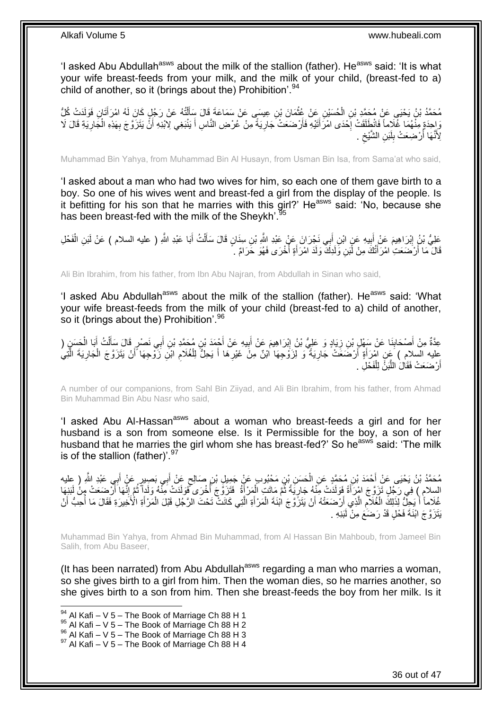'I asked Abu Abdullah<sup>asws</sup> about the milk of the stallion (father). He<sup>asws</sup> said: 'It is what your wife breast-feeds from your milk, and the milk of your child, (breast-fed to a) child of another, so it (brings about the) Prohibition'.<sup>94</sup>

ِن ُح َسْي َد ْت ُك ُم َح َّمُد ْب ُن َي ْحَيى َع ْن ُم َح َّمِد ْب ُّل ِن ال ِن َفَولَ َتا ُه ا ْم َرأ ُه َع ْن َر ُج ٍل َكا َن لَ تُ ل ِن ِعي َسى َع ْن َس َما َع َة َقا َل َسأ َما َن ْب َع ْن ُعث ْ َ ْ ĺ **ٔ** وَإِحِدَةٍ مِنْهُمَا غُلَاماً فَانْطِلَقَتْ إِحْدَى امْرَأَتَيْهِ فَأَرْضَعَتْ جَارِيَةً مِنْ عُرْضِ النَّاسِ أَ يَنْبَغِي لِابْنِهِ أَنْ يَتَزَوَّجَ بِهَذِهِ الْجَارِيَةِ قَالَ لَا َ ِ َ َ ·<br>∶ َ ِ ْ ِ لِأَنَّهَا أَرْضِعَتْ بِلَبَنِ الشَّيْخِ . ِ لَ  $\frac{1}{2}$ ا<br>ا

Muhammad Bin Yahya, from Muhammad Bin Al Husayn, from Usman Bin Isa, from Sama'at who said,

'I asked about a man who had two wives for him, so each one of them gave birth to a boy. So one of his wives went and breast-fed a girl from the display of the people. Is it befitting for his son that he marries with this girl?' He<sup>asws</sup> said: 'No, because she has been breast-fed with the milk of the Sheykh'.<sup>9</sup>

عَلِيُّ بْنُ إِبْرَاهِيمَ عَنْ أَبِيهِ عَنٍ ابْنِ أَبِي نَجْرَانَ عَنْ عَبْدِ اللَّهِ بْنِ سِنَانٍ قَالَ سَأَلْتُ أَبَا عَبْدِ اللَّهِ ( عليه السلام ) عَنْ لَبَنِ الْفَحْلِ ِ َ ْ َ َ **!** َ ْ قَالَ مَا أَرْضَعَتِ امْرَأَتُكَ مِنْ لَّبَنِ وَلَدِكَ وَلَدَ امْرَأَةٍ أَخْرَى فَهُوَ حَرَامٌ . ُ َ ֪֦֪֪֦֦֦֪֪֪֦֪֪֦֪֪֪֦֪֪֪֦֪֪֪֦֚֘֝֟֓֕֬֝֓֕֓֬֓֓֬֓֓֡֟֓֡֟֓֡֟֓֡֟֓֡֟֓֡֟֟֓֡֟֓֡֟֓֡֟֡֡֓֞֓֞֡֬֓֞֡֬֓֞֓֞֬֓֞֟֟֟֟ اُ

Ali Bin Ibrahim, from his father, from Ibn Abu Najran, from Abdullah in Sinan who said,

'I asked Abu Abdullah<sup>asws</sup> about the milk of the stallion (father). He<sup>asws</sup> said: 'What your wife breast-feeds from the milk of your child (breast-fed to a) child of another, so it (brings about the) Prohibition'.<sup>96</sup>

عِدَّةٌ مِنْ أَصْحَابِنَا عَنْ سَهْلٍ بْنِ زِيَادٍ وَ عَلِيُّ بْنُ إِبْرَاهِيمَ عَنْ أَبِيهِ عَنْ أَجْمَدَ بْنِ مُحَمَّدِ بْنِ أَبِي نَصْرٍ قَالَ سَأَلْتُ أَبَا الْحَسَنِ ( َ **!** ِ ِ ۱. َ ْ َ ْ َ َ عليه السلام ) عَنِ امْرَأَةٍ أَرْضَعَتْ جَارِيَةً ۖ وَ لِزَوْجِهَا اٰبْنٌ مِنْ غَيْرِهَا أَ يَحِلُّ لِلْغُلَامِ ابْنِ زَوْجِهَا أَنْ يَتَزَوَّجَ الْجَارِيَةَ الَّتِيُّ<br>نَشِفُ وَجَهَا أَنْ يَتَزَوْجَ الْجَارِيَةَ الْقَيْلَ ِ اُ َّ ْ َ ِ ْ َ ِ أَرْضَعَتْ فَقَالَ اللَّبَنُّ لِلْفَحْلِ . ْ َّ اً

A number of our companions, from Sahl Bin Ziiyad, and Ali Bin Ibrahim, from his father, from Ahmad Bin Muhammad Bin Abu Nasr who said,

'I asked Abu Al-Hassan<sup>asws</sup> about a woman who breast-feeds a girl and for her husband is a son from someone else. Is it Permissible for the boy, a son of her husband that he marries the girl whom she has breast-fed?' So he<sup>asws</sup> said: 'The milk is of the stallion (father)'. $97$ 

مُحَمَّدُ بْنُ يَحْيَى عَنْ أَحْمَدَ بْنِ مُحَمَّدٍ عَنِ الْحَسَنِ بْنِ مَحْبُوبٍ عَنْ جَمِيلٍ بْنِ صَالِحٍ عَنْ أَبِي بَصِيرٍ عَنٍْ أَبِي عَبْدِ اللَّهِ ( عِليه َ ٍ ْ َ السِلامِ ﴾ فِي رَجُلٍ تَزَوَّجَ امْرِزَأَةً فَوَلَدَتْ مِنْهُ جَارِيَةً ثُمَّ مَاتَتٍ الْمَرْأَةُ ۖ فَتَزَوَّجَ أَخْرَى فَوَلَدَتْ مَنْهُ وَلَدِأَّ ثُمَّ إِنَّهَا أَرْضَعَتْ مِنْ لَبَنِهَا َ َ ِ ُ ا<br>أ َ ْ اد<br>سا ِ غُلَاماً أَيَجِلُّ لِّذَلِكَ الْغُلَامِ الَّذِي أَرْضَعَتْهُ أَنْ يَتَزَّوَّجَ ابْنَةَ الْمَرْأَةِ الَّتِي كَانَتْ تَحْتَ الرَّجُلِ قَبْلَ الْمَرْأَةِ الْأَخِيرَةِ فَقَالَ مَا أُحِبُّ أَنْ َّ َ ْ َ َّ ِ ْ َ َ ر<br>|<br>| َ ْ يَتَزَوَّجَ ابْنَةَ فَحْلٍ قَدْ رَضَعَ مِنْ لَبَنِهِ

Muhammad Bin Yahya, from Ahmad Bin Muhammad, from Al Hassan Bin Mahboub, from Jameel Bin Salih, from Abu Baseer,

(It has been narrated) from Abu Abdullah<sup>asws</sup> regarding a man who marries a woman, so she gives birth to a girl from him. Then the woman dies, so he marries another, so she gives birth to a son from him. Then she breast-feeds the boy from her milk. Is it

- $95$  Al Kafi V 5 The Book of Marriage Ch 88 H 2
- $96$  Al Kafi V 5 The Book of Marriage Ch 88 H 3

 $94$  Al Kafi – V 5 – The Book of Marriage Ch 88 H 1

 $97$  Al Kafi – V 5 – The Book of Marriage Ch 88 H 4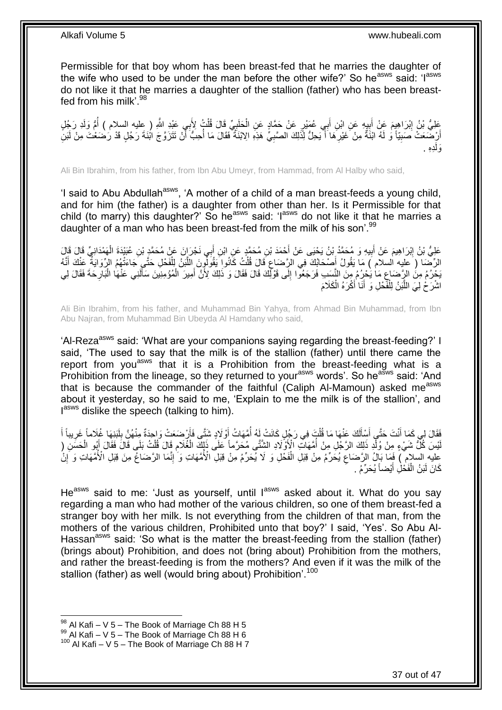Permissible for that boy whom has been breast-fed that he marries the daughter of the wife who used to be under the man before the other wife?' So he<sup>asws</sup> said: 'l<sup>asws</sup> do not like it that he marries a daughter of the stallion (father) who has been breastfed from his milk'.<sup>98</sup>

عَلِيُّ بْنُ إِبْرَاهِيمَ عَنْ أَبِيهِ عَنِ ابْنِ أَبِي عُمَيْرٍ عَنْ حَمَّادٍ عَنِ الْحَلَيِيِّ قَالَ قُلْتُ لِأَبِي عَبْدِ اللَّهِ ( عِليه السلام ) أُمُّ وَلَدِ رَجُلٍ<br>يَحْفُّ بَنُّ إِبْرَاهِيمَ عَنْ أَبِيهِ عَنِ ابْنِ أ ْ ِ ْ َ ِ َ ا<br>ا أَرْضَعَتْ صَبِيّاً وَ لَهُ ابْنَةٌ مِنْ غَيْرِهَا أَ يَحِلُّ لِذَلِكَ الصَّبِيِّ هَذِهِ الِابْنَةُ فَقَالَ مَا أُحِبُّ أَنْ تَتَزَوَّجَ ابْنَةَ رَجُلٍ قَدْ رَضْعَتْ مِنْ لَبَنِّ **∶** َ ِ **!** َ َ ُ ِدِه . َولَ

Ali Bin Ibrahim, from his father, from Ibn Abu Umeyr, from Hammad, from Al Halby who said,

'I said to Abu Abdullah<sup>asws</sup>, 'A mother of a child of a man breast-feeds a young child, and for him (the father) is a daughter from other than her. Is it Permissible for that child (to marry) this daughter?' So he<sup>asws</sup> said: 'I<sup>asws</sup> do not like it that he marries a daughter of a man who has been breast-fed from the milk of his son'.<sup>99</sup>

عَلِيُّ بْنُ إِبْرَاهِيمَ عَنْ أَبِيهِ وَ مُحَمَّدُ بْنُ يَحْيَى عَنْ أَحْمَدَ بْنِ مُحَمَّدٍ عَنِ ابْنِ أَبِي نَجْرَانَ عَنْ مُحَمَّدٍ بْنِ عُبَيْدَةَ الْهَمْدَانِيِّ قَالَ قَالَ<br>وَالِيَّ بِالْمَرْدَانِيِّ قَالَ قَالِمَ َ َ ِ َ ِ ْ الرِّضَا ( َعليه السلام ) مَا يَقُولُ أَصْحَابُكَ فِي الرَّضَاعِ قَالَ قُلْتُ كَانُوا يَقُولُونَ اللَّبَنُ لِلْفَحْلِ حَتَّـي َجَاءَتْهُمُ الرِّوَايَةُ عَنْكَ أَنَّهُ َ ْ َّ ْ ِ بَحْرُمُ مِنَ الرِّصَاعِ مَا يَحْرُمُ مِنَ النَّسَبِ فَرَجَعُوا إِلَى قَوْلِكَ قَالَ فَقَالَ وَ ذَلِكَ لِأَنَّ أَمِيرَ الْمُؤْمِنِينَ سَأَلَنِي عَنْهَا الْبَارِحَةَ فَقَالَ لِي ْ َ ِ ِ لَ ِ ْ اشْرَحْ لِيَ اللَّبَنُ لِلْفَّحْلِ وَ أَنَا أَكْرَهُ الْكَلَامَ ْ َ َ ْ َّ

Ali Bin Ibrahim, from his father, and Muhammad Bin Yahya, from Ahmad Bin Muhammad, from Ibn Abu Najran, from Muhammad Bin Ubeyda Al Hamdany who said,

'Al-Reza<sup>asws</sup> said: 'What are your companions saying regarding the breast-feeding?' I said, 'The used to say that the milk is of the stallion (father) until there came the report from you<sup>asws</sup> that it is a Prohibition from the breast-feeding what is a Prohibition from the lineage, so they returned to your<sup>asws</sup> words'. So he<sup>asws</sup> said: 'And that is because the commander of the faithful (Caliph Al-Mamoun) asked measws about it yesterday, so he said to me, 'Explain to me the milk is of the stallion', and lasws dislike the speech (talking to him).

فَقَالَ لِي كَمَا أَنْتَ حَتَّى أَسْأَلَكَ عَنْهَا مَا قُلْتَ فِي رَجُلٍ كَانَتْ لِهُ أُمَّهَاتُ أَوْلَادٍ شَتَّى فَأَرْضَعَتْ وَاحِدَةٌ مِنْهُنَّ بِلَبَنِهَا غُلَاماً غَرِيباً أَ َ ا<br>ا ْ لَ Í َ َ َ ِ لَ ِ لَيْسَ كُلُّ شَيْءٍ مِنْ وُلِّدٍ ذَلِكَ الرَّجُلِ مِنْ أُمَّهَاتٍ الْإِثَّاقِلَادِ الشِّتَّى مُحَرَّماً عَلَى ذَلِكَ الْغُلَامِ قَالَ فَلْتُ بَلَى قَالَ فَقَالَ أَبُو الْحَسَنِ ( ْ َ ْ ِ ْ ا<br>ا عْليه السلام ) فَمَا بَالُ الرَّضَاعِ يُحَرِّمُ مِنْ قِبَلِ الْفَخْلِ وَ لَا يُحَرِّمُ مِنْ قِبَلِ الْأُمَّهَاتِ وَ إِنْ ِ ْ ِ ِ كَانَ لَبَنُ الْفَحْلِ أَيْضاً يُحَرِّمُ . َ ْ

He<sup>asws</sup> said to me: 'Just as yourself, until lasws asked about it. What do you say regarding a man who had mother of the various children, so one of them breast-fed a stranger boy with her milk. Is not everything from the children of that man, from the mothers of the various children, Prohibited unto that boy?' I said, 'Yes'. So Abu Al-Hassan<sup>asws</sup> said: 'So what is the matter the breast-feeding from the stallion (father) (brings about) Prohibition, and does not (bring about) Prohibition from the mothers, and rather the breast-feeding is from the mothers? And even if it was the milk of the stallion (father) as well (would bring about) Prohibition'.<sup>100</sup>

 $98$  Al Kafi – V 5 – The Book of Marriage Ch 88 H 5

 $^{99}$  Al Kafi – V 5 – The Book of Marriage Ch 88 H 6

 $100$  Al Kafi – V 5 – The Book of Marriage Ch 88 H 7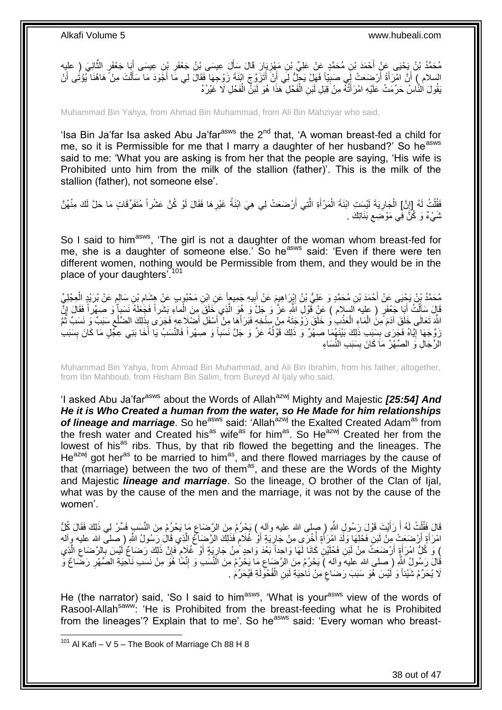مُحَمَّدُ بْنُ يَحْيَى عَنْ أَحْمَدَ بْنِ مُحَمَّدٍ عَنْ عَلِيِّ بْنِ مَفْزِيَارَ قَالَ سَأَلَ عِيسَى بْنُ جَعْفَرِ بْنِ عِيسَى أَبَا جَعْفَرِ الثَّانِيَ (ِ عليهِ َّ َ ِ َ **ٍ** السلام ﴾ أَنَّ اهْرَأَةً أَرْضِعَتْ لِِّي صَبِيَّاً فَهَلْ يَجِلُّ لِي أَنْ أَتَزَوَّجَ ابْنَةَ زَوْجِهَا فَقَالَ لِي مَا أَجْوَدَ مَا سَأَلْتَ مِنْ ۖ هَاهُنَا يُؤْتُى أَنْ َ َ َ **!** اُ َ َ ْ َ يَقُولَ النَّاسُ حَرُمَتْ عَلَيْهِ امْرَأَتُهُ مِنْ َقِبَلِ لَبَنِ الْفَحْلِ ۚ هَذَا هُوَ لَبَنِّ الْفَحْلِ لَا غَيْرُهُ ْ ْ

Muhammad Bin Yahya, from Ahmad Bin Muhammad, from Ali Bin Mahziyar who said,

'Isa Bin Ja'far Isa asked Abu Ja'far $a<sup>asws</sup>$  the  $2<sup>nd</sup>$  that, 'A woman breast-fed a child for me, so it is Permissible for me that I marry a daughter of her husband?' So he<sup>asws</sup> said to me: 'What you are asking is from her that the people are saying, 'His wife is Prohibited unto him from the milk of the stallion (father)'. This is the milk of the stallion (father), not someone else'.

فَقُلْتُ لَهُ [إِنَّ] الْجَارِيَةَ لَيْسَتِ ابْنَةَ الْمَرْأَةِ الَّتِي أَرْضَعَتْ لِي هِيَ ابْنَةُ غَيْرِهَا فَقَالَ لَوْ كُنَّ عَشْراً مُتَفَرِّقَاتٍ مَا حَلَّ لَكَ مِنْهُنَّ ِ َّ َ ْ **∶** ْ ِ .<br>ا ثَنَيْءٌ وَ كُنَّ فِّي مَوْضَعِ بَذَاتِكَ  $\zeta$ 

So I said to him<sup>asws</sup>, 'The girl is not a daughter of the woman whom breast-fed for me, she is a daughter of someone else.' So he<sup>asws</sup> said: 'Even if there were ten different women, nothing would be Permissible from them, and they would be in the place of your daughters<sup>7101</sup>

مُحَمَّدُ بِنُ يَحْيَى عَنْ أَحْمَدَ بْنِ مُحَمَّدٍ وَ عَلِيُّ بْنُ إِبِرَاهِيمَ عَنْ أَبِيهِ جَمِيعاً عَنِ ابْنِ مَحْبُوبِ عَنْ هِشَامِ بْنِ سَالِمِ عَنْ بُرَيْدٍ الْعِجْلِيِّ<br>يُرْمَحُنُّهُ بِنَّ سَالِمٍ عَنْ أَحْمَدَ بْ ِ َ ِ ْ ֧֖֖֚֚֚֓֝֝֬֝ ِ قَالَ سَأَلْتُ أَبَا جَعْفَرٍ ( عليه السلام ) عَنْ قَوْلِ اللَّهِ عَنَّ وَ جَلَّ وَ هُوَ الَّذِي خَلَقَ مِنَ الْماءِ بَشَراً فَجَعَلَهُ نَسَباً وَ صبهراً فَقَالَ إِنَّ ْ َّ َ ْ َ ِ اللَّهَ تَعَالَى خَلَقَ آدَمَ مِنَ الْمَاءِ الْعَذْبِ وَ خَلَقَ زَوْجَتَهُ مِنْ سِنْخِهٍ فَبَرَ أَهَا مِنْ أَسْفَلِ أَضْلَاعِهٍ فَجَرَى بِذَلِكَ الضَّلْعِ سَنَبٌ وَ نَسَبٌ ثُمَّ **ٔ** ْ ْ ر<br>: ِ َ َ َ زَوَّجَهَا إِيَّاهُ فَجَرَىٰ بِسَبَبِ ذَٰلِكَ بَيْنَهُمَا صِهْرٌ ۖ وَ ذَٰلِكَ قَوْلُهُ عَزَّ وَ جَلَّ نَسَباً وَ صِهْراً فَالنَّسَبُ يَا أَخَا بَنِي عِجْلٍ مَا كَانَ بِسَبَبِ ا<br>ا **∣** ِ ِ الرِّجَالِ وَ الْصِّهْرُ مَاَ كَانَ بِسَبَبِ النِّسَاءِ **∣** 

Muhammad Bin Yahya, from Ahmad Bin Muhammad, and Ali Bin Ibrahim, from his father, altogether, from Ibn Mahboub, from Hisham Bin Salim, from Bureyd Al Ijaly who said,

'I asked Abu Ja'far<sup>asws</sup> about the Words of Allah<sup>azwj</sup> Mighty and Majestic **[25:54] And** *He it is Who Created a human from the water, so He Made for him relationships*  of lineage and marriage. So he<sup>asws</sup> said: 'Allah<sup>azwj</sup> the Exalted Created Adam<sup>as</sup> from the fresh water and Created his<sup>as</sup> wife<sup>as</sup> for him<sup>as</sup>. So He<sup>azwj</sup> Created her from the lowest of his<sup>as</sup> ribs. Thus, by that rib flowed the begetting and the lineages. The He<sup>azwj</sup> got her<sup>as</sup> to be married to him<sup>as</sup>, and there flowed marriages by the cause of that (marriage) between the two of them<sup>as</sup>, and these are the Words of the Mighty and Majestic *lineage and marriage*. So the lineage, O brother of the Clan of Ijal, what was by the cause of the men and the marriage, it was not by the cause of the women'.

قَالَ فَقُلْتُ لَهُ أَ رَأَيْتَ قَوْلَ رَسُولِ اللَّهِ ( صلى الله عليه وآله ) بَحْرُكُم مِنَ الرَّضَاعِ مَا يَحْرُكُم مِنَ النَّسَبِ فَسِّرْ لِي ذَلِكَ فَقَالَ كُلُّ َ َ ْ ِ امْرَأَةٍ أَرْضَعَتْ مِنْ لَبَنٍ فَحْلِهَا وَلَٰذَ امْرِ أَةٍ أُخْرَى مِنْ جَارِيَةٍ أَوْ غُلَامٍ فَذَلِكَ الرَّضِاغُ الَّذِي قَالَ رَسُولُ اللَّهِ ( صلى الله عليه وآله َّ ٍ َ ِ ا<br>ا َ َ ِي وَ كُلُّ امْرَأَةٍ أَرْضَعَتْ مِنْ لَمَنِ فَخْلَيْنِ كَانَا لَهَا وَاحِداً بَعْدَ وَاحِدٍ مِّنْ جَارِيَةٍ أَوْ غُلَامٍ فَإِنَّ ذَلِكَ رَضَاعٌ لَيْسَ بِالرَّضَاعِ الَّذِي ∣ļ ֧֖֧֖֖֖֖֧֧֖֖֧֧֧֧֦֧֧֧֦֧֧֚֚֚֚֚֚֚֚֝֝֟֓֝֓֝֓֟֓֝֬֟֓֟֓֟֓֝֬֝֓֝֓֟֓֡֬֓֝֬֝֓֟֓֓֝֬ َ ֦֧֦֧֦֦֦֧֦֦֦֦֦֦֢ׅ֦֦֢ׅ֦֦ׅׅׅׅ֝֜֜֡֜֜֜֡֜֜֡֜֡֜֓֡֜֡֜֓֡֬ اً َ َّ ِ ; ُفْالَ رَسُولُ اللَّهِ ( صلى الله عليهَ وآله )َ يَحْرُمُ مِنَ الرَّضِاعِ مَا يَحْرُمُ مِنَ الَّنْسَٰبِ وَ إِنَّمَّا هُوَ مِنْ نَسَب نَاحِيَةِ الصِّهْرِ رَضَّاعٌ وَّ ِ ِ ِ لَا يُحَرِّمُ شَيْئاً وَ لَيْسَ هُوَ سَبَبَ رَضَاعٍ مِنْ نَاحِيَةِ لَبَنِ الْفُحُولَةِ فَيُحَرِّمَ . ْ ٍ

He (the narrator) said, 'So I said to him<sup>asws</sup>, 'What is your<sup>asws</sup> view of the words of Rasool-Allah<sup>saww:</sup> 'He is Prohibited from the breast-feeding what he is Prohibited from the lineages'? Explain that to me'. So he<sup>asws</sup> said: 'Every woman who breast-

1

38 out of 47

 $101$  Al Kafi – V 5 – The Book of Marriage Ch 88 H 8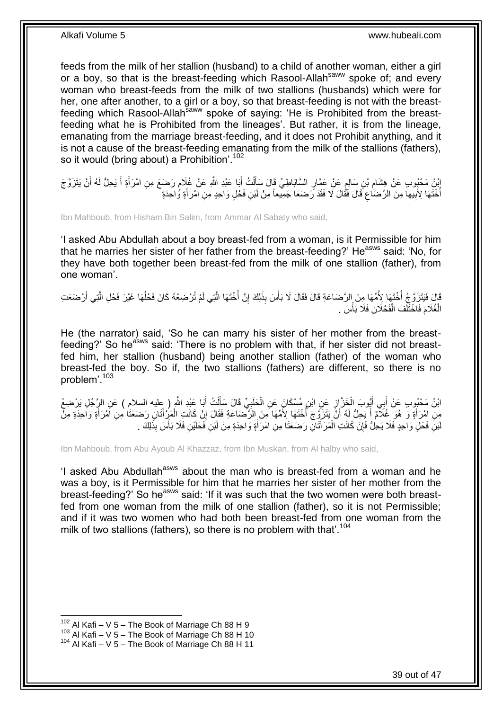feeds from the milk of her stallion (husband) to a child of another woman, either a girl or a boy, so that is the breast-feeding which Rasool-Allah<sup>saww</sup> spoke of: and every woman who breast-feeds from the milk of two stallions (husbands) which were for her, one after another, to a girl or a boy, so that breast-feeding is not with the breastfeeding which Rasool-Allah<sup>saww</sup> spoke of saying: 'He is Prohibited from the breastfeeding what he is Prohibited from the lineages'. But rather, it is from the lineage, emanating from the marriage breast-feeding, and it does not Prohibit anything, and it is not a cause of the breast-feeding emanating from the milk of the stallions (fathers), so it would (bring about) a Prohibition'.  $102$ 

إِنْ مَحْبُوبِ عَنْ هِشَامِ بْنِ سَالِمٍ عَنْ عَمَّارٍ السَّابَاطِيِّ قَالَ سَأَلْتُ أَبَا عَبْدِ اللَّهِ عَنْ غُلَامٍ رَضَعَ مِنِ امْرَأَةٍ أَ يَحِلُّ لَهُ أَنْ يَتَزَوَّ جَ َ ْ َ ٍ ِ َ َ َ م أُخْتَهَا لِأَبِيهَا مِنَ الرَّضَاٰعِ قَالَ فَقَالَ لَا فَقَدْ رَضَعَا جَمِيعاً مِنْ لَبَنِ فَحْلٍ وَاحِدٍ مِنِ امْرَأَةٍ وَّاحِدَةٍ َ ِ ِ ا<br>ا

Ibn Mahboub, from Hisham Bin Salim, from Ammar Al Sabaty who said,

'I asked Abu Abdullah about a boy breast-fed from a woman, is it Permissible for him that he marries her sister of her father from the breast-feeding?' He<sup>asws</sup> said: 'No, for they have both together been breast-fed from the milk of one stallion (father), from one woman'.

قَالَ فَيَتَزَوَّجُ أُخْتَهَا لِأُمِّهَا مِنَ الرَّضَاعَةِ قَالَ فَقَالَ لَا بَأْسَ بِذَلِكَ إِنَّ أُخْتَهَا الَّتِي لَمْ تُرْضِعْهُ كَانَ فَحْلُهَا غَيْرَ فَحْلِ الَّتِي أَرْضَعَتِ َّ ا<br>أ ِ **ٔ** ابل<br>ا َ َّ ُ الْغُلَامَ فَاخْتَلَّفَ الْفَحْلَانِ فَلَا بَأْسَ . ْ ْ ،<br>ا

He (the narrator) said, 'So he can marry his sister of her mother from the breastfeeding?' So he<sup>asws</sup> said: 'There is no problem with that, if her sister did not breastfed him, her stallion (husband) being another stallion (father) of the woman who breast-fed the boy. So if, the two stallions (fathers) are different, so there is no problem'.<sup>103</sup>

ائِنُ مَحْبُوبٍ عَنْ أَبِي أَيُّوبَ الْخَزَّ إِزِ عَنِ ابْنِ مُسْكَانَ عَنِ الْحَلَبِيِّ قَالَ سَأَلْتُ أَبَا عَبْدِ اللَّهِ ( عِليه السلام ) عَنِ الرَّجُلِ يَرْضِعُ َ ْ َ ¦ ْ ِ ْ َ َ مِنْ اِمْرَأَةٍ وَ هُوَ غُلاَمٌ أَ يَجِلُّ لَهُ أَنَّ يَتَزَوَّجَ أَخْتَهَا لِأُمِّهَا مِنَ الزَّصْبَاعَةِ فَقَالَ إِنْ كَانَتِ الْمَزْاتَانِ رَضَعَتَا مِنِ آَمْرَأَةٍ وَاحِدَةٍ مِنْ ِ ا<br>أ َ َ َ َ َ ْ لَئِنَ فَحْلٍ وَاحِدٍ فَلَا يَحِلُّ فَإِنْ كَانَتِ الْمَرْأَتَانِ رَضَعَتَا مِنِ امْرَأَةٍ وَاحِدَةٍ مِنْ لَبَنِ فَحْلَيْنِ فَلَا بَأْسَ بِذَلِكَ . ْ ِ َ َ

Ibn Mahboub, from Abu Ayoub Al Khazzaz, from Ibn Muskan, from Al halby who said,

'I asked Abu Abdullah<sup>asws</sup> about the man who is breast-fed from a woman and he was a boy, is it Permissible for him that he marries her sister of her mother from the breast-feeding?' So he<sup>asws</sup> said: 'If it was such that the two women were both breastfed from one woman from the milk of one stallion (father), so it is not Permissible; and if it was two women who had both been breast-fed from one woman from the milk of two stallions (fathers), so there is no problem with that'.<sup>104</sup>

<sup>1</sup>  $102$  Al Kafi – V 5 – The Book of Marriage Ch 88 H 9

 $103$  Al Kafi – V  $5$  – The Book of Marriage Ch 88 H 10

 $104$  Al Kafi – V 5 – The Book of Marriage Ch 88 H 11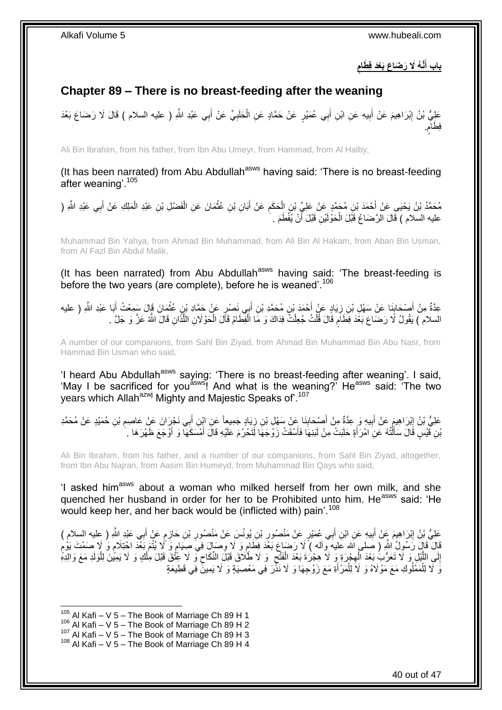**ٍ َطام َّن ُه َال َر َضا َع َبْعَد ف باب أ َ**

## <span id="page-39-0"></span>**Chapter 89 – There is no breast-feeding after the weaning**

ِ عَلِيُّ بْنُ إِبْرَاهِيمَ عَنْ أَبِيهِ عَنِ ابْنِ أَبِي عُمَيْرٍ عَنْ حَمَّادٍ عَنِ الْحَلَبِيِّ عَنْ أَبِي عَبْدِ اللَّهِ ( عليه السلام ) قَالَ لَا رَضَاعَ بَعْدَ َ ِ ْ َ **!** َ فِطَامٍ. م

Ali Bin Ibrahim, from his father, from Ibn Abu Umeyr, from Hammad, from Al Halby,

(It has been narrated) from Abu Abdullah<sup>asws</sup> having said: 'There is no breast-feeding after weaning'.<sup>105</sup>

مُحَمَّدُ بْنُ يَحْيَى عَنْ أَحْمَدَ بْنِ مُجَمَّدٍ عَنْ عَلِيٍّ بْنِ الْحَكَمِ عَنْ أَبَانِ بْنِ عُثْمَانَ عَنِ الْفَضْلِ بْنِ عَبْدِ الْمَلِكِ عَنْ أَبِي عَبْدِ اللَّهِ ( ْ **ٔ** َ ِ ْ َ َ ْ عليه السلام ) قَالَ الرَّضَاعُ قَبَّلَ الْحَوْلَيْنِ قَبْلَ أَنْ يُفْطَمَ . َ ْ

Muhammad Bin Yahya, from Ahmad Bin Muhammad, from Ali Bin Al Hakam, from Aban Bin Usman, from Al Fazl Bin Abdul Malik,

(It has been narrated) from Abu Abdullah<sup>asws</sup> having said: 'The breast-feeding is before the two years (are complete), before he is weaned'.<sup>106</sup>

عِدَّةٌ مِنْ أَصْحَابِنَا عَنْ سَهْلِ بْنِ زِيَادٍ عَنْ أَحْمَدَ بْنِ مُحَمَّدِ بْنِ أَبِي نَصْرٍ عَنْ حَمَّادِ بْنِ عُثْمَانَ قَالَ سَمِعْتُ أَبَا عَبْدِ اللَّهِ ( عليه **ٔ** َ َ ِ ِ َ السلام ) يَقُولُ لَا رَضَاعَ بَعْدَ فِطَلَمٍ قَالَ قُلْتُ جُعِلْتُ فِدَاكَ وَ مَا الْفِطَامُ قَالَ الْحَوْلَانِ اللَّذَانِ قَالَ اللَّهُ عَزَّ وَ جَلَّ . َّ ْ ْ ْ ْ ֧֧֧֧֧֧֧֧֧֓֝֓֝֓֝֓֝֬֟֓֓֝֓֓֝֬֓֝֓<del>֛</del>

A number of our companions, from Sahl Bin Ziyad, from Ahmad Bin Muhammad Bin Abu Nasr, from Hammad Bin Usman who said,

'I heard Abu Abdullah<sup>asws</sup> saying: 'There is no breast-feeding after weaning'. I said, 'May I be sacrificed for you<sup>asws</sup>! And what is the weaning?' He<sup>asws</sup> said: 'The two years which Allah<sup>azwj</sup> Mighty and Majestic Speaks of'.<sup>107</sup>

عَلِيُّ بْنُ إِبْرَاهِيمَ عَنْ أَبِيهِ وَ عِدَّةٌ مِنْ أَصْبِحَابِذَا عَنْ سَهْلِ بْنِ زِيَادٍ جَمِيعاً عَنِ إِبْنِ أَبِي نَجْرَانَ عَنْ عَاصِمِ بْنِ حُمَيْدٍ عَنْ مُحَمَّدِ َ ِ َ **!** َ ِ ِ َنِنِ فََيْسٍ قَالَ سَأَلْتُهُ عَنِ امْرَ أَةٍ حَلَبَتْ مِنْ لَبَذِهَا فَأَسْقَتْ زَوْجَهَا لِّتَحْرُمَ عَلَيْهِ قَالَ أَمْسَكَهَا وَ أَوْجَعَ ظَهْرَهَا . اً، َ ْ اً َ َ

Ali Bin Ibrahim, from his father, and a number of our companions, from Sahl Bin Ziyad, altogether, from Ibn Abu Najran, from Aasim Bin Humeyd, from Muhammad Bin Qays who said,

'I asked him<sup>asws</sup> about a woman who milked herself from her own milk, and she quenched her husband in order for her to be Prohibited unto him. He<sup>asws</sup> said: 'He would keep her, and her back would be (inflicted with) pain'.<sup>108</sup>

عَلِيُّ بْنُ إِبْرَاهِيمَ عَنْ أَبِيهِ عَنِ ابْنِ أَبِي عُمَيْرٍ عَنْ مَنْصُورِ بْنِ يُونُسَ عَنْ مَنْصُورِ بْنِ حَازِمٍ عَنْ أَبِي عَبْدِ اللَّهِ ( عِليه السلام ) َ **!** َ ِ َ ٍ **ٍ ∶ ∶** قَالَ قَالٍ رَسُولُ اللّهِ ( صَلى الله عَليهَ وآله ) لَا رَضَاعِ بَعْدَ فِطَامٍ وَ لَا وِصَالٍ فِيَ صِنَبامٍ وَ ُلَا يُنْمَ بَعْدَ اخْتِلَامٍ وَ لَا صَمْتَ يَوْمِ أ ِ ֧֠׆֧ ֧֖֧֖֖֖֖֖֧֖֖֖֖֧֧֧֧֧֧֧֧֧֧֧֧֧֧֧֧֧֚֚֚֚֚֚֚֚֚֚֚֝֝֟֓֝֓֝֓֝֬֟֓֝֬֟֓֝֬֝֓֝֓֝֬֝֓֝֬֝֬֝֓֝֬֝֬֓֝֬֝֬֝֬ ֧֖֧֦֖֖֖֧֧֧֧֧֧֧֧֧֧֧֧֧֧֚֚֚֝֝֝֓֟֓֝֓֝֓֝֓֟֓֝֬֝֬֝֬֝֓֬֝֬֝֓֟֓֟֓֬֓֝֓֝֬֝֬֝֓֝֬֝֬֓֝֬֝֓֝֬֝֬ إِلَى اللَّيْلِ وَ لَا تَعَرُّبَ بَعْدَ الْهِجْرَةِ وَ لَا هِجْرَةَ بَعْدَ الْفَثْحِ ۚ وَ لَا طَّلَاقَ قَبْلَ النِّكَاحِ وَ لَا عَنْقَ قَبْلَ مِلْكٍ وَ لَا يَمِيلَنَ لِلْوَلَدِ مَعَ وَالِدِهِّ ِ ِ ْ ِ ْ َّ ِ ْ ْ وَ لَا لِلْمَمْلُوكِ مَعَ مَوْلَاهُ وَ لَا لِلْمَرْأَةِ مَعَ زَوْجِهَا وَ لَا نَذِّرَ فِي مَعْصِيَةٍ وَ لَا يَمِينَّ فِي قَطِيعَةٍ َ ْ ْ <u>ٔ</u>

<sup>1</sup>  $105$  Al Kafi – V 5 – The Book of Marriage Ch 89 H 1

 $106$  Al Kafi – V 5 – The Book of Marriage Ch 89 H 2

 $107$  Al Kafi – V 5 – The Book of Marriage Ch 89 H 3

 $108$  Al Kafi – V 5 – The Book of Marriage Ch 89 H 4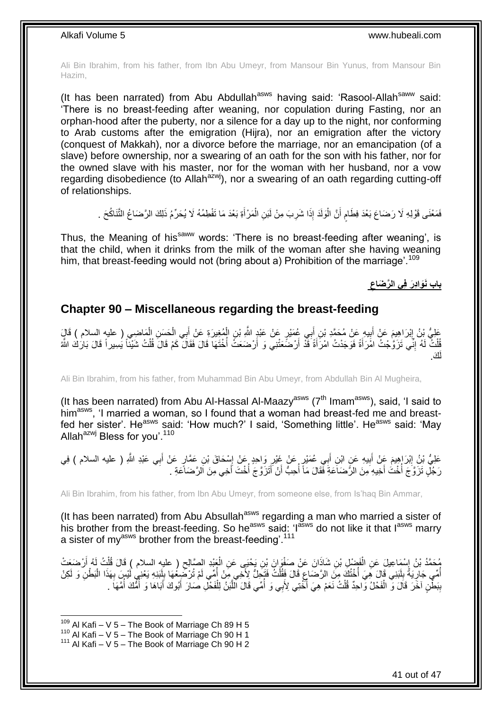Ali Bin Ibrahim, from his father, from Ibn Abu Umeyr, from Mansour Bin Yunus, from Mansour Bin Hazim,

(It has been narrated) from Abu Abdullah<sup>asws</sup> having said: 'Rasool-Allah<sup>saww</sup> said: 'There is no breast-feeding after weaning, nor copulation during Fasting, nor an orphan-hood after the puberty, nor a silence for a day up to the night, nor conforming to Arab customs after the emigration (Hijra), nor an emigration after the victory (conquest of Makkah), nor a divorce before the marriage, nor an emancipation (of a slave) before ownership, nor a swearing of an oath for the son with his father, nor for the owned slave with his master, nor for the woman with her husband, nor a vow regarding disobedience (to Allah<sup>azwj</sup>), nor a swearing of an oath regarding cutting-off of relationships.

فَمَعْنَى قَوْلِهِ لَا رَضَاعَ بَعْدَ فِطَامٍ أَنَّ الْوَلَدَ إِذَا شَرِبَ مِنْ لَبَنِ الْمَرْ أَةِ بَعْدَ مَا نَفْطِمُهُ لَا يُحَرِّمُ ذَلِكَ الرَّضَاعُ النَّتَاكُحَ . َ ْ ِ :<br>ا َ ٍ

Thus, the Meaning of his<sup>saww</sup> words: 'There is no breast-feeding after weaning', is that the child, when it drinks from the milk of the woman after she having weaning him, that breast-feeding would not (bring about a) Prohibition of the marriage'.<sup>109</sup>

> **باب َنَوا دَر ف ي ال َّر َضاع**

### <span id="page-40-0"></span>**Chapter 90 – Miscellaneous regarding the breast-feeding**

ْ عَلِيُّ بِنُ إِبْرَاهِيمَ عَنْ أَبِيهِ عَنْ مُحَمَّدِ بْنِ أَبِي عُمَيْرٍ عَنْ عَبْدٍ اللَّهِ بْنِ الْمُغِيرَةِ عَنْ أَبِي الْحَسَنِ الْمُاضِي ( عليهِ السلام ) قَالٍَ َ ْ ِ َ יִין<br>∶ ْ ْ فُلْتٌ لَهُ إِنِّي تَزَوَّجْتُ امْرَأَةً فَوَجَدْتُ امْرَأَةً قَدْ أَرْضَعَتْنِي وَ أَرْضَعَتْ أُخْتَهَا قَالَ فَقَالَ كَمْ قَالَ فُلْتُ شَيْئاً يَسِيراً قَالَ بَارَكَ اللَّهُ :<br>ا اُ اُ َ َ ِ ْ َك. لَ

Ali Bin Ibrahim, from his father, from Muhammad Bin Abu Umeyr, from Abdullah Bin Al Mugheira,

(It has been narrated) from Abu Al-Hassal Al-Maazy<sup>asws</sup> ( $7<sup>th</sup>$  Imam<sup>asws</sup>), said, 'I said to him<sup>asws</sup>, 'I married a woman, so I found that a woman had breast-fed me and breastfed her sister'. He<sup>asws</sup> said: 'How much?' I said, 'Something little'. He<sup>asws</sup> said: 'May Allah $^{azwj}$  Bless for you'.<sup>110</sup>

عَلِيُّ بْنُ إِبْرَاهِيمَ عَنْ أَبِيهِ عَنِ ابْنِ أَبِي عُمَيْرٍ عَنْ غَيْرِ وَاحِدٍ عَنْ إِسْحَاقَ بْنِ عَمَّارٍ عَنْ أَبِي عَبْدِ اللَّهِ ( عليه السلام ) فِي َ ِ ِ َ **!** َ ِ رَ جُلٍّ تَزَوَّجَ أَخْتُ أَخِيهِ مِنَ الرَّضَاَعَةِ فَقَالَ مَاً أَحِبُّ أَنْ أَتَزَوَّجَ أَخْتَ أَخِي مِنَ الرَّضَاعَةِ . َ ان<br>المستقبل ا<br>أ َ ا<br>أ

Ali Bin Ibrahim, from his father, from Ibn Abu Umeyr, from someone else, from Is'haq Bin Ammar,

(It has been narrated) from Abu Absullah $a<sup>asws</sup>$  regarding a man who married a sister of his brother from the breast-feeding. So he<sup>asws</sup> said: 'l<sup>asws</sup> do not like it that l<sup>asws</sup> marry a sister of my<sup>asws</sup> brother from the breast-feeding'.<sup>111</sup>

ِ مُحَمَّدُ بْنُ إِسْمَاعِيلَ عَنِ الْفَضْلِ بْنِ شَاذَانَ عَنْ صَفْوَانَ بْنِ يَحْيَى عَنِ الْعَبْدِ الصَّالِحِ ( عليه السلام ) قَالَ قُلْتُ لَهُ أَرْضَعَتْ<br>\* ْ ْ **∶** َ ْ أُمِّي جَالِّا ِمَّةَ بِلَنِنِيَ قَالَ هِيَ أُخْلُكَ مِنِّ الرَّصْاعِ قَالَ فَقُلْتُ فَتَجِلُّ لِأَخِي مِنْ أُمِّي لَمْ تُرْضِعُهَا بِلْبَنِهِ يَعْنِي لَيْسٍ بِهَذَا الْبَطْنِ وَ لَكِنْ ا<br>المناسبة ْ ِ ا<br>ا لَ  $\frac{1}{2}$ ِ ْ ِ لَ ِ بِبَطْنٍ آخَرَ قَالَ وَّ الْفَحْلُ وَّاحِدٌ قُلْتُ نَعَمْ هِيَ أُخْتِي لِأَبِي وَ أُمِّي قَالَ اللَّبَنُ لِلْفَحْلِ صَارَ أَبُوكَ أَبَاهَا وَ أُمُّكَ أُمَّهَا . ْ **ِ** ُ ا<br>ا َ َ ْ َّ ُ ا<br>ا ْ

 $109$  Al Kafi – V 5 – The Book of Marriage Ch 89 H 5

 $110$  Al Kafi – V  $5$  – The Book of Marriage Ch 90 H 1

 $111$  Al Kafi – V 5 – The Book of Marriage Ch 90 H 2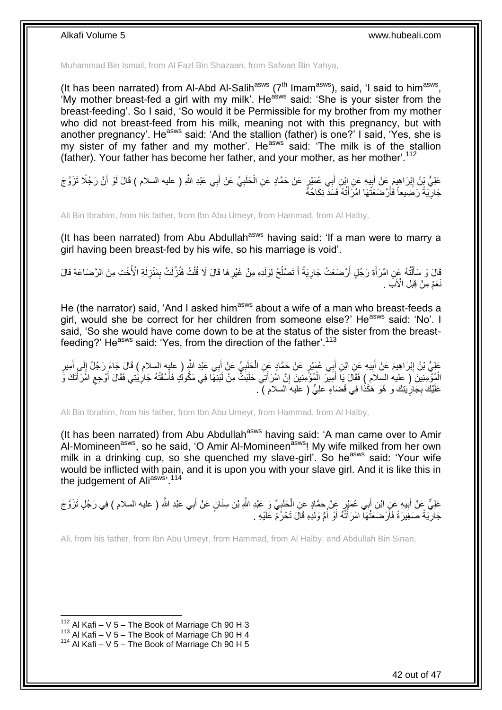Muhammad Bin Ismail, from Al Fazl Bin Shazaan, from Safwan Bin Yahya,

(It has been narrated) from Al-Abd Al-Salih<sup>asws</sup> ( $7<sup>th</sup>$  Imam<sup>asws</sup>), said, 'I said to him<sup>asws</sup>, 'My mother breast-fed a girl with my milk'. He<sup>asws</sup> said: 'She is your sister from the breast-feeding'. So I said, 'So would it be Permissible for my brother from my mother who did not breast-feed from his milk, meaning not with this pregnancy, but with another pregnancy'. He<sup>asws</sup> said: 'And the stallion (father) is one?' I said, 'Yes, she is my sister of my father and my mother'. He<sup>asws</sup> said: 'The milk is of the stallion (father). Your father has become her father, and your mother, as her mother'.<sup>112</sup>

عَلِيُّ بِنُ إِبْرَاهِيمَ عَنْ أَبِيهِ عَنِ إِبْنِ أَبِي عُمَيْرٍ عَنْ حَمَّادٍ عَنِ الْحَلَبِيِّ عَنْ أَبِي عَبْدِ اللَّهِ ( عليه السلام ) قَالَ لَوْ أَنَّ رَجُلًا تَزَوَّجَ َ ِ ْ ِ َ ِ َ جَارِّيَةً رَضِيعاً فَأَرْضَعَتَّهَا امْرَأَتُهُ فَسَدَّ نِكَاحُهً َ **∶** 

Ali Bin Ibrahim, from his father, from Ibn Abu Umeyr, from Hammad, from Al Halby,

(It has been narrated) from Abu Abdullah<sup>asws</sup> having said: 'If a man were to marry a girl having been breast-fed by his wife, so his marriage is void'.

قَالَ وَ سَأَلْتُهُ عَنِ امْرَأَةِ رَجُلٍ أَرْضَعَتْ جَارِيَةً أَ تَصْلُحُ لِوَلَدِهِ مِنْ غَيْرِهَا قَالَ لَا قُلْتُ فَنُزِّلَتْ بِمَنْزِلَةِ الْأُخْتِ مِنَ الرَّضَاعَةِ قَالَ ِ ْ **ٍ** ُ َ **∶** اُ َ ֺ֧֦֦֧֦֦֖֦֦֦֖֦֧֦֪֦֧֦֪֪֦֧֦֪֦֪֦֪֦֧֦֪֦֧֦֪֦֧֦֧֦֪֪֦֧֦֪֪֦֧֦֧֦֧֪֝֟֟֟֟֟֟֟֟֟֟֟֟֟֟֟֟֟֟֟֟֟֬֟֟֓֟֟֟֓֞֟֟֟֓֞֟֟֟֟֩֓֞֟֟֓֞֟֟֟֟֟֟֟֟֝ لَ ِ نَعَمْ مِنْ قِبَلِ الْأُبَ

He (the narrator) said, 'And I asked him<sup>asws</sup> about a wife of a man who breast-feeds a girl, would she be correct for her children from someone else?' He<sup>asws</sup> said: 'No'. I said, 'So she would have come down to be at the status of the sister from the breastfeeding?' He<sup>asws</sup> said: 'Yes, from the direction of the father'.<sup>113</sup>

عَلِيُّ بْنُ إِبْرَاهِيمَ عَنْ أَبِيهِ عَنِ ابْنِ أَبِي عُهَيْرٍ عَنْ حَمَّادٍ عَنِ الْحَلَبِيِّ عَنْ أَبِي عَبْدِ اللَّهِ ( عليِه السلام ) قَالَ جَاءَ رَجُلٌ إِلَى أَمِيرِ<br>وَيَمْيَنُ الْبَرَاهِيمَ عَنْ أَبِيهِ عَنِ ابْنِ َ ِ ْ َ **!** َ ِ ِ َ  $\frac{1}{2}$ َ الْمُؤْمِنِينَ ( عليه السلام ) فَقَالَ يَا أَمِيرَ الْمُؤْمِنِينَ إِنَّ امْرَأَتِيَ حَلَبَتٌ مِنْ لَبَنِهَا فِي مَكُوكُ فَأَسْقَتْهُ جَارِيْتِي فَقَالَ أَوْجِعِ امْرَأَتَكَ وَ ِ ْ َ َ ِ َ ِ اً عَلَيْكَ بِجَارِيَتِكَ وَ هُوَ هَكَذَا فِي قَضَاءِ عَلِيٍّ ( عليه السلام ) . **∶** ِ

Ali Bin Ibrahim, from his father, from Ibn Abu Umeyr, from Hammad, from Al Halby,

(It has been narrated) from Abu Abdullah<sup>asws</sup> having said: 'A man came over to Amir Al-Momineen<sup>asws</sup>, so he said, 'O Amir Al-Momineen<sup>asws</sup>! My wife milked from her own milk in a drinking cup, so she quenched my slave-girl'. So he<sup>asws</sup> said: 'Your wife would be inflicted with pain, and it is upon you with your slave girl. And it is like this in the judgement of Aliasws<sup>, 114</sup>

عَلِيٌّ عِنْ أَبِيهِ عَنٍ ابْنِ أَبِي عُمَنْزٍ عَنْ حَمَّادٍ عَنِ الْحَلَبِيِّ وَ عَبْدِ اللَّهِ بْنِ سِنَانٍ عَنْ أَبِي عَبْدِ اللَّهِ ( عليه السلام ) فِي رَجُلٍ تَزَوَّجَ َ ֦֧<u>֓</u> ْ َ **!** َ جَارِّيَةً صَغِيرَةً فَأَرْضَعَتْهَا امْرَأَتُهُ أَوْ أُمُّ وَلَدِهِ قَالَ تَحْرُمُ عَلَيْهِ . ا<br>ا َ َ اُ ِ

Ali, from his father, from Ibn Abu Umeyr, from Hammad, from Al Halby, and Abdullah Bin Sinan,

 $112$  Al Kafi – V 5 – The Book of Marriage Ch 90 H 3

 $113$  Al Kafi – V 5 – The Book of Marriage Ch 90 H 4

 $114$  Al Kafi – V 5 – The Book of Marriage Ch 90 H 5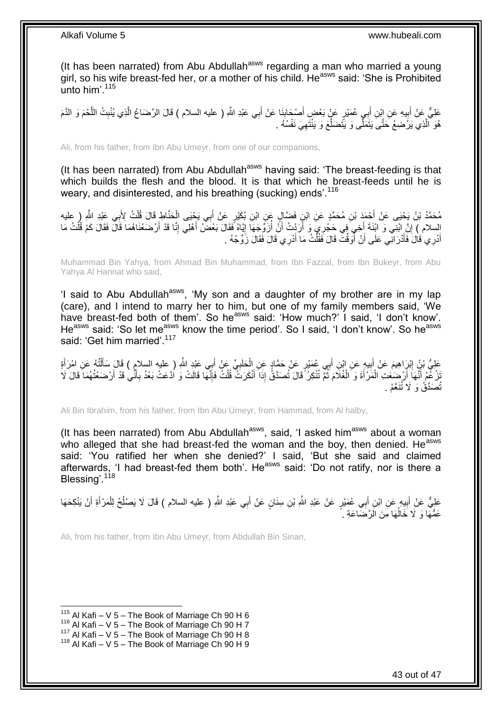(It has been narrated) from Abu Abdullah<sup>asws</sup> regarding a man who married a young girl, so his wife breast-fed her, or a mother of his child. He<sup>asws</sup> said: 'She is Prohibited unto him'.<sup>115</sup>

عَلِيٌّ عَنْ أَبِيهِ عَنِ إِبْنِ أَبِي عُمَيْرٍ عَنٍّ بَعْضٍ أَصْحَابِنَا عَنْ أَبِي عَبْدِ اللَّهِ ( عليه السلام ) قَالَ الرَّضَاعُ الَّذِي يُنْبِتُ اللَّحْمَ وَ الذَّمَ َ **∣** َ َ  $\frac{1}{2}$ َ َّ ِ َّ هُوَ الَّذِي يَرَْضِعُ حَتَّىَ يَتَمَلَّى وَ يَتَضَلَّعَ وَ يَنْتَهِيَ نَفْسُهُ . ِ َّ َّ

Ali, from his father, from Ibn Abu Umeyr, from one of our companions,

(It has been narrated) from Abu Abdullah<sup>asws</sup> having said: 'The breast-feeding is that which builds the flesh and the blood. It is that which he breast-feeds until he is weary, and disinterested, and his breathing (sucking) ends'.<sup>116</sup>

مُحَمَّدُ بْنُ يَحْيَى عَنْ أَحْمَدَ بْنِ مُحَمَّدٍ عَنِ ابْنِ فَضَّالٍ عَنِ ابْنِ بُكَيْرٍ عَنْ أَبِي يَحْيَى الْحَنَّاطِ قَالَ قُلْتُ لِأَبِي عَبْدِ اللَّهِ ( عليه ْ ْ َ السلام ) إِنَّ ابْنِي وَ ابْنَةَ أُخِيَ فِي حَجْرِيَ وَ أَرَدْتُ أَنْ أَزَوَّجَهَا إِيَّاهُ فَقَالَ بَعْضُ أَهْلِي إِنَّا قَدْ أَرْضَعْنَاهُمَا قَالَ فَقَالَ كَمْ قُلْتُ مَا<br>أَمْسِلْمَ إِنَّ مَنْ يَفْسَلُ الْعَالَمَ وَالْ ِ َ ֧֦֧֦֧֦֧֦֧֦֧֦֧֦֧ׅ֦֦֧֦֧֦֧֦֧֦֧֦֧֦֧֦֧֦֧֦֧֦֧֦֧֦֚֬֜֓֡ ُ َ ِ اُ ْ أُدْرِي قَالَ فَأْذْرَانِي عَلَى أَنْ أَوَقَّتَ قَالَ فَقُلْتُ مَا أَدْرِي قَالَ فَقَالَ زَوِّجْهُ . َ ْ .<br>ا َ َ َ

Muhammad Bin Yahya, from Ahmad Bin Muhammad, from Ibn Fazzal, from Ibn Bukeyr, from Abu Yahya Al Hannat who said,

'I said to Abu Abdullah<sup>asws</sup>, 'My son and a daughter of my brother are in my lap (care), and I intend to marry her to him, but one of my family members said, 'We have breast-fed both of them'. So he<sup>asws</sup> said: 'How much?' I said, 'I don't know'. He<sup>asws</sup> said: 'So let me<sup>asws</sup> know the time period'. So I said, 'I don't know'. So he<sup>asws</sup> said: 'Get him married'.<sup>117</sup>

عَلِيُّ بْنُ إِبْرَاهِيمَ عَنْ أَبِيهِ عَنِ ابْنِ أَبِي عُمَيْرٍ عَنْ حَمَّادٍ عَنِ الْحَلَبِيِّ عَنْ أَبِي عَبْدِ اللَّهِ ( عليه السلام ) قَالَ سَأَلْتُهُ عَنِ امْرَأَةٍ<br>عَلَيُّ بْنُ إِبْرَاهِيمَ عَنْ أَبِيهِ عَنِ ابْنِ أ َ **∶** ْ ِ َ ِ َ ْ َ ُنْزُغْهِمُ أَنَّهَاَ أَرْضَعَتِ الْمَرْأَةَ وَ الْغُلَامَ ثُمَّ تُنْكِرُ ۚ قَالَ تُصَدَّقُۢ إِذَا أَنْكَرَثَ قُلْتُ فَإِنَّهَا قَالَتْ وَ اَدَّعَتْ بَعْدُ بِأَنِّي قَدْ أَرْضَعْتُهُمَا قَالَ لَا ِ ْ َ ُ ْ َ ْ َ َ َ َ **∶** تُصَدَّقُ وَ لَا تُنَعَّمُ .

Ali Bin Ibrahim, from his father, from Ibn Abu Umeyr, from Hammad, from Al halby,

(It has been narrated) from Abu Abdullah<sup>asws</sup>, said, 'I asked him<sup>asws</sup> about a woman who alleged that she had breast-fed the woman and the boy, then denied. He<sup>asws</sup> said: 'You ratified her when she denied?' I said, 'But she said and claimed afterwards, 'I had breast-fed them both'. He<sup>asws</sup> said: 'Do not ratify, nor is there a Blessing<sup>' 118</sup>

عَلِيٌّ عَنْ أَبِيهِ عَنِ ابْنِ أَبِي عُمَيْرٍ عَنْ عَبْدِ اللَّهِ بْنِ سِنَانٍ عَنْ أَبِي عَبْدِ اللَّهِ ( عليه السلام ) قَالَ لَا يَصْلُحُ لِلْمَرْ أَةِ أَنْ يَنْكِحَهَا **!** َ َ َ ْ ُ عَمُّهَا وَ لَا خَالُهَا مِنَ الزَّضَاعَةِ . ا<br>ا

Ali, from his father, from Ibn Abu Umeyr, from Abdullah Bin Sinan,

 $115$  Al Kafi – V 5 – The Book of Marriage Ch 90 H 6

 $116$  Al Kafi – V 5 – The Book of Marriage Ch 90 H 7

 $117$  Al Kafi – V  $5$  – The Book of Marriage Ch 90 H 8

 $118$  Al Kafi – V 5 – The Book of Marriage Ch 90 H 9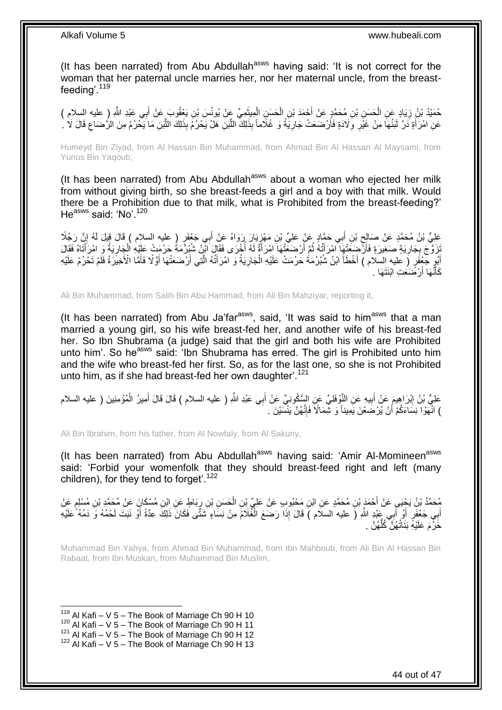(It has been narrated) from Abu Abdullah<sup>asws</sup> having said: 'It is not correct for the woman that her paternal uncle marries her, nor her maternal uncle, from the breastfeeding'.<sup>119</sup>

حُمَيْدُ بْنُ زِيَادٍ عَنِ الْحَسَنِ بْنِ مُحَمَّدٍ عَنْ أَحْمَدَ بْنِ الْحَسَنِ الْمِيثَمِيِّ عَنْ يُونُسَ بْنِ يَغْفُوبَ عَنْ أَبِي عَبْدِ اللَّهِ (ِ عليه السلام )<br>-َ ْ ْ ْ ِ َ عَنِ امْرَأَةٍ دَرَّ لَبَنُهَا مِنْ غَيْرِ وِلَادَةٍ فَأَرْضَعَتْ جَارِيَةً وَ غُلَاماً بِذَلِكَ اللَّبَنِ هَلْ يَحْرُمُ بِذَلِكَ اللَّبَنِ مَا يَحْرُمُ مِنَ الرَّضَاعِ قَالَ لَا لَـ َ اُ َّ ِ اُ ِ ِ

Humeyd Bin Ziyad, from Al Hassan Bin Muhammad, from Ahmad Bin Al Hassan Al Maysami, from Yunus Bin Yaqoub,

(It has been narrated) from Abu Abdullah<sup>asws</sup> about a woman who ejected her milk from without giving birth, so she breast-feeds a girl and a boy with that milk. Would there be a Prohibition due to that milk, what is Prohibited from the breast-feeding?' He<sup>asws</sup> said: 'No'.<sup>120</sup>

عَلِيُّ بْنُ مُحَمَّدٍ عَنْ صَالِحٍ بْنِ أَبِي حَمَّادٍ عَنْ عَلِيٍّ بْنِ مَهْزِيَارَ رَوَاهُ عَنْ أَبِي جَعْفَرٍ ( عليه السلام ) قَالَ قِيلَ لَهُ إِنَّ رَجُلًا َ **∶** َ ِ ِ َنِّرَوَّجَ بِجَارِيَةٍ صَغِيرَةٍ فَأَرْضِعَتْهِا امْرَأَتُهُ ثُمَّ أَرْضَعَتْهَا امْرَأَةٌ لَهُ أُخْرَى فَقَالَ الْزِنُ شُبْرُمَةً حَرُمَتْ عَلِيْهِ الْجِارِيَةُ وَ امْرَأَتَاهُ فَقَالَ َ ِ ِ َ ِ ْ :<br>ا لَ َ ان<br>المقام العالمية أَيْوٍ جَعْفَرٍ ( عليه السلام ) أَخْطَأَ ابْنُ شُبْرُمَةُ حَرُمَتْ عَلَيْهِ الْجَارِيَةُ وَ امْرَأَتُهُ الَّتِي أَرْضَعَتْهَا أَوَّلًا فَأَمَّا الْأَخِيَرَةُ فَلَمْ تَحْرُمْ عَلَيْهِ َ َّ َ ِ ْ َ َ رْضَعَتِ ابْنَتَهَا . َ َها أ نَّ َ َكأ

Ali Bin Muhammad, from Salih Bin Abu Hammad, from Ali Bin Mahziyar, reporting it,

(It has been narrated) from Abu Ja'far $a<sup>asws</sup>$ , said, 'It was said to him $a<sup>asws</sup>$  that a man married a young girl, so his wife breast-fed her, and another wife of his breast-fed her. So Ibn Shubrama (a judge) said that the girl and both his wife are Prohibited unto him'. So he<sup>asws</sup> said: 'Ibn Shubrama has erred. The girl is Prohibited unto him and the wife who breast-fed her first. So, as for the last one, so she is not Prohibited unto him, as if she had breast-fed her own daughter'.<sup>121</sup>

عَلِيُّ بْنُ إِبْرَاهِيمَ عَنْ أَبِيهِ عَنِ النَّوْفَلِيِّ عَنِ السَّكُونِيِّ عَنْ أَبِي عَبْدِ اللَّهِ ( عليه السلام ) قَالَ قَالَ أَمِيرُ الْمُؤْمِنِينَ ( عليه السلام َ **!** َ ِ ْ َ ) انَّهَوْا نِسَاءَكُمْ أَنْ يُرْضَعْنَ يَمِيناً وَ شِّمَالًا فَإِنَّهُنَّ يَنْسَيْنَ . ∣اٍ اً

Ali Bin Ibrahim, from his father, from Al Nowfaly, from Al Sakuny,

(It has been narrated) from Abu Abdullah<sup>asws</sup> having said: 'Amir Al-Momineen<sup>asws</sup> said: 'Forbid your womenfolk that they should breast-feed right and left (many children), for they tend to forget<sup>'.122</sup>

مُحَمَّدُ بْنُ يَجْيَى عَنْ أَحْمَدٍ بْنِ مُحَمَّدٍ عَنِ ابْنِ مَحْبُوبِ عَنْ عَلِيٍّ بْنِ الْحَسَنِ بْنِ رِبَاطٍ عَنِ ابْنِ مُسْكَانٍ عَنْ مُحَمَّدٍ بْنِ مُسْلِمٍ عَنْ<br>مُحَمَّدُ بْنُ يَجْيَى عَنْ أَحْمَدٍ بْنِ مُحَمَّدٍ ْ م<br>وا ្ន أَبِي جَعْفَرٍ أَوْ أَبِي عَبْدٍ اللَّهِ (َ عليه السلام ) قَالَ إِذَا رَضَعَ الْغُلَامُ مِنْ نِسَاءٍ شَتَّى فَكَانَ ذَلِكَ عِدَّةً أَوْ نَبَتَ لَحْمُهُ وَ دَمُهُ ۖ عَلَيْهِ ْ َ َ حَرُ مَ عَلَيْهِ بَذَاتُهُنَّ كُلُّهُنَّ . ُّ

Muhammad Bin Yahya, from Ahmad Bin Muhammad, from Ibn Mahboub, from Ali Bin Al Hassan Bin Rabaat, from Ibn Muskan, from Muhammad Bin Muslim,

<sup>1</sup>  $119$  Al Kafi – V 5 – The Book of Marriage Ch 90 H 10

 $120$  Al Kafi – V 5 – The Book of Marriage Ch 90 H 11

 $121$  Al Kafi – V  $5$  – The Book of Marriage Ch 90 H 12

 $122$  Al Kafi – V 5 – The Book of Marriage Ch 90 H 13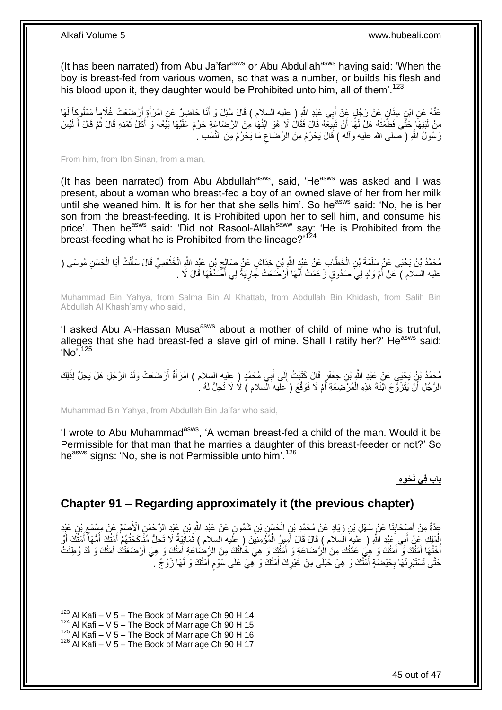(It has been narrated) from Abu Ja'far<sup>asws</sup> or Abu Abdullah<sup>asws</sup> having said: 'When the boy is breast-fed from various women, so that was a number, or builds his flesh and his blood upon it, they daughter would be Prohibited unto him, all of them'.<sup>123</sup>

عَنْهُ عَنِ ابْنِ سِنَانٍ عَنْ رَجُلٍ عَنْ أَبِي عَنْدِ اللَّهِ ( عِليه السلام ) قَالَ سُئِلَ وَ أَنَا حَاضِرٌ عَنِ امْرَأَةٍ أَرْضَعَتْ عُلَاماً مَعْلُوجًا لَهَا<br>. َ َ لَ أ َ مِنْ لَبَنِهَا حَتَّى فَطَمَتْهُ هَلْ لَهَا أَنْ تَبِيعَهُ قَالَ فَقَالَ لَا هُوَ ابْنُهَا مِنَ الرَّصَاعَةِ حَرُمَ عَلَيْهَا بَيْعُهُ وَ أَكْلُ ثَمَنِهِ قَالَ ثُمَّ قَالَ أَ لَيْسَ ِ َ لَ َ ُ َ َ رَسُولُ اللَّهِ ( صلى الله عليه وآله ) قَالَ يَحْرُمُ مِنَ الرَّضَاعِ مَا يَحْرُمُ مِنَ النَّسَبِ . ِ

From him, from Ibn Sinan, from a man,

(It has been narrated) from Abu Abdullah<sup>asws</sup>, said, 'He<sup>asws</sup> was asked and I was present, about a woman who breast-fed a boy of an owned slave of her from her milk until she weaned him. It is for her that she sells him'. So he<sup>asws</sup> said: 'No, he is her son from the breast-feeding. It is Prohibited upon her to sell him, and consume his price'. Then he<sup>asws</sup> said: 'Did not Rasool-Allah<sup>saww</sup> say: 'He is Prohibited from the breast-feeding what he is Prohibited from the lineage?<sup>124</sup>

مُحَمَّدُ بْنُ يَحْيَى عَنْ سَلَمَةَ بْنِ الْخَطَّابِ عَنْ عَبْدٍ اللَّهِ بْنِ خِدَاشٍ عَنْ صَالِحٍ بْنِ عَبْدِ اللَّهِ الْخَنْعَمِيِّ قَالَ سَأَلْتُ أَبَا الْحَسَنِ مُوسَى ( ْ  $\zeta$ ْ ْ َ ْ َ **ٔ** عليه السلام ) عَنْ أُمِّ وَلَدٍ لِيَ صَدُوقٍ زَعَمَتْ أَنَّهَا أَرْضَعَتْ جََارِيَةً لِي أَصَّدِّقُهَا قَالَ لَا . ُ ِ َ َ ِ<br>ُمُسَلِّمَةٍ

Muhammad Bin Yahya, from Salma Bin Al Khattab, from Abdullah Bin Khidash, from Salih Bin Abdullah Al Khash'amy who said,

'I asked Abu Al-Hassan Musa<sup>asws</sup> about a mother of child of mine who is truthful, alleges that she had breast-fed a slave girl of mine. Shall I ratify her?' He<sup>asws</sup> said:  $Nn^{7125}$ 

مُحَمَّدُ بْنُ يَحْيَى عَنْ عَبْدِ اللَّهِ بْنِ جَعْفَرٍ قَالَ كَتَبْتُ إِلَى أَبِي مُحَمَّدٍ ( عِليه السلام ) امْرَأَةٌ أَرْضَعَتْ وَلَدَ الرَّجُلِ هَلْ يَحِلُّ لِذَلِكَ<br>مَعَمَّدُ بَنُ يَحْيَى عَنْ عِبْدِ اللَّهِ بْنِ جَ َ  $\frac{1}{2}$ اً َ الرَّجُلِ أَنْ يَتَزَوَّجَ ابْنَةَ هَذِهِ الْمُرْضِعَةِ أَمْ لَا فَوَقَّعَ ( عليه الْسلام ) لَا لَا تَحِلُّ لَهُ لَ َ ْ اً

Muhammad Bin Yahya, from Abdullah Bin Ja'far who said,

'I wrote to Abu Muhammad<sup>asws</sup>, 'A woman breast-fed a child of the man. Would it be Permissible for that man that he marries a daughter of this breast-feeder or not?' So he<sup>asws</sup> signs: 'No, she is not Permissible unto him'.<sup>126</sup>

### **باب ف ي َن ْح و ه**

### <span id="page-44-0"></span>**Chapter 91 – Regarding approximately it (the previous chapter)**

عِّدَّةٌ مِنْ أَصْحَابِنَا عَنْ سَهْلِ بْنِ زِيَادٍ عَنْ مُحَمَّدِ بْنِ الْحَسَنِ بْنِ شَمُّونٍ عَنْ عَبْدِ اللَّهِ بْنِ عَبْدِ الرَّحْمَنِ الْأَصَمَّ عَنْ مِسْمَعِ بْنِ عَبْدِ<br>عَيْنَ الرَّحْمَنِ الْأَصْحَابِنَا عَنْ سَهْل ْ ِ **∣** ِ ِي َعْبِد ََّّللاِ ب َملِ ِك َع ْن أ ال ُّمَها َك أ َمتُ ُهْم أ َماِنَيةٌ ََل َت ِح ُّل ُمَنا َك َحتُ ُمْؤ ِمِني َن ) عليه السالم ( ث ِمي ُر ال ) عليه السالم ( َقا َل ْو َقا َل أ َك أ َمتُ أ َ ْ ا<br>ا َ َ ْ َ َ َ َ أَخْتُهَا أَمَتُكَ وَ أَمَتُكَ وَ هِيَ عَمَّتُكَ مِنَ الْرَّضَاعَةِ وَ أَمَتُكَ وَ هِيَ خَالَتُكَ مِنَ الرَّضَاعَةِ أَمتُكَ وَ هِيَ أَرْضَعَتْكَ أَمَتُكَ وَ قَدْ وُطِئَتْ َ َ َ ا<br>ا َ َ حَتَّى تَسْتَبْرِنَهَا بِحَيْضَةٍ أَمَنُكَ وَ هِيَ حُبْلَى مِنْ غَيْرِكَ أَمَنُكَ وَ هِيَ عَلَى سَوْم أَمَنُكَ وَ لَهَا زَوْجٌ . َ ٍ َ ِ َ ِ **ٍ** 

 $123$  Al Kafi – V 5 – The Book of Marriage Ch 90 H 14

 $124$  Al Kafi – V 5 – The Book of Marriage Ch 90 H 15

 $125$  Al Kafi – V  $5$  – The Book of Marriage Ch 90 H 16

<sup>126</sup> Al Kafi – V 5 – The Book of Marriage Ch 90 H 17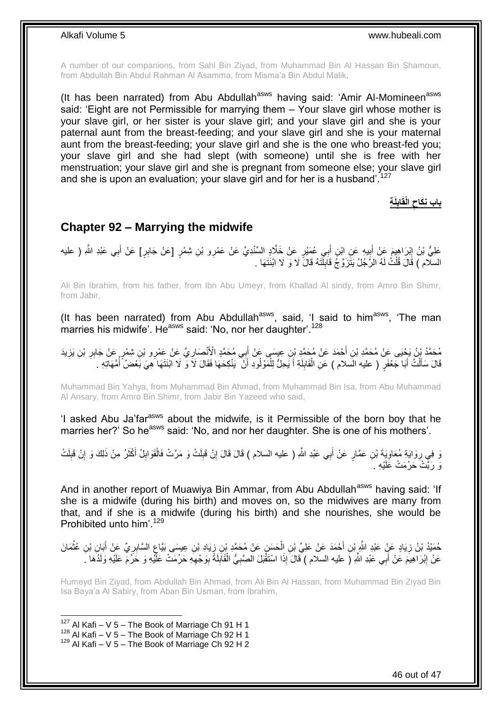A number of our companions, from Sahl Bin Ziyad, from Muhammad Bin Al Hassan Bin Shamoun, from Abdullah Bin Abdul Rahman Al Asamma, from Misma'a Bin Abdul Malik,

(It has been narrated) from Abu Abdullah<sup>asws</sup> having said: 'Amir Al-Momineen<sup>asws</sup> said: 'Eight are not Permissible for marrying them  $-$  Your slave girl whose mother is your slave girl, or her sister is your slave girl; and your slave girl and she is your paternal aunt from the breast-feeding; and your slave girl and she is your maternal aunt from the breast-feeding; your slave girl and she is the one who breast-fed you; your slave girl and she had slept (with someone) until she is free with her menstruation; your slave girl and she is pregnant from someone else; your slave girl and she is upon an evaluation; your slave girl and for her is a husband<sup> $127$ </sup>

> **باب نِكَاح الْقَابِلَةِ**

### <span id="page-45-0"></span>**Chapter 92 – Marrying the midwife**

عَلِيُّ بْنُ إِبْرَاهِيمَ عَنْ أَبِيهِ عَنِ ابْنِ أَبِي عُمَيْرٍ عَنْ خَلَّادٍ السِّنْدِيِّ عَنْ عَمْرِو بْنِ شِمْرٍ [عَنْ جَابِرٍ] عَنْ أَبِي عَبْدِ اللَّهِ ( عليه َ **⊥** ِ َ السلّام ) قَالَ قُلْتُ لَهُ الرَّجُلُ يَتَزَرَّ جُ قَابِلْنَهُ قَالَ لَا وَ لَا ابْنَتَهَا . ْ  $\frac{1}{2}$ 

Ali Bin Ibrahim, from his father, from Ibn Abu Umeyr, from Khallad Al sindy, from Amro Bin Shimr, from Jabir,

(It has been narrated) from Abu Abdullah<sup>asws</sup>, said, 'I said to him<sup>asws</sup>, 'The man marries his midwife'. He<sup>asws</sup> said: 'No, nor her daughter'.<sup>128</sup>

مُحَمَّدُ بْنُ يَحْيَى عَنْ مُحَمَّدِ بْنِ أَحْمَدَ عَنْ مُحَمَّدٍ بْنِ عِيسَى عَنْ أَبِي مُحَمَّدٍ الْأَنْصَارِيِّ عَنْ عَمْرِو بْنِ شِمْرٍ عَنْ جَابِرِ بْنِ يَزِيدَ<br>يَهِدَى بَيْرُ مُرَيِّنٍ وَكَبِّ مَا مُحَمَّدِ بَنِي أ ِ َ َ ِ ِ قَالَ سَأَلْتُ أَبَا جَعْفَرٍ ( عليه السلام ) عَنِ الْقَابِلَةِ أَ يَحِلُّ لِلْمَوْلُودِ أَنْ ۖ يَنْكِحَهَا فَقَالَ لَا وَّ لَا ابْنَتَهَا هِيَ بَعْضُ أُمَّهَاتِهِ . َ ْ َ ُ َ ْ َ لَ  $\frac{1}{2}$ ْ

Muhammad Bin Yahya, from Muhammad Bin Ahmad, from Muhammad Bin Isa, from Abu Muhammad Al Ansary, from Amro Bin Shimr, from Jabir Bin Yazeed who said,

'I asked Abu Ja'far<sup>asws</sup> about the midwife, is it Permissible of the born boy that he marries her?' So he<sup>asws</sup> said: 'No, and nor her daughter. She is one of his mothers'.

نَّهِ فِي رِوَايَةِ مُعَاوِيَةَ بْنِ عَمَّارٍ عَنْ أَبِي عَبْدِ اللَّهِ ( عليه السلام ) قَالَ قَالَ إِنْ قَبِلَتْ وَ مَرَّتْ فَالْقَوَابِلُ أَكْثَرُ مِنْ ذَلِكَ وَ إِنْ قَبِلَتْ َ ِ **∶** ِ ِ َ َ ِ ْ ِ ِ وَ رَبَّتْ حَرُمَتْ عََلَيْهِ ۚ

And in another report of Muawiya Bin Ammar, from Abu Abdullah<sup>asws</sup> having said: 'If she is a midwife (during his birth) and moves on, so the midwives are many from that, and if she is a midwife (during his birth) and she nourishes, she would be Prohibited unto him'.<sup>129</sup>

حُمَيْدُ بْنُ زِيَادٍ عَنٍْ عَيْدِ الشَّرِّ بْنِ أَحْمَدَ عَنْ عَلِيِّ بْنِ اِلْحَسَنِ عَنْ مُحَمَّدٍ بْنِ زِيَادِ بْنِ عِيسَى بَيَّاعٍ السَّابِرِيِّ عَنْ أَبَانٍ بْنِ عُثْمَانَ ِ ْ ِ ْ َ ِ ِ عَنْ إِبْرَاهِيمَ عَنْ أَبِي عَبْدِ اللَّهِ (َ عليه السلام ) َّقَالَ إِذَا اسْتَقْبَلَ الصَّبِيُّ الْقَابِلَةَ بِوَجْهِهِ حَرُمَتْ عَلَّيْهِ وَ حَرُمَ عَلَيْهِ وَلَذُهَا كَ ِ ِ ِ ْ ِ َ <u>֖֚֚֚</u>

Humeyd Bin Ziyad, from Abdullah Bin Ahmad, from Ali Bin Al Hassan, from Muhammad Bin Ziyad Bin Isa Baya'a Al Sabiry, from Aban Bin Usman, from Ibrahim,

 $127$  Al Kafi – V 5 – The Book of Marriage Ch 91 H 1

 $^{128}$  Al Kafi – V 5 – The Book of Marriage Ch 92 H 1

 $129$  Al Kafi – V 5 – The Book of Marriage Ch 92 H 2